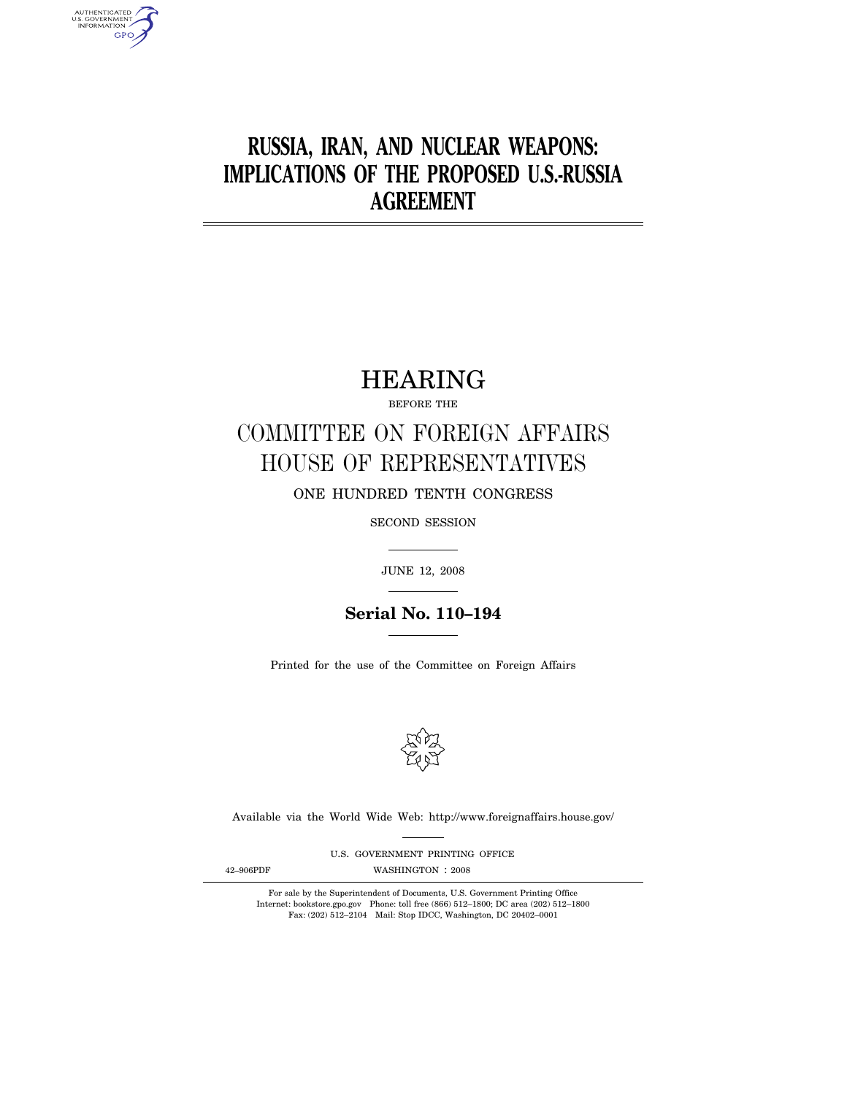# **RUSSIA, IRAN, AND NUCLEAR WEAPONS: IMPLICATIONS OF THE PROPOSED U.S.-RUSSIA AGREEMENT**

## HEARING

BEFORE THE

# COMMITTEE ON FOREIGN AFFAIRS HOUSE OF REPRESENTATIVES

ONE HUNDRED TENTH CONGRESS

SECOND SESSION

JUNE 12, 2008

**Serial No. 110–194**

Printed for the use of the Committee on Foreign Affairs



Available via the World Wide Web: http://www.foreignaffairs.house.gov/

U.S. GOVERNMENT PRINTING OFFICE

AUTHENTICATED<br>U.S. GOVERNMENT<br>INFORMATION GPO

42–906PDF WASHINGTON : 2008

For sale by the Superintendent of Documents, U.S. Government Printing Office Internet: bookstore.gpo.gov Phone: toll free (866) 512–1800; DC area (202) 512–1800 Fax: (202) 512–2104 Mail: Stop IDCC, Washington, DC 20402–0001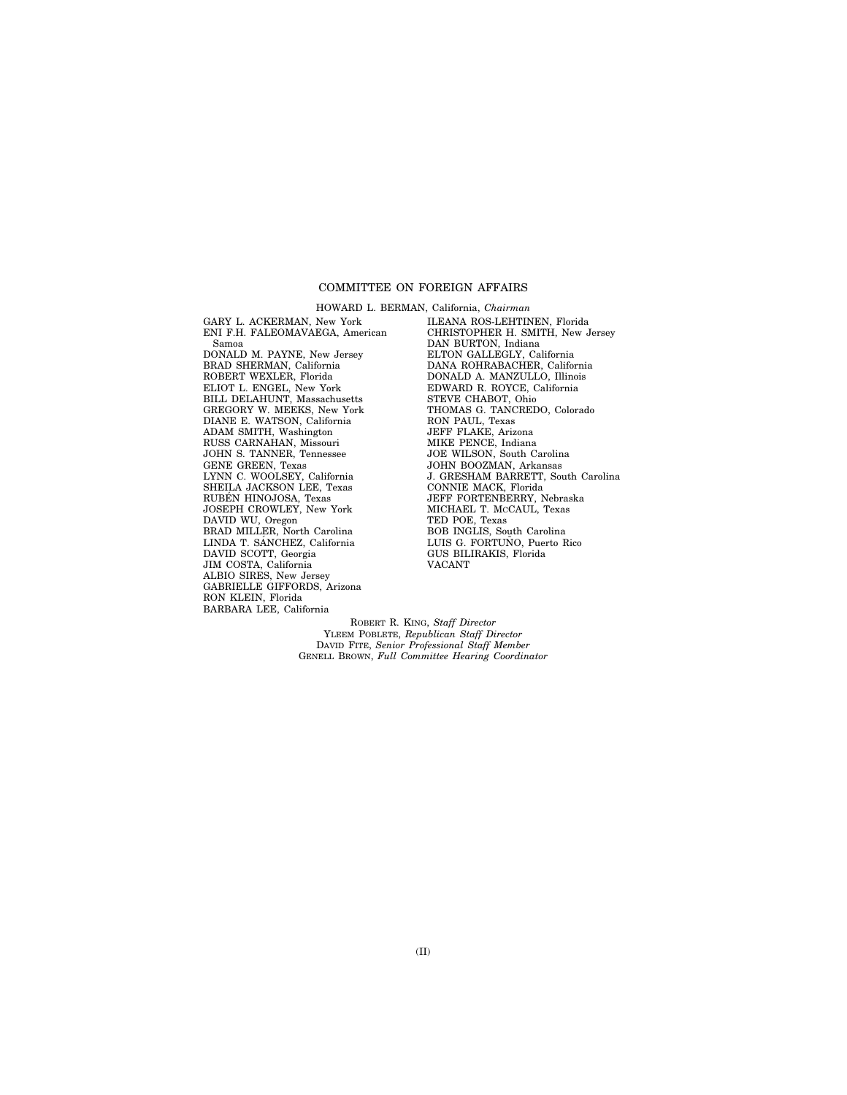## COMMITTEE ON FOREIGN AFFAIRS

GARY L. ACKERMAN, New York ENI F.H. FALEOMAVAEGA, American Samoa DONALD M. PAYNE, New Jersey BRAD SHERMAN, California ROBERT WEXLER, Florida ELIOT L. ENGEL, New York BILL DELAHUNT, Massachusetts GREGORY W. MEEKS, New York DIANE E. WATSON, California ADAM SMITH, Washington RUSS CARNAHAN, Missouri JOHN S. TANNER, Tennessee GENE GREEN, Texas LYNN C. WOOLSEY, California SHEILA JACKSON LEE, Texas RUBÉN HINOJOSA, Texas JOSEPH CROWLEY, New York DAVID WU, Oregon BRAD MILLER, North Carolina LINDA T. SANCHEZ, California DAVID SCOTT, Georgia JIM COSTA, California ALBIO SIRES, New Jersey GABRIELLE GIFFORDS, Arizona RON KLEIN, Florida BARBARA LEE, California

HOWARD L. BERMAN, California, *Chairman*  ILEANA ROS-LEHTINEN, Florida CHRISTOPHER H. SMITH, New Jersey DAN BURTON, Indiana ELTON GALLEGLY, California DANA ROHRABACHER, California DONALD A. MANZULLO, Illinois EDWARD R. ROYCE, California STEVE CHABOT, Ohio THOMAS G. TANCREDO, Colorado RON PAUL, Texas JEFF FLAKE, Arizona MIKE PENCE, Indiana JOE WILSON, South Carolina JOHN BOOZMAN, Arkansas J. GRESHAM BARRETT, South Carolina CONNIE MACK, Florida JEFF FORTENBERRY, Nebraska MICHAEL T. MCCAUL, Texas TED POE, Texas BOB INGLIS, South Carolina LUIS G. FORTUÑO, Puerto Rico GUS BILIRAKIS, Florida VACANT

ROBERT R. KING, *Staff Director*  YLEEM POBLETE, *Republican Staff Director*  DAVID FITE, *Senior Professional Staff Member*  GENELL BROWN, *Full Committee Hearing Coordinator*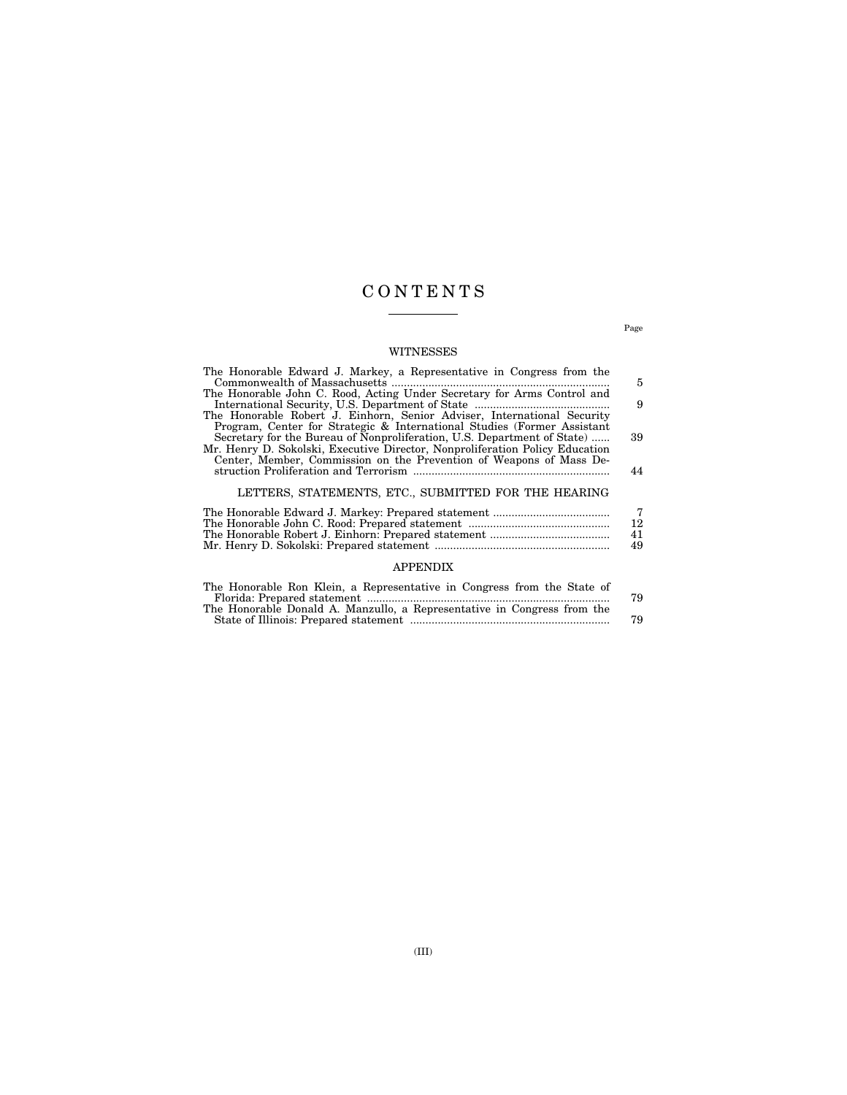## C O N T E N T S

## WITNESSES

| The Honorable Edward J. Markey, a Representative in Congress from the        |                |
|------------------------------------------------------------------------------|----------------|
|                                                                              | 5              |
| The Honorable John C. Rood, Acting Under Secretary for Arms Control and      |                |
|                                                                              | 9              |
| The Honorable Robert J. Einhorn, Senior Adviser, International Security      |                |
| Program, Center for Strategic & International Studies (Former Assistant      |                |
| Secretary for the Bureau of Nonproliferation, U.S. Department of State)      | 39             |
| Mr. Henry D. Sokolski, Executive Director, Nonproliferation Policy Education |                |
| Center, Member, Commission on the Prevention of Weapons of Mass De-          |                |
|                                                                              | 44             |
|                                                                              |                |
| LETTERS, STATEMENTS, ETC., SUBMITTED FOR THE HEARING                         |                |
|                                                                              |                |
|                                                                              | $\frac{7}{12}$ |
|                                                                              | 41             |
|                                                                              | 49             |
|                                                                              |                |
| <b>APPENDIX</b>                                                              |                |
|                                                                              |                |

| The Honorable Ron Klein, a Representative in Congress from the State of |    |
|-------------------------------------------------------------------------|----|
|                                                                         | 79 |
| The Honorable Donald A. Manzullo, a Representative in Congress from the |    |
|                                                                         | 79 |

Page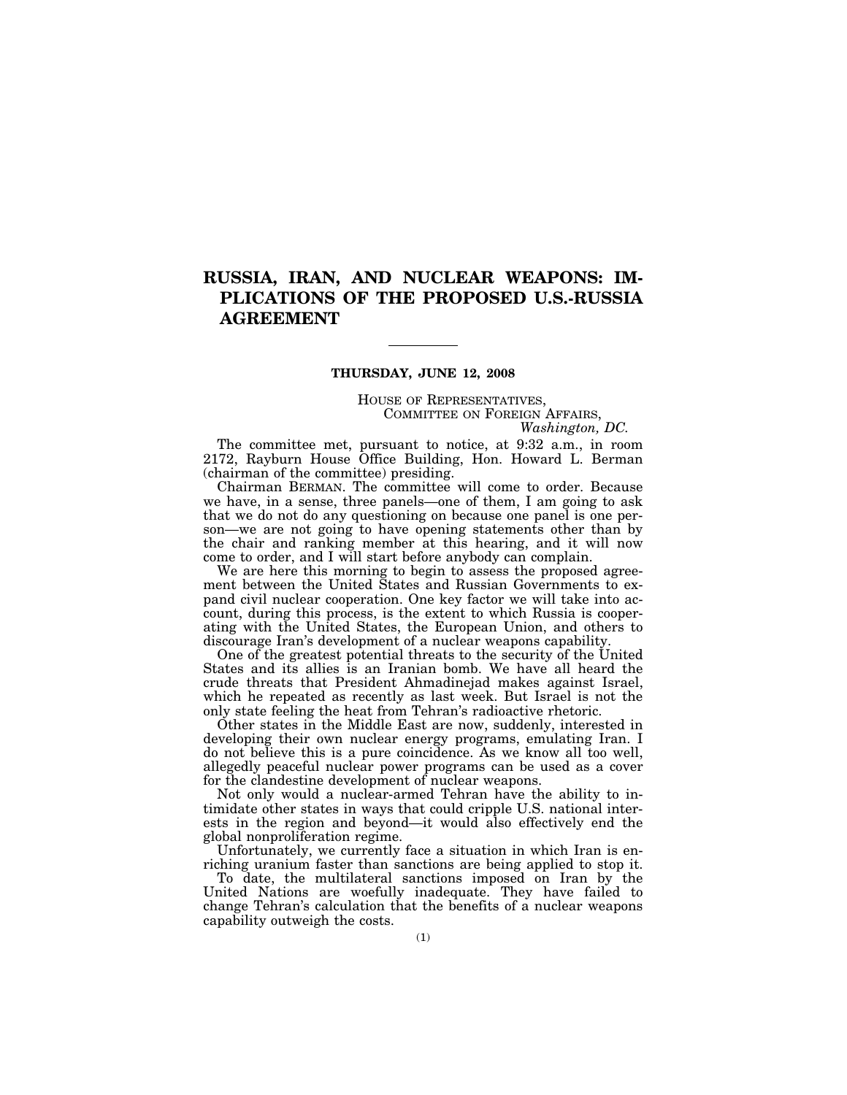## **RUSSIA, IRAN, AND NUCLEAR WEAPONS: IM-PLICATIONS OF THE PROPOSED U.S.-RUSSIA AGREEMENT**

### **THURSDAY, JUNE 12, 2008**

HOUSE OF REPRESENTATIVES, COMMITTEE ON FOREIGN AFFAIRS, *Washington, DC.* 

The committee met, pursuant to notice, at 9:32 a.m., in room 2172, Rayburn House Office Building, Hon. Howard L. Berman (chairman of the committee) presiding.

Chairman BERMAN. The committee will come to order. Because we have, in a sense, three panels—one of them, I am going to ask that we do not do any questioning on because one panel is one person—we are not going to have opening statements other than by the chair and ranking member at this hearing, and it will now come to order, and I will start before anybody can complain.

We are here this morning to begin to assess the proposed agreement between the United States and Russian Governments to expand civil nuclear cooperation. One key factor we will take into account, during this process, is the extent to which Russia is cooperating with the United States, the European Union, and others to discourage Iran's development of a nuclear weapons capability.

One of the greatest potential threats to the security of the United States and its allies is an Iranian bomb. We have all heard the crude threats that President Ahmadinejad makes against Israel, which he repeated as recently as last week. But Israel is not the only state feeling the heat from Tehran's radioactive rhetoric.

Other states in the Middle East are now, suddenly, interested in developing their own nuclear energy programs, emulating Iran. I do not believe this is a pure coincidence. As we know all too well, allegedly peaceful nuclear power programs can be used as a cover for the clandestine development of nuclear weapons.

Not only would a nuclear-armed Tehran have the ability to intimidate other states in ways that could cripple U.S. national interests in the region and beyond—it would also effectively end the global nonproliferation regime.

Unfortunately, we currently face a situation in which Iran is enriching uranium faster than sanctions are being applied to stop it.

To date, the multilateral sanctions imposed on Iran by the United Nations are woefully inadequate. They have failed to change Tehran's calculation that the benefits of a nuclear weapons capability outweigh the costs.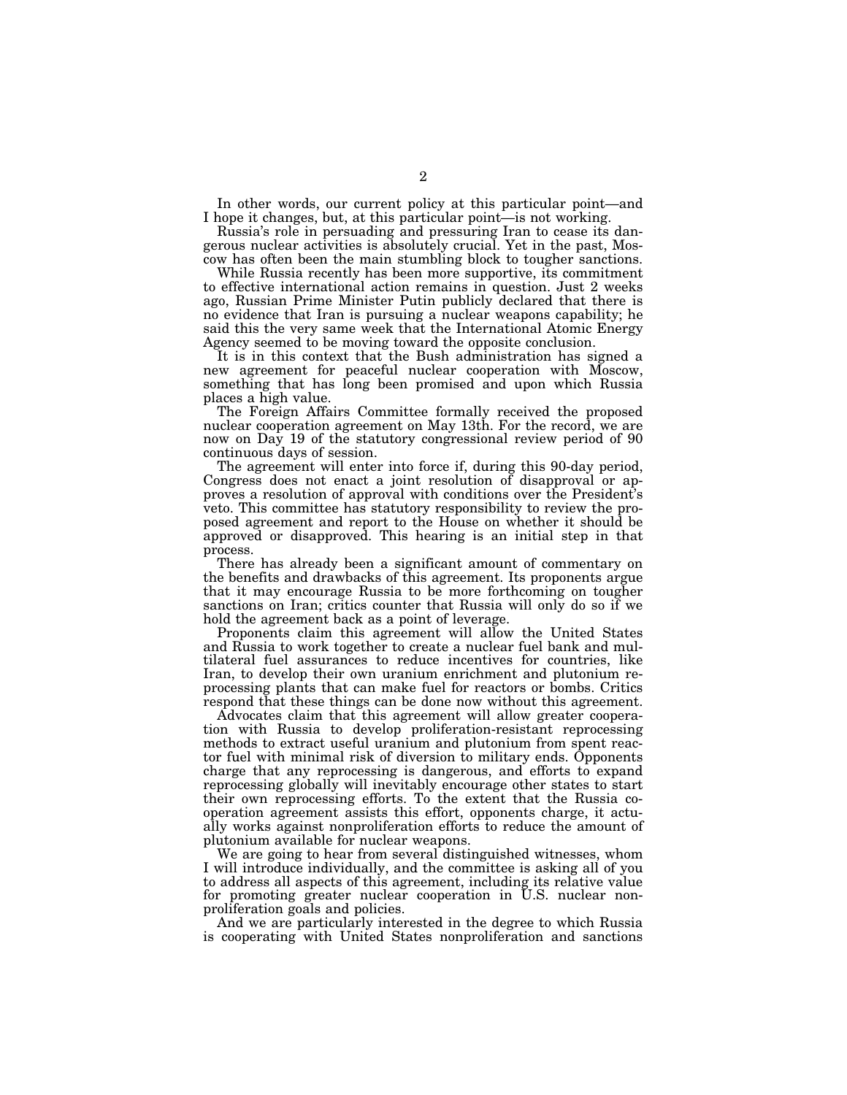In other words, our current policy at this particular point—and I hope it changes, but, at this particular point—is not working.

Russia's role in persuading and pressuring Iran to cease its dangerous nuclear activities is absolutely crucial. Yet in the past, Moscow has often been the main stumbling block to tougher sanctions.

While Russia recently has been more supportive, its commitment to effective international action remains in question. Just 2 weeks ago, Russian Prime Minister Putin publicly declared that there is no evidence that Iran is pursuing a nuclear weapons capability; he said this the very same week that the International Atomic Energy Agency seemed to be moving toward the opposite conclusion.

It is in this context that the Bush administration has signed a new agreement for peaceful nuclear cooperation with Moscow, something that has long been promised and upon which Russia places a high value.

The Foreign Affairs Committee formally received the proposed nuclear cooperation agreement on May 13th. For the record, we are now on Day 19 of the statutory congressional review period of 90 continuous days of session.

The agreement will enter into force if, during this 90-day period, Congress does not enact a joint resolution of disapproval or approves a resolution of approval with conditions over the President's veto. This committee has statutory responsibility to review the proposed agreement and report to the House on whether it should be approved or disapproved. This hearing is an initial step in that process.

There has already been a significant amount of commentary on the benefits and drawbacks of this agreement. Its proponents argue that it may encourage Russia to be more forthcoming on tougher sanctions on Iran; critics counter that Russia will only do so if we hold the agreement back as a point of leverage.

Proponents claim this agreement will allow the United States and Russia to work together to create a nuclear fuel bank and multilateral fuel assurances to reduce incentives for countries, like Iran, to develop their own uranium enrichment and plutonium reprocessing plants that can make fuel for reactors or bombs. Critics respond that these things can be done now without this agreement.

Advocates claim that this agreement will allow greater cooperation with Russia to develop proliferation-resistant reprocessing methods to extract useful uranium and plutonium from spent reactor fuel with minimal risk of diversion to military ends. Opponents charge that any reprocessing is dangerous, and efforts to expand reprocessing globally will inevitably encourage other states to start their own reprocessing efforts. To the extent that the Russia cooperation agreement assists this effort, opponents charge, it actually works against nonproliferation efforts to reduce the amount of plutonium available for nuclear weapons.

We are going to hear from several distinguished witnesses, whom I will introduce individually, and the committee is asking all of you to address all aspects of this agreement, including its relative value for promoting greater nuclear cooperation in U.S. nuclear nonproliferation goals and policies.

And we are particularly interested in the degree to which Russia is cooperating with United States nonproliferation and sanctions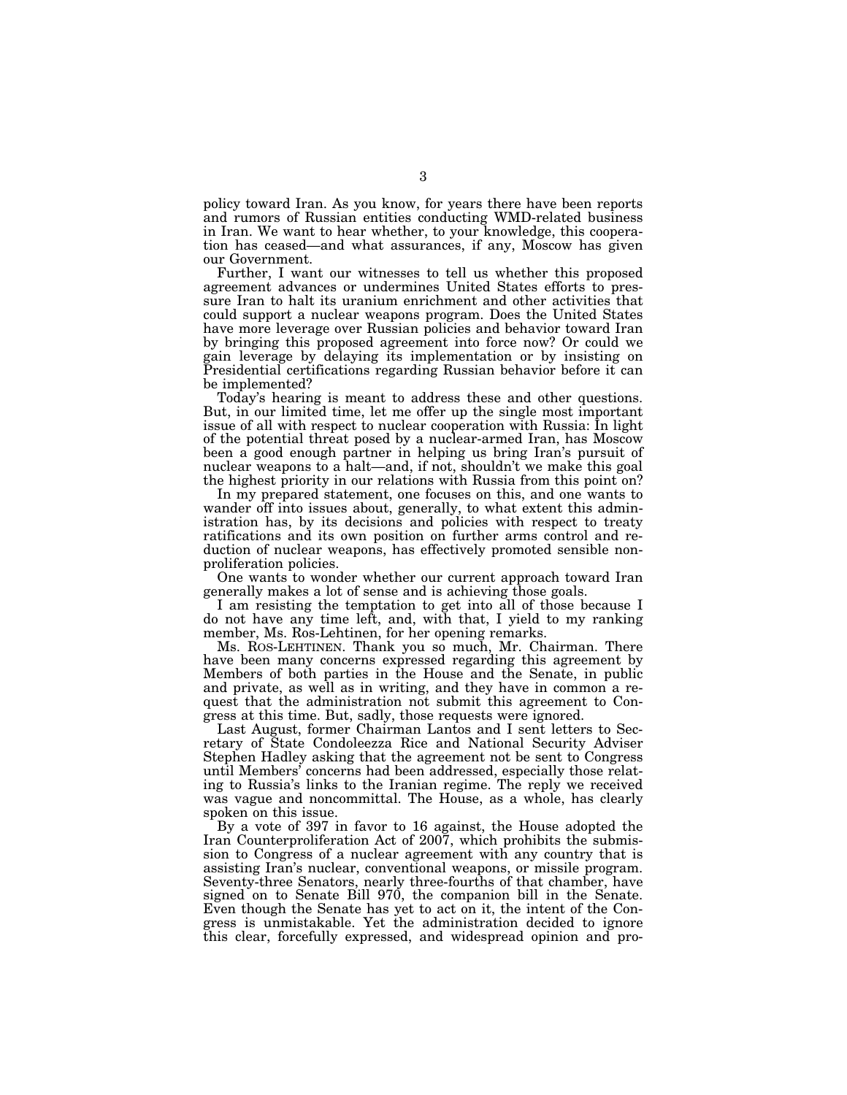policy toward Iran. As you know, for years there have been reports and rumors of Russian entities conducting WMD-related business in Iran. We want to hear whether, to your knowledge, this cooperation has ceased—and what assurances, if any, Moscow has given our Government.

Further, I want our witnesses to tell us whether this proposed agreement advances or undermines United States efforts to pressure Iran to halt its uranium enrichment and other activities that could support a nuclear weapons program. Does the United States have more leverage over Russian policies and behavior toward Iran by bringing this proposed agreement into force now? Or could we gain leverage by delaying its implementation or by insisting on Presidential certifications regarding Russian behavior before it can be implemented?

Today's hearing is meant to address these and other questions. But, in our limited time, let me offer up the single most important issue of all with respect to nuclear cooperation with Russia: In light of the potential threat posed by a nuclear-armed Iran, has Moscow been a good enough partner in helping us bring Iran's pursuit of nuclear weapons to a halt—and, if not, shouldn't we make this goal the highest priority in our relations with Russia from this point on?

In my prepared statement, one focuses on this, and one wants to wander off into issues about, generally, to what extent this administration has, by its decisions and policies with respect to treaty ratifications and its own position on further arms control and reduction of nuclear weapons, has effectively promoted sensible nonproliferation policies.

One wants to wonder whether our current approach toward Iran generally makes a lot of sense and is achieving those goals.

I am resisting the temptation to get into all of those because I do not have any time left, and, with that, I yield to my ranking member, Ms. Ros-Lehtinen, for her opening remarks.

Ms. ROS-LEHTINEN. Thank you so much, Mr. Chairman. There have been many concerns expressed regarding this agreement by Members of both parties in the House and the Senate, in public and private, as well as in writing, and they have in common a request that the administration not submit this agreement to Congress at this time. But, sadly, those requests were ignored.

Last August, former Chairman Lantos and I sent letters to Secretary of State Condoleezza Rice and National Security Adviser Stephen Hadley asking that the agreement not be sent to Congress until Members' concerns had been addressed, especially those relating to Russia's links to the Iranian regime. The reply we received was vague and noncommittal. The House, as a whole, has clearly spoken on this issue.

By a vote of 397 in favor to 16 against, the House adopted the Iran Counterproliferation Act of 2007, which prohibits the submission to Congress of a nuclear agreement with any country that is assisting Iran's nuclear, conventional weapons, or missile program. Seventy-three Senators, nearly three-fourths of that chamber, have signed on to Senate Bill 970, the companion bill in the Senate. Even though the Senate has yet to act on it, the intent of the Congress is unmistakable. Yet the administration decided to ignore this clear, forcefully expressed, and widespread opinion and pro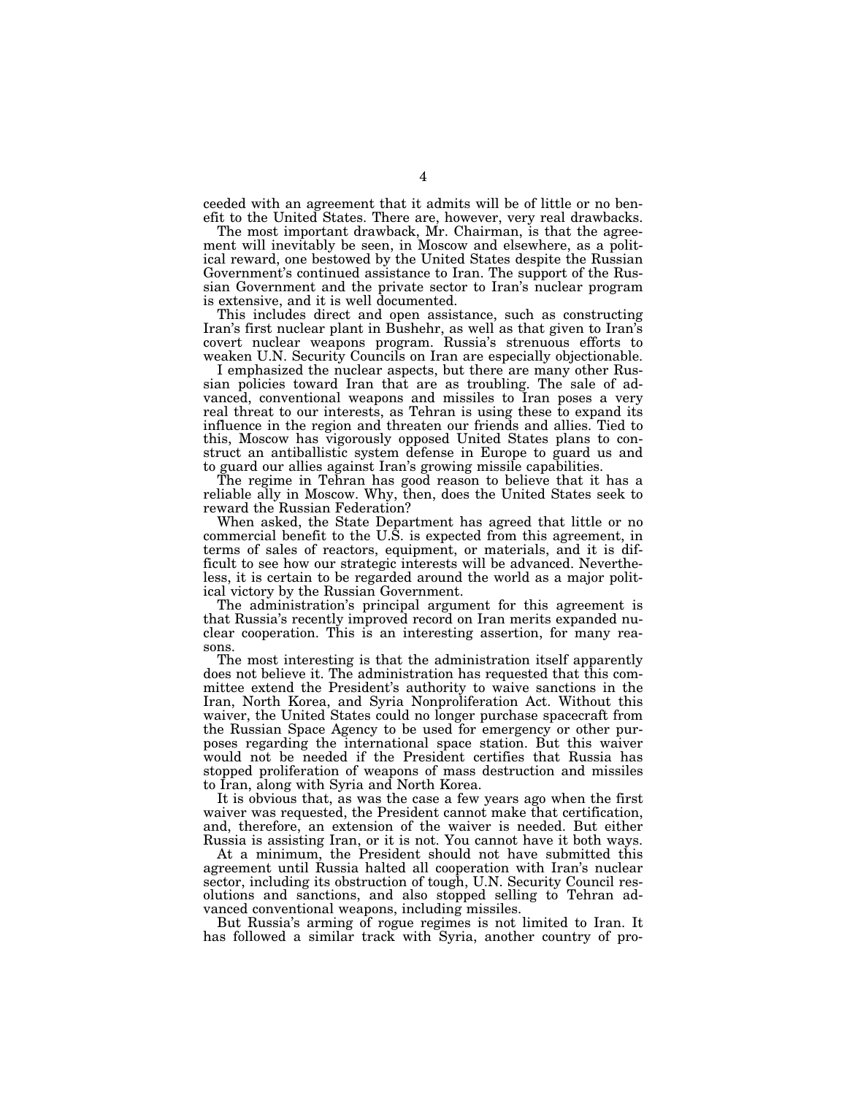ceeded with an agreement that it admits will be of little or no benefit to the United States. There are, however, very real drawbacks.

The most important drawback, Mr. Chairman, is that the agreement will inevitably be seen, in Moscow and elsewhere, as a political reward, one bestowed by the United States despite the Russian Government's continued assistance to Iran. The support of the Russian Government and the private sector to Iran's nuclear program is extensive, and it is well documented.

This includes direct and open assistance, such as constructing Iran's first nuclear plant in Bushehr, as well as that given to Iran's covert nuclear weapons program. Russia's strenuous efforts to weaken U.N. Security Councils on Iran are especially objectionable.

I emphasized the nuclear aspects, but there are many other Russian policies toward Iran that are as troubling. The sale of advanced, conventional weapons and missiles to Iran poses a very real threat to our interests, as Tehran is using these to expand its influence in the region and threaten our friends and allies. Tied to this, Moscow has vigorously opposed United States plans to construct an antiballistic system defense in Europe to guard us and to guard our allies against Iran's growing missile capabilities.

The regime in Tehran has good reason to believe that it has a reliable ally in Moscow. Why, then, does the United States seek to reward the Russian Federation?

When asked, the State Department has agreed that little or no commercial benefit to the U.S. is expected from this agreement, in terms of sales of reactors, equipment, or materials, and it is difficult to see how our strategic interests will be advanced. Nevertheless, it is certain to be regarded around the world as a major political victory by the Russian Government.

The administration's principal argument for this agreement is that Russia's recently improved record on Iran merits expanded nuclear cooperation. This is an interesting assertion, for many reasons.

The most interesting is that the administration itself apparently does not believe it. The administration has requested that this committee extend the President's authority to waive sanctions in the Iran, North Korea, and Syria Nonproliferation Act. Without this waiver, the United States could no longer purchase spacecraft from the Russian Space Agency to be used for emergency or other purposes regarding the international space station. But this waiver would not be needed if the President certifies that Russia has stopped proliferation of weapons of mass destruction and missiles to Iran, along with Syria and North Korea.

It is obvious that, as was the case a few years ago when the first waiver was requested, the President cannot make that certification, and, therefore, an extension of the waiver is needed. But either Russia is assisting Iran, or it is not. You cannot have it both ways.

At a minimum, the President should not have submitted this agreement until Russia halted all cooperation with Iran's nuclear sector, including its obstruction of tough, U.N. Security Council resolutions and sanctions, and also stopped selling to Tehran advanced conventional weapons, including missiles.

But Russia's arming of rogue regimes is not limited to Iran. It has followed a similar track with Syria, another country of pro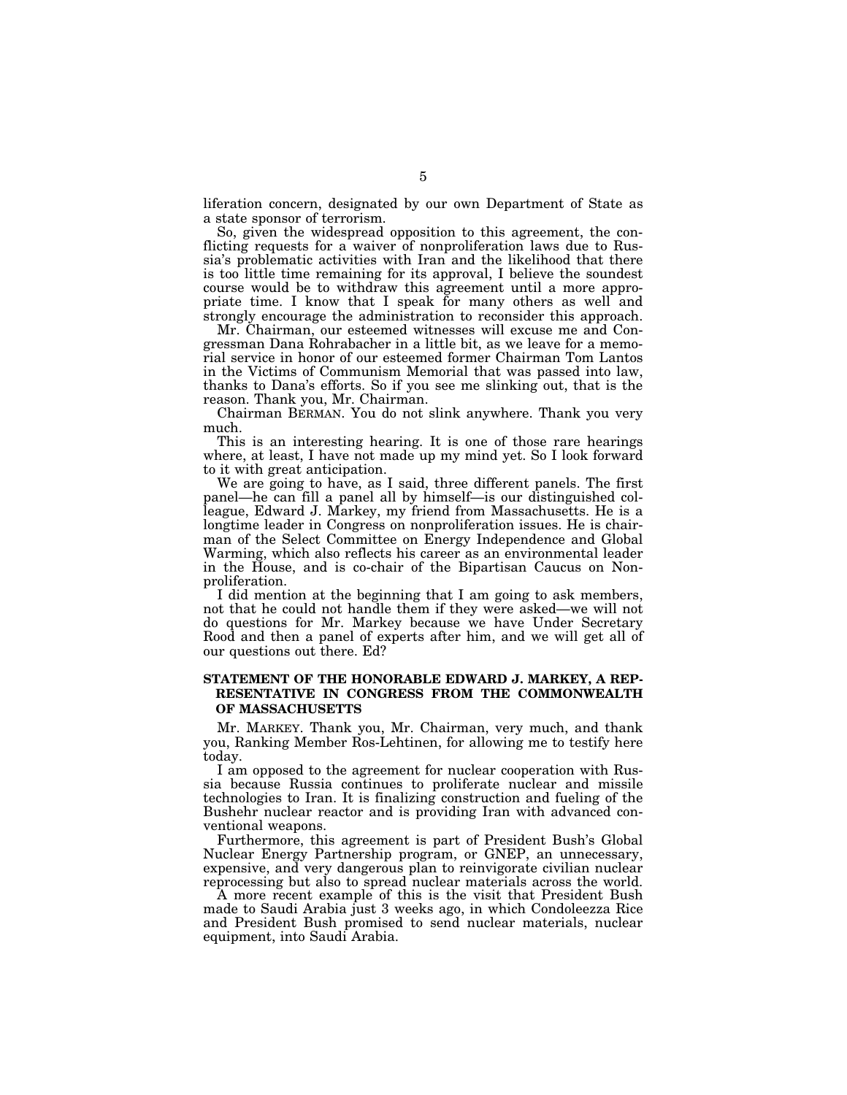liferation concern, designated by our own Department of State as a state sponsor of terrorism.

So, given the widespread opposition to this agreement, the conflicting requests for a waiver of nonproliferation laws due to Russia's problematic activities with Iran and the likelihood that there is too little time remaining for its approval, I believe the soundest course would be to withdraw this agreement until a more appropriate time. I know that I speak for many others as well and strongly encourage the administration to reconsider this approach.

Mr. Chairman, our esteemed witnesses will excuse me and Congressman Dana Rohrabacher in a little bit, as we leave for a memorial service in honor of our esteemed former Chairman Tom Lantos in the Victims of Communism Memorial that was passed into law, thanks to Dana's efforts. So if you see me slinking out, that is the reason. Thank you, Mr. Chairman.

Chairman BERMAN. You do not slink anywhere. Thank you very much.

This is an interesting hearing. It is one of those rare hearings where, at least, I have not made up my mind yet. So I look forward to it with great anticipation.

We are going to have, as I said, three different panels. The first panel—he can fill a panel all by himself—is our distinguished colleague, Edward J. Markey, my friend from Massachusetts. He is a longtime leader in Congress on nonproliferation issues. He is chairman of the Select Committee on Energy Independence and Global Warming, which also reflects his career as an environmental leader in the House, and is co-chair of the Bipartisan Caucus on Nonproliferation.

I did mention at the beginning that I am going to ask members, not that he could not handle them if they were asked—we will not do questions for Mr. Markey because we have Under Secretary Rood and then a panel of experts after him, and we will get all of our questions out there. Ed?

## **STATEMENT OF THE HONORABLE EDWARD J. MARKEY, A REP-RESENTATIVE IN CONGRESS FROM THE COMMONWEALTH OF MASSACHUSETTS**

Mr. MARKEY. Thank you, Mr. Chairman, very much, and thank you, Ranking Member Ros-Lehtinen, for allowing me to testify here today.

I am opposed to the agreement for nuclear cooperation with Russia because Russia continues to proliferate nuclear and missile technologies to Iran. It is finalizing construction and fueling of the Bushehr nuclear reactor and is providing Iran with advanced conventional weapons.

Furthermore, this agreement is part of President Bush's Global Nuclear Energy Partnership program, or GNEP, an unnecessary, expensive, and very dangerous plan to reinvigorate civilian nuclear reprocessing but also to spread nuclear materials across the world.

A more recent example of this is the visit that President Bush made to Saudi Arabia just 3 weeks ago, in which Condoleezza Rice and President Bush promised to send nuclear materials, nuclear equipment, into Saudi Arabia.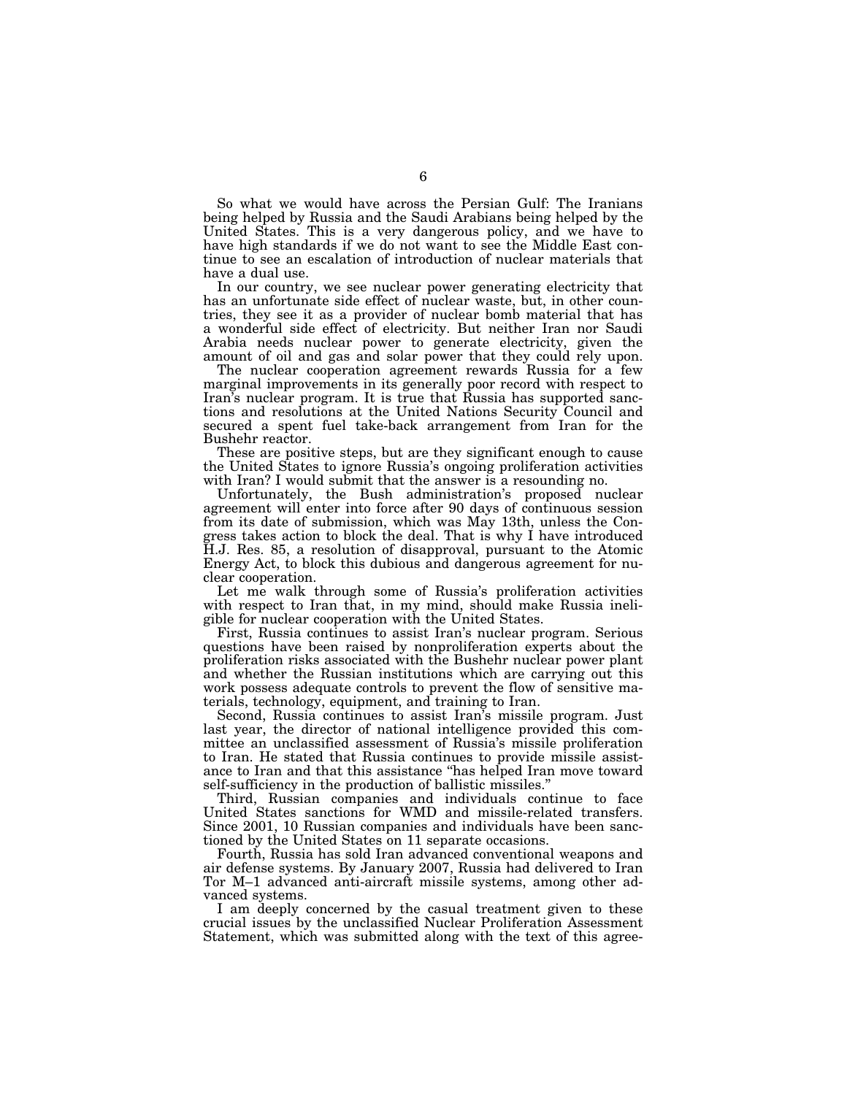So what we would have across the Persian Gulf: The Iranians being helped by Russia and the Saudi Arabians being helped by the United States. This is a very dangerous policy, and we have to have high standards if we do not want to see the Middle East continue to see an escalation of introduction of nuclear materials that have a dual use.

In our country, we see nuclear power generating electricity that has an unfortunate side effect of nuclear waste, but, in other countries, they see it as a provider of nuclear bomb material that has a wonderful side effect of electricity. But neither Iran nor Saudi Arabia needs nuclear power to generate electricity, given the amount of oil and gas and solar power that they could rely upon.

The nuclear cooperation agreement rewards Russia for a few marginal improvements in its generally poor record with respect to Iran's nuclear program. It is true that Russia has supported sanctions and resolutions at the United Nations Security Council and secured a spent fuel take-back arrangement from Iran for the Bushehr reactor.

These are positive steps, but are they significant enough to cause the United States to ignore Russia's ongoing proliferation activities with Iran? I would submit that the answer is a resounding no.

Unfortunately, the Bush administration's proposed nuclear agreement will enter into force after 90 days of continuous session from its date of submission, which was May 13th, unless the Congress takes action to block the deal. That is why I have introduced H.J. Res. 85, a resolution of disapproval, pursuant to the Atomic Energy Act, to block this dubious and dangerous agreement for nuclear cooperation.

Let me walk through some of Russia's proliferation activities with respect to Iran that, in my mind, should make Russia ineligible for nuclear cooperation with the United States.

First, Russia continues to assist Iran's nuclear program. Serious questions have been raised by nonproliferation experts about the proliferation risks associated with the Bushehr nuclear power plant and whether the Russian institutions which are carrying out this work possess adequate controls to prevent the flow of sensitive materials, technology, equipment, and training to Iran.

Second, Russia continues to assist Iran's missile program. Just last year, the director of national intelligence provided this committee an unclassified assessment of Russia's missile proliferation to Iran. He stated that Russia continues to provide missile assistance to Iran and that this assistance ''has helped Iran move toward self-sufficiency in the production of ballistic missiles.''

Third, Russian companies and individuals continue to face United States sanctions for WMD and missile-related transfers. Since 2001, 10 Russian companies and individuals have been sanctioned by the United States on 11 separate occasions.

Fourth, Russia has sold Iran advanced conventional weapons and air defense systems. By January 2007, Russia had delivered to Iran Tor M–1 advanced anti-aircraft missile systems, among other advanced systems.

I am deeply concerned by the casual treatment given to these crucial issues by the unclassified Nuclear Proliferation Assessment Statement, which was submitted along with the text of this agree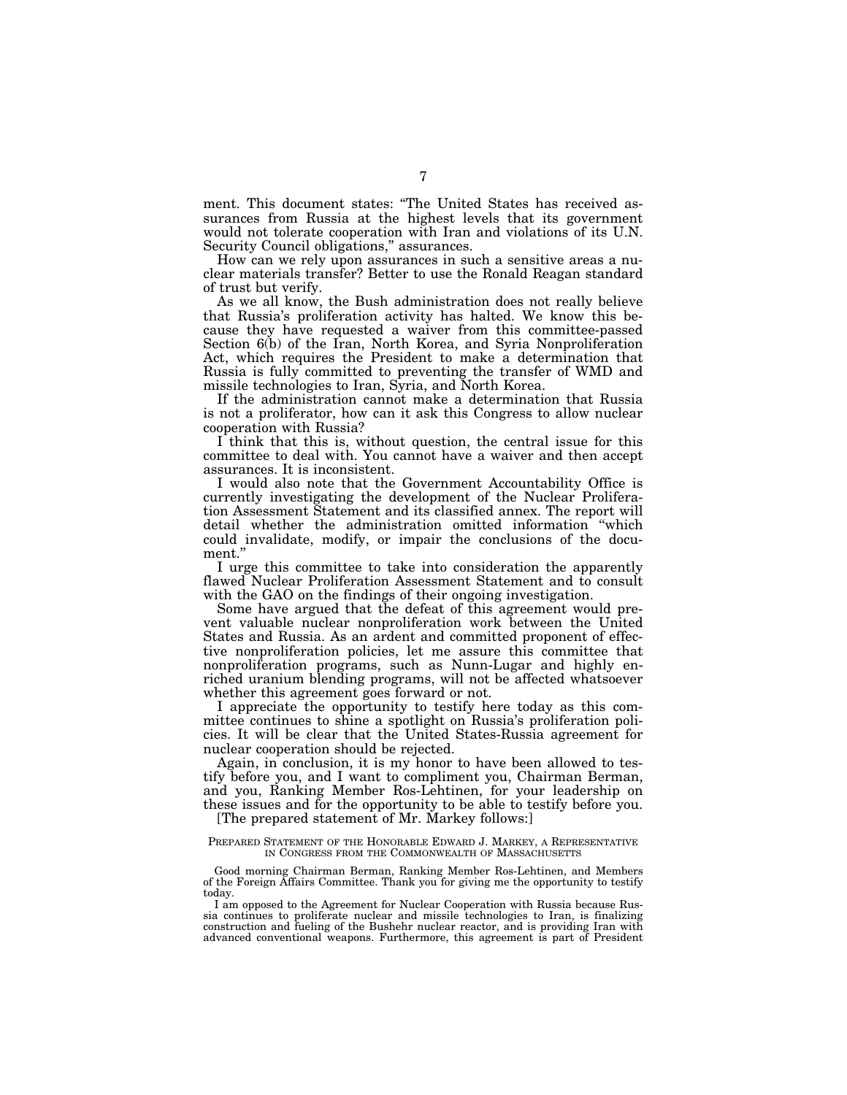ment. This document states: ''The United States has received assurances from Russia at the highest levels that its government would not tolerate cooperation with Iran and violations of its U.N. Security Council obligations," assurances.

How can we rely upon assurances in such a sensitive areas a nuclear materials transfer? Better to use the Ronald Reagan standard of trust but verify.

As we all know, the Bush administration does not really believe that Russia's proliferation activity has halted. We know this because they have requested a waiver from this committee-passed Section 6(b) of the Iran, North Korea, and Syria Nonproliferation Act, which requires the President to make a determination that Russia is fully committed to preventing the transfer of WMD and missile technologies to Iran, Syria, and North Korea.

If the administration cannot make a determination that Russia is not a proliferator, how can it ask this Congress to allow nuclear cooperation with Russia?

I think that this is, without question, the central issue for this committee to deal with. You cannot have a waiver and then accept assurances. It is inconsistent.

I would also note that the Government Accountability Office is currently investigating the development of the Nuclear Proliferation Assessment Statement and its classified annex. The report will detail whether the administration omitted information ''which could invalidate, modify, or impair the conclusions of the document.''

I urge this committee to take into consideration the apparently flawed Nuclear Proliferation Assessment Statement and to consult with the GAO on the findings of their ongoing investigation.

Some have argued that the defeat of this agreement would prevent valuable nuclear nonproliferation work between the United States and Russia. As an ardent and committed proponent of effective nonproliferation policies, let me assure this committee that nonproliferation programs, such as Nunn-Lugar and highly enriched uranium blending programs, will not be affected whatsoever whether this agreement goes forward or not.

I appreciate the opportunity to testify here today as this committee continues to shine a spotlight on Russia's proliferation policies. It will be clear that the United States-Russia agreement for nuclear cooperation should be rejected.

Again, in conclusion, it is my honor to have been allowed to testify before you, and I want to compliment you, Chairman Berman, and you, Ranking Member Ros-Lehtinen, for your leadership on these issues and for the opportunity to be able to testify before you.

[The prepared statement of Mr. Markey follows:]

#### PREPARED STATEMENT OF THE HONORABLE EDWARD J. MARKEY, A REPRESENTATIVE IN CONGRESS FROM THE COMMONWEALTH OF MASSACHUSETTS

Good morning Chairman Berman, Ranking Member Ros-Lehtinen, and Members of the Foreign Affairs Committee. Thank you for giving me the opportunity to testify today.

I am opposed to the Agreement for Nuclear Cooperation with Russia because Russia continues to proliferate nuclear and missile technologies to Iran, is finalizing construction and fueling of the Bushehr nuclear reactor, and is providing Iran with advanced conventional weapons. Furthermore, this agreement is part of President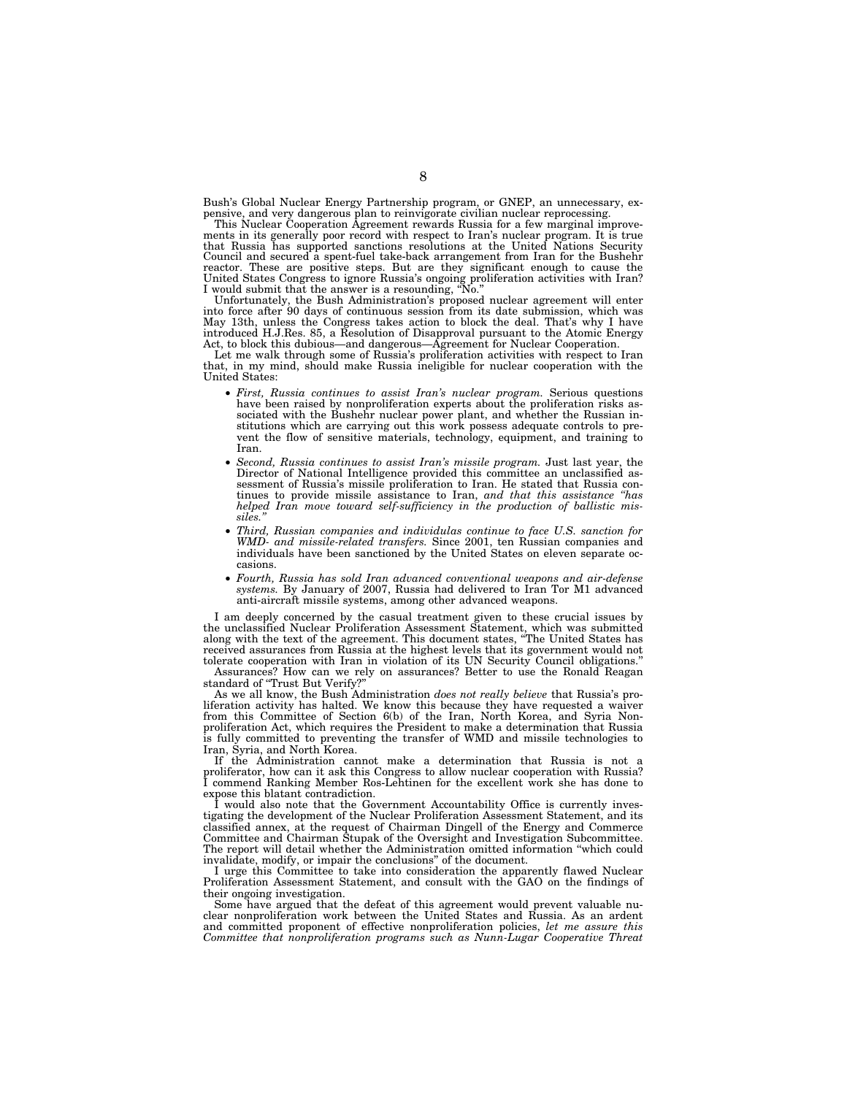Bush's Global Nuclear Energy Partnership program, or GNEP, an unnecessary, expensive, and very dangerous plan to reinvigorate civilian nuclear reprocessing.

This Nuclear Cooperation Agreement rewards Russia for a few marginal improvements in its generally poor record with respect to Iran's nuclear program. It is true that Russia has supported sanctions resolutions at the United Nations Security Council and secured a spent-fuel take-back arrangement from Iran for the Bushehr reactor. These are positive steps. But are they significant enough to cause the United States Congress to ignore Russia's ongoing proliferation activities with Iran? I would submit that the answer is a resounding, ''No.''

Unfortunately, the Bush Administration's proposed nuclear agreement will enter into force after 90 days of continuous session from its date submission, which was May 13th, unless the Congress takes action to block the deal. That's why I have introduced H.J.Res. 85, a Resolution of Disapproval pursuant to the Atomic Energy

Act, to block this dubious—and dangerous—Agreement for Nuclear Cooperation. Let me walk through some of Russia's proliferation activities with respect to Iran that, in my mind, should make Russia ineligible for nuclear cooperation with the United States:

- *First, Russia continues to assist Iran's nuclear program.* Serious questions have been raised by nonproliferation experts about the proliferation risks associated with the Bushehr nuclear power plant, and whether the Russian institutions which are carrying out this work possess adequate controls to prevent the flow of sensitive materials, technology, equipment, and training to Iran.
- *Second, Russia continues to assist Iran's missile program.* Just last year, the Director of National Intelligence provided this committee an unclassified assessment of Russia's missile proliferation to Iran. He stated that Russia continues to provide missile assistance to Iran, *and that this assistance ''has helped Iran move toward self-sufficiency in the production of ballistic missiles.''*
- *Third, Russian companies and individulas continue to face U.S. sanction for WMD- and missile-related transfers.* Since 2001, ten Russian companies and individuals have been sanctioned by the United States on eleven separate occasions.
- *Fourth, Russia has sold Iran advanced conventional weapons and air-defense systems.* By January of 2007, Russia had delivered to Iran Tor M1 advanced anti-aircraft missile systems, among other advanced weapons.

I am deeply concerned by the casual treatment given to these crucial issues by the unclassified Nuclear Proliferation Assessment Statement, which was submitted along with the text of the agreement. This document states, ''The United States has received assurances from Russia at the highest levels that its government would not tolerate cooperation with Iran in violation of its UN Security Council obligations.''

Assurances? How can we rely on assurances? Better to use the Ronald Reagan standard of ''Trust But Verify?''

As we all know, the Bush Administration *does not really believe* that Russia's proliferation activity has halted. We know this because they have requested a waiver from this Committee of Section 6(b) of the Iran, North Korea, and Syria Nonproliferation Act, which requires the President to make a determination that Russia is fully committed to preventing the transfer of WMD and missile technologies to Iran, Syria, and North Korea.

If the Administration cannot make a determination that Russia is not a proliferator, how can it ask this Congress to allow nuclear cooperation with Russia? I commend Ranking Member Ros-Lehtinen for the excellent work she has done to expose this blatant contradiction.

I would also note that the Government Accountability Office is currently investigating the development of the Nuclear Proliferation Assessment Statement, and its classified annex, at the request of Chairman Dingell of the Energy and Commerce Committee and Chairman Stupak of the Oversight and Investigation Subcommittee. The report will detail whether the Administration omitted information "which could invalidate, modify, or impair the conclusions'' of the document.

I urge this Committee to take into consideration the apparently flawed Nuclear Proliferation Assessment Statement, and consult with the GAO on the findings of their ongoing investigation.

Some have argued that the defeat of this agreement would prevent valuable nuclear nonproliferation work between the United States and Russia. As an ardent and committed proponent of effective nonproliferation policies, *let me assure this Committee that nonproliferation programs such as Nunn-Lugar Cooperative Threat*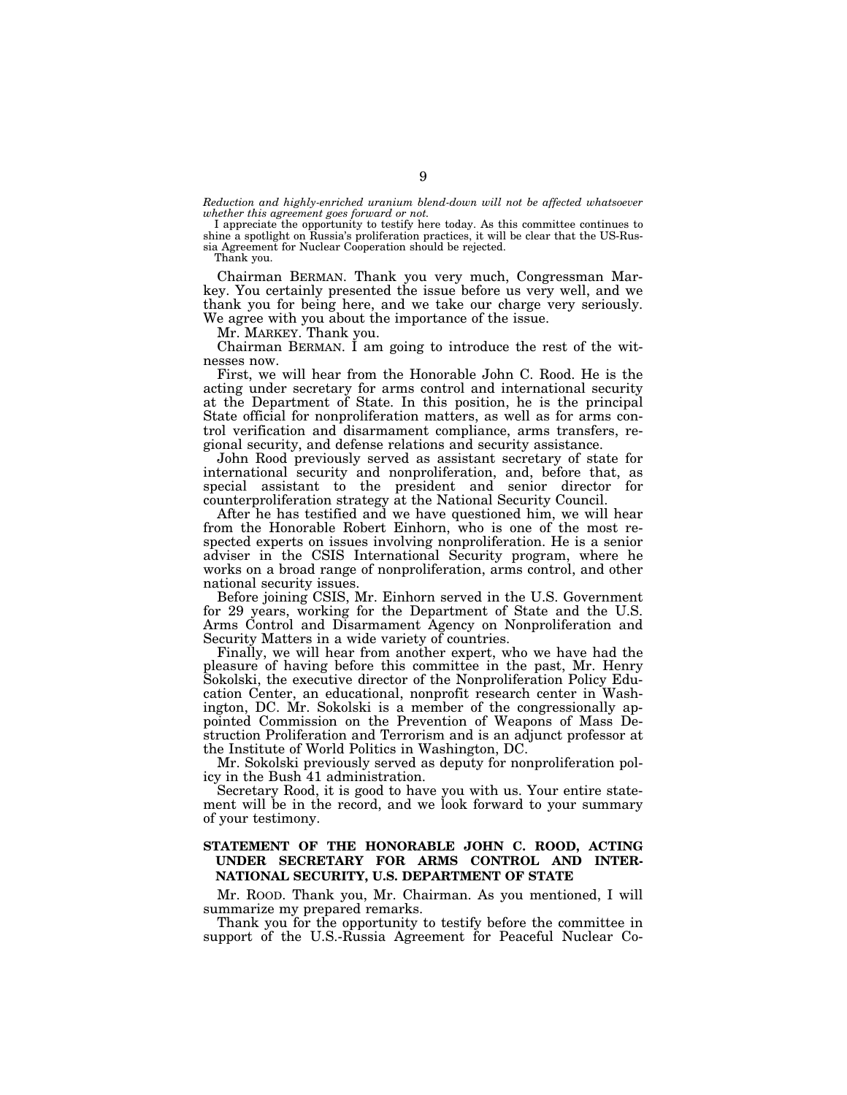*Reduction and highly-enriched uranium blend-down will not be affected whatsoever whether this agreement goes forward or not.* 

I appreciate the opportunity to testify here today. As this committee continues to shine a spotlight on Russia's proliferation practices, it will be clear that the US-Russia Agreement for Nuclear Cooperation should be rejected.

Thank you.

Chairman BERMAN. Thank you very much, Congressman Markey. You certainly presented the issue before us very well, and we thank you for being here, and we take our charge very seriously. We agree with you about the importance of the issue.

Mr. MARKEY. Thank you.

Chairman BERMAN. I am going to introduce the rest of the witnesses now.

First, we will hear from the Honorable John C. Rood. He is the acting under secretary for arms control and international security at the Department of State. In this position, he is the principal State official for nonproliferation matters, as well as for arms control verification and disarmament compliance, arms transfers, regional security, and defense relations and security assistance.

John Rood previously served as assistant secretary of state for international security and nonproliferation, and, before that, as special assistant to the president and senior director for counterproliferation strategy at the National Security Council.

After he has testified and we have questioned him, we will hear from the Honorable Robert Einhorn, who is one of the most respected experts on issues involving nonproliferation. He is a senior adviser in the CSIS International Security program, where he works on a broad range of nonproliferation, arms control, and other national security issues.

Before joining CSIS, Mr. Einhorn served in the U.S. Government for 29 years, working for the Department of State and the U.S. Arms Control and Disarmament Agency on Nonproliferation and Security Matters in a wide variety of countries.

Finally, we will hear from another expert, who we have had the pleasure of having before this committee in the past, Mr. Henry Sokolski, the executive director of the Nonproliferation Policy Education Center, an educational, nonprofit research center in Washington, DC. Mr. Sokolski is a member of the congressionally appointed Commission on the Prevention of Weapons of Mass Destruction Proliferation and Terrorism and is an adjunct professor at the Institute of World Politics in Washington, DC.

Mr. Sokolski previously served as deputy for nonproliferation policy in the Bush 41 administration.

Secretary Rood, it is good to have you with us. Your entire statement will be in the record, and we look forward to your summary of your testimony.

## **STATEMENT OF THE HONORABLE JOHN C. ROOD, ACTING UNDER SECRETARY FOR ARMS CONTROL AND INTER-NATIONAL SECURITY, U.S. DEPARTMENT OF STATE**

Mr. ROOD. Thank you, Mr. Chairman. As you mentioned, I will summarize my prepared remarks.

Thank you for the opportunity to testify before the committee in support of the U.S.-Russia Agreement for Peaceful Nuclear Co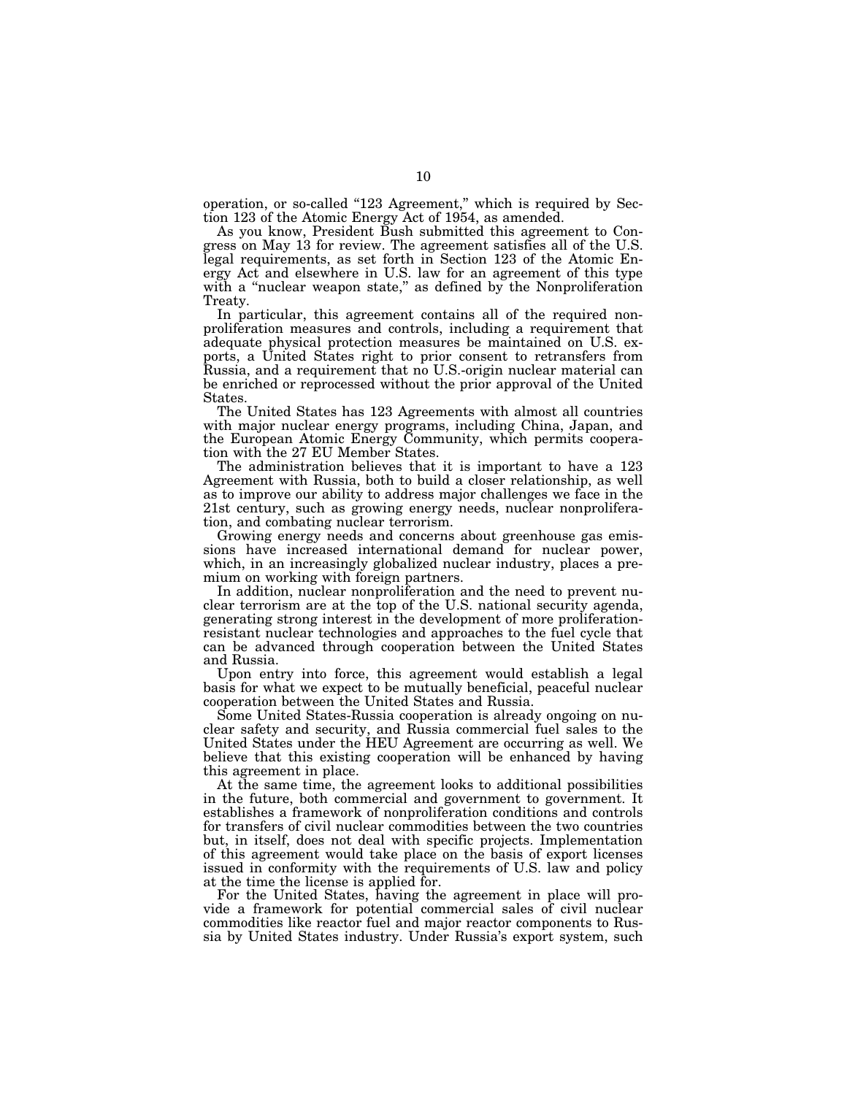operation, or so-called "123 Agreement," which is required by Section 123 of the Atomic Energy Act of 1954, as amended.

As you know, President Bush submitted this agreement to Congress on May 13 for review. The agreement satisfies all of the U.S. legal requirements, as set forth in Section 123 of the Atomic Energy Act and elsewhere in U.S. law for an agreement of this type with a "nuclear weapon state," as defined by the Nonproliferation Treaty.

In particular, this agreement contains all of the required nonproliferation measures and controls, including a requirement that adequate physical protection measures be maintained on U.S. exports, a United States right to prior consent to retransfers from Russia, and a requirement that no U.S.-origin nuclear material can be enriched or reprocessed without the prior approval of the United States.

The United States has 123 Agreements with almost all countries with major nuclear energy programs, including China, Japan, and the European Atomic Energy Community, which permits cooperation with the 27 EU Member States.

The administration believes that it is important to have a 123 Agreement with Russia, both to build a closer relationship, as well as to improve our ability to address major challenges we face in the 21st century, such as growing energy needs, nuclear nonproliferation, and combating nuclear terrorism.

Growing energy needs and concerns about greenhouse gas emissions have increased international demand for nuclear power, which, in an increasingly globalized nuclear industry, places a premium on working with foreign partners.

In addition, nuclear nonproliferation and the need to prevent nuclear terrorism are at the top of the U.S. national security agenda, generating strong interest in the development of more proliferationresistant nuclear technologies and approaches to the fuel cycle that can be advanced through cooperation between the United States and Russia.

Upon entry into force, this agreement would establish a legal basis for what we expect to be mutually beneficial, peaceful nuclear cooperation between the United States and Russia.

Some United States-Russia cooperation is already ongoing on nuclear safety and security, and Russia commercial fuel sales to the United States under the HEU Agreement are occurring as well. We believe that this existing cooperation will be enhanced by having this agreement in place.

At the same time, the agreement looks to additional possibilities in the future, both commercial and government to government. It establishes a framework of nonproliferation conditions and controls for transfers of civil nuclear commodities between the two countries but, in itself, does not deal with specific projects. Implementation of this agreement would take place on the basis of export licenses issued in conformity with the requirements of U.S. law and policy at the time the license is applied for.

For the United States, having the agreement in place will provide a framework for potential commercial sales of civil nuclear commodities like reactor fuel and major reactor components to Russia by United States industry. Under Russia's export system, such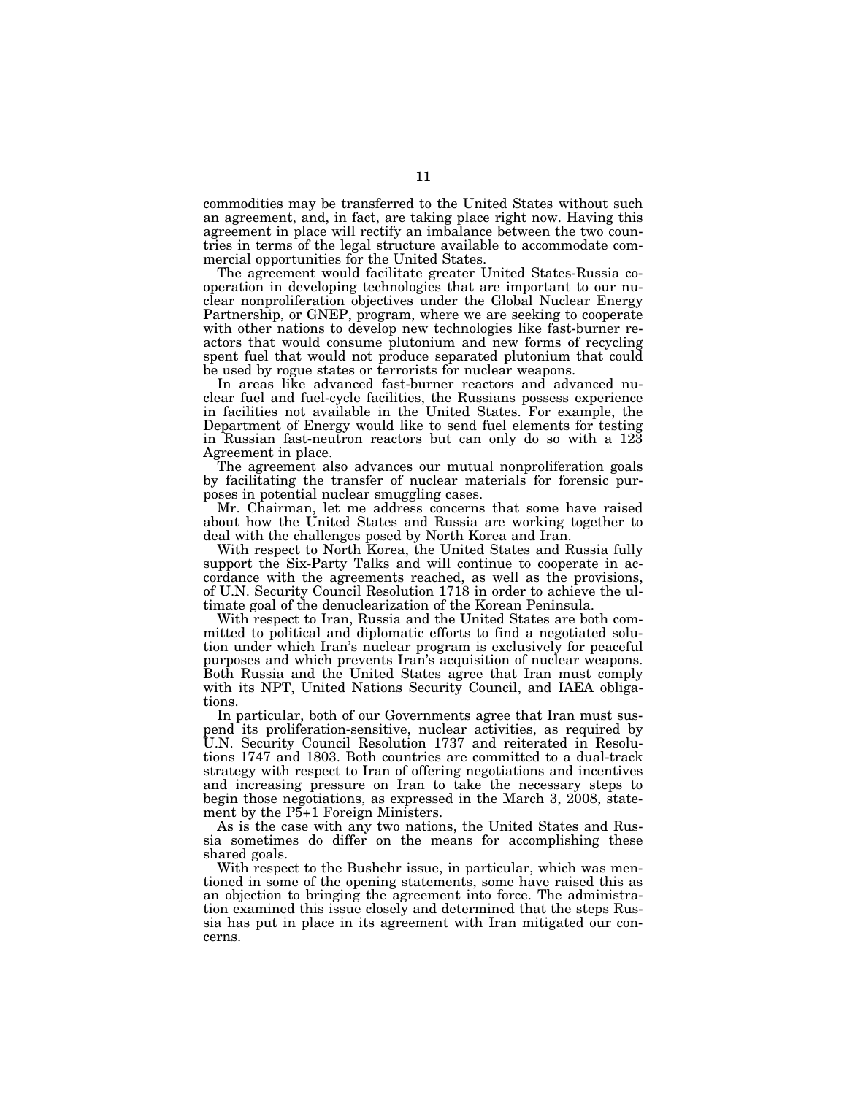commodities may be transferred to the United States without such an agreement, and, in fact, are taking place right now. Having this agreement in place will rectify an imbalance between the two countries in terms of the legal structure available to accommodate commercial opportunities for the United States.

The agreement would facilitate greater United States-Russia cooperation in developing technologies that are important to our nuclear nonproliferation objectives under the Global Nuclear Energy Partnership, or GNEP, program, where we are seeking to cooperate with other nations to develop new technologies like fast-burner reactors that would consume plutonium and new forms of recycling spent fuel that would not produce separated plutonium that could be used by rogue states or terrorists for nuclear weapons.

In areas like advanced fast-burner reactors and advanced nuclear fuel and fuel-cycle facilities, the Russians possess experience in facilities not available in the United States. For example, the Department of Energy would like to send fuel elements for testing in Russian fast-neutron reactors but can only do so with a 123 Agreement in place.

The agreement also advances our mutual nonproliferation goals by facilitating the transfer of nuclear materials for forensic purposes in potential nuclear smuggling cases.

Mr. Chairman, let me address concerns that some have raised about how the United States and Russia are working together to deal with the challenges posed by North Korea and Iran.

With respect to North Korea, the United States and Russia fully support the Six-Party Talks and will continue to cooperate in accordance with the agreements reached, as well as the provisions, of U.N. Security Council Resolution 1718 in order to achieve the ultimate goal of the denuclearization of the Korean Peninsula.

With respect to Iran, Russia and the United States are both committed to political and diplomatic efforts to find a negotiated solution under which Iran's nuclear program is exclusively for peaceful purposes and which prevents Iran's acquisition of nuclear weapons. Both Russia and the United States agree that Iran must comply with its NPT, United Nations Security Council, and IAEA obligations.

In particular, both of our Governments agree that Iran must suspend its proliferation-sensitive, nuclear activities, as required by U.N. Security Council Resolution 1737 and reiterated in Resolutions 1747 and 1803. Both countries are committed to a dual-track strategy with respect to Iran of offering negotiations and incentives and increasing pressure on Iran to take the necessary steps to begin those negotiations, as expressed in the March 3, 2008, statement by the P5+1 Foreign Ministers.

As is the case with any two nations, the United States and Russia sometimes do differ on the means for accomplishing these shared goals.

With respect to the Bushehr issue, in particular, which was mentioned in some of the opening statements, some have raised this as an objection to bringing the agreement into force. The administration examined this issue closely and determined that the steps Russia has put in place in its agreement with Iran mitigated our concerns.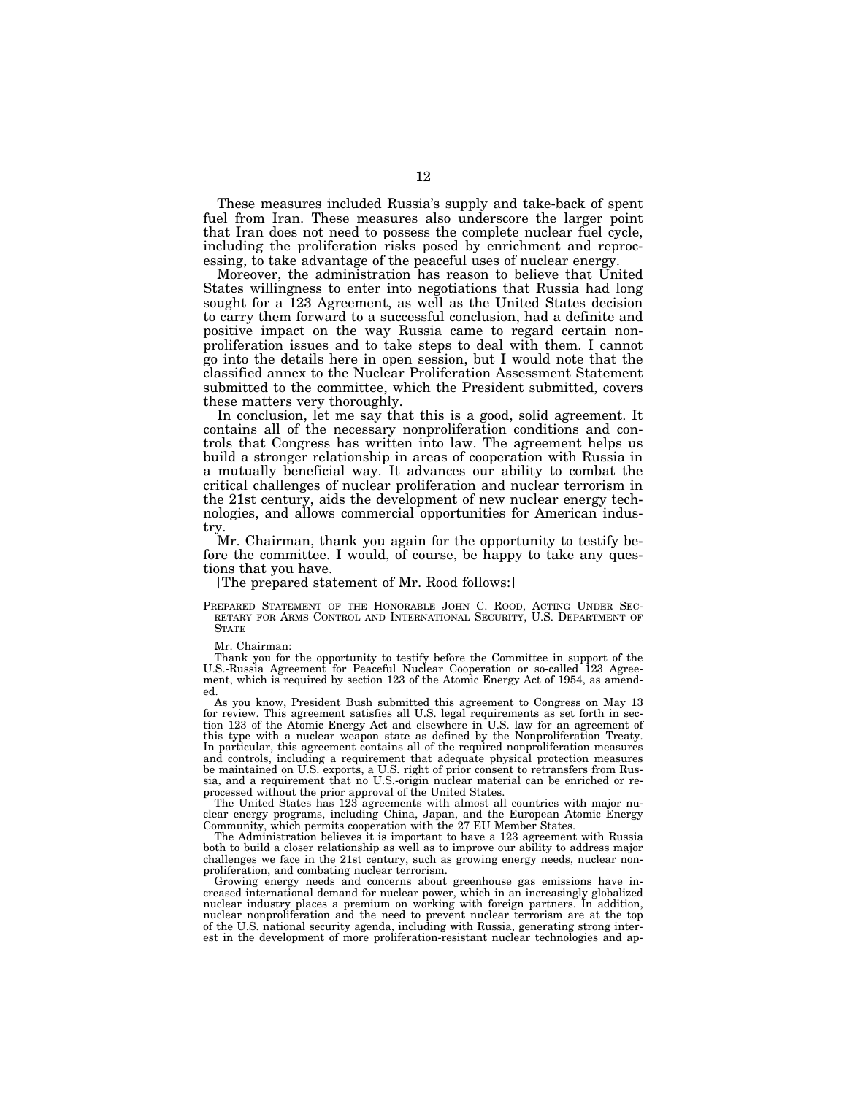These measures included Russia's supply and take-back of spent fuel from Iran. These measures also underscore the larger point that Iran does not need to possess the complete nuclear fuel cycle, including the proliferation risks posed by enrichment and reprocessing, to take advantage of the peaceful uses of nuclear energy.

Moreover, the administration has reason to believe that United States willingness to enter into negotiations that Russia had long sought for a 123 Agreement, as well as the United States decision to carry them forward to a successful conclusion, had a definite and positive impact on the way Russia came to regard certain nonproliferation issues and to take steps to deal with them. I cannot go into the details here in open session, but I would note that the classified annex to the Nuclear Proliferation Assessment Statement submitted to the committee, which the President submitted, covers these matters very thoroughly.

In conclusion, let me say that this is a good, solid agreement. It contains all of the necessary nonproliferation conditions and controls that Congress has written into law. The agreement helps us build a stronger relationship in areas of cooperation with Russia in a mutually beneficial way. It advances our ability to combat the critical challenges of nuclear proliferation and nuclear terrorism in the 21st century, aids the development of new nuclear energy technologies, and allows commercial opportunities for American industry.

Mr. Chairman, thank you again for the opportunity to testify before the committee. I would, of course, be happy to take any questions that you have.

#### [The prepared statement of Mr. Rood follows:]

PREPARED STATEMENT OF THE HONORABLE JOHN C. ROOD, ACTING UNDER SEC-RETARY FOR ARMS CONTROL AND INTERNATIONAL SECURITY, U.S. DEPARTMENT OF **STATE** 

Mr. Chairman:

Thank you for the opportunity to testify before the Committee in support of the U.S.-Russia Agreement for Peaceful Nuclear Cooperation or so-called 123 Agreement, which is required by section 123 of the Atomic Energy Act of 1954, as amended.

As you know, President Bush submitted this agreement to Congress on May 13 for review. This agreement satisfies all U.S. legal requirements as set forth in section 123 of the Atomic Energy Act and elsewhere in U.S. law for an agreement of this type with a nuclear weapon state as defined by the Nonproliferation Treaty. In particular, this agreement contains all of the required nonproliferation measures and controls, including a requirement that adequate physical protection measures be maintained on U.S. exports, a U.S. right of prior consent to retransfers from Russia, and a requirement that no U.S.-origin nuclear material can be enriched or reprocessed without the prior approval of the United States.

The United States has 123 agreements with almost all countries with major nuclear energy programs, including China, Japan, and the European Atomic Energy Community, which permits cooperation with the 27 EU Member States.

The Administration believes it is important to have a 123 agreement with Russia both to build a closer relationship as well as to improve our ability to address major challenges we face in the 21st century, such as growing energy needs, nuclear nonproliferation, and combating nuclear terrorism.

Growing energy needs and concerns about greenhouse gas emissions have increased international demand for nuclear power, which in an increasingly globalized nuclear industry places a premium on working with foreign partners. In addition, nuclear nonproliferation and the need to prevent nuclear terrorism are at the top of the U.S. national security agenda, including with Russia, generating strong interest in the development of more proliferation-resistant nuclear technologies and ap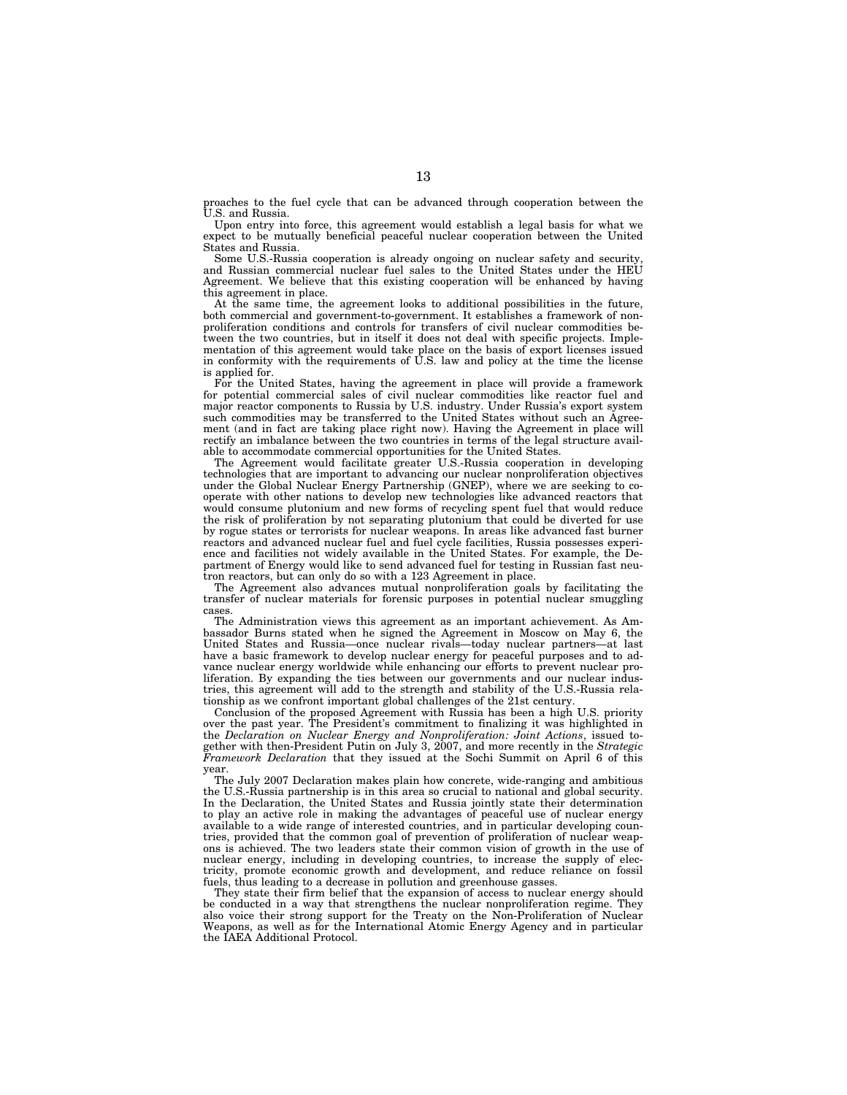proaches to the fuel cycle that can be advanced through cooperation between the U.S. and Russia.

Upon entry into force, this agreement would establish a legal basis for what we expect to be mutually beneficial peaceful nuclear cooperation between the United States and Russia.

Some U.S.-Russia cooperation is already ongoing on nuclear safety and security, and Russian commercial nuclear fuel sales to the United States under the HEU Agreement. We believe that this existing cooperation will be enhanced by having this agreement in place.

At the same time, the agreement looks to additional possibilities in the future, both commercial and government-to-government. It establishes a framework of nonproliferation conditions and controls for transfers of civil nuclear commodities between the two countries, but in itself it does not deal with specific projects. Implementation of this agreement would take place on the basis of export licenses issued in conformity with the requirements of U.S. law and policy at the time the license is applied for.

For the United States, having the agreement in place will provide a framework for potential commercial sales of civil nuclear commodities like reactor fuel and major reactor components to Russia by U.S. industry. Under Russia's export system such commodities may be transferred to the United States without such an Agreement (and in fact are taking place right now). Having the Agreement in place will rectify an imbalance between the two countries in terms of the legal structure available to accommodate commercial opportunities for the United States.

The Agreement would facilitate greater U.S.-Russia cooperation in developing technologies that are important to advancing our nuclear nonproliferation objectives under the Global Nuclear Energy Partnership (GNEP), where we are seeking to cooperate with other nations to develop new technologies like advanced reactors that would consume plutonium and new forms of recycling spent fuel that would reduce the risk of proliferation by not separating plutonium that could be diverted for use by rogue states or terrorists for nuclear weapons. In areas like advanced fast burner reactors and advanced nuclear fuel and fuel cycle facilities, Russia possesses experience and facilities not widely available in the United States. For example, the Department of Energy would like to send advanced fuel for testing in Russian fast neutron reactors, but can only do so with a 123 Agreement in place.

The Agreement also advances mutual nonproliferation goals by facilitating the transfer of nuclear materials for forensic purposes in potential nuclear smuggling cases.

The Administration views this agreement as an important achievement. As Ambassador Burns stated when he signed the Agreement in Moscow on May 6, the United States and Russia—once nuclear rivals—today nuclear partners—at last have a basic framework to develop nuclear energy for peaceful purposes and to advance nuclear energy worldwide while enhancing our efforts to prevent nuclear proliferation. By expanding the ties between our governments and our nuclear industries, this agreement will add to the strength and stability of the U.S.-Russia relationship as we confront important global challenges of the 21st century.

Conclusion of the proposed Agreement with Russia has been a high U.S. priority over the past year. The President's commitment to finalizing it was highlighted in the *Declaration on Nuclear Energy and Nonproliferation: Joint Actions*, issued together with then-President Putin on July 3, 2007, and more recently in the *Strategic Framework Declaration* that they issued at the Sochi Summit on April 6 of this year.

The July 2007 Declaration makes plain how concrete, wide-ranging and ambitious the U.S.-Russia partnership is in this area so crucial to national and global security. In the Declaration, the United States and Russia jointly state their determination to play an active role in making the advantages of peaceful use of nuclear energy available to a wide range of interested countries, and in particular developing countries, provided that the common goal of prevention of proliferation of nuclear weapons is achieved. The two leaders state their common vision of growth in the use of nuclear energy, including in developing countries, to increase the supply of electricity, promote economic growth and development, and reduce reliance on fossil fuels, thus leading to a decrease in pollution and greenhouse gasses.

They state their firm belief that the expansion of access to nuclear energy should be conducted in a way that strengthens the nuclear nonproliferation regime. They also voice their strong support for the Treaty on the Non-Proliferation of Nuclear Weapons, as well as for the International Atomic Energy Agency and in particular the IAEA Additional Protocol.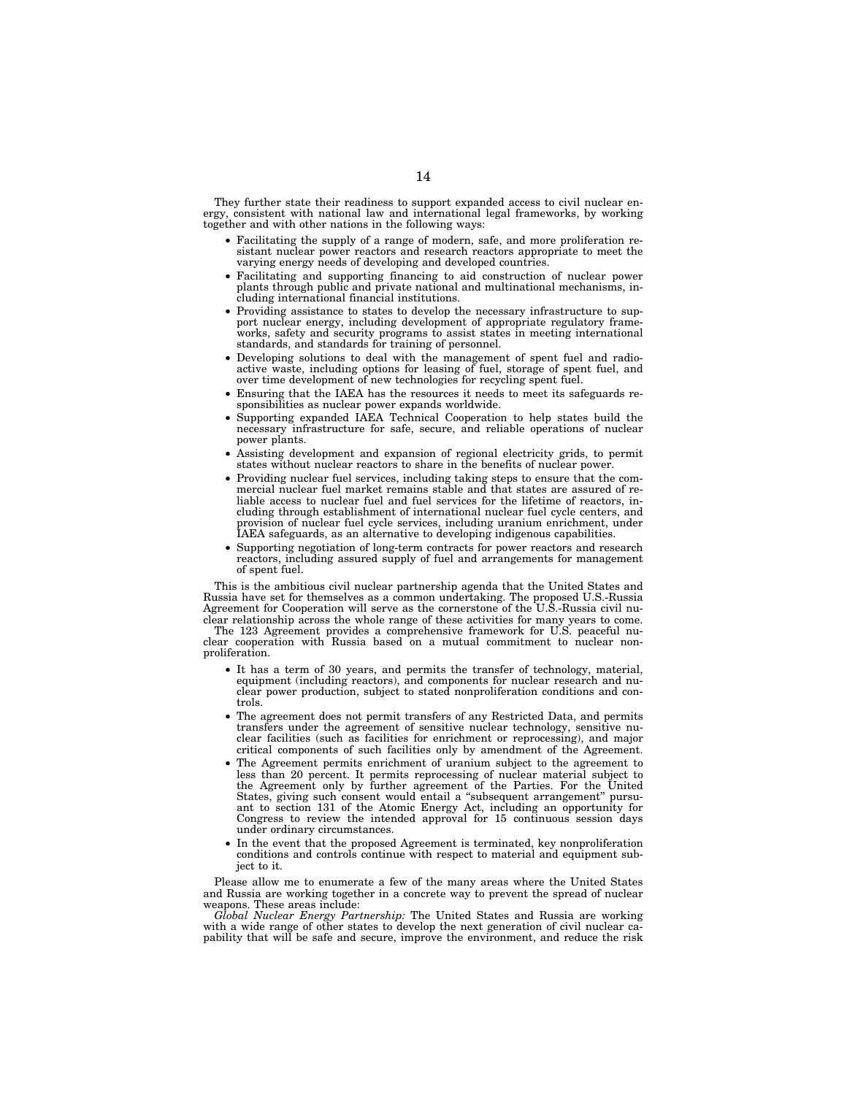They further state their readiness to support expanded access to civil nuclear energy, consistent with national law and international legal frameworks, by working together and with other nations in the following ways:

- Facilitating the supply of a range of modern, safe, and more proliferation resistant nuclear power reactors and research reactors appropriate to meet the varying energy needs of developing and developed countries.
- Facilitating and supporting financing to aid construction of nuclear power plants through public and private national and multinational mechanisms, including international financial institutions.
- Providing assistance to states to develop the necessary infrastructure to support nuclear energy, including development of appropriate regulatory frameworks, safety and security programs to assist states in meeting international standards, and standards for training of personnel.
- Developing solutions to deal with the management of spent fuel and radioactive waste, including options for leasing of fuel, storage of spent fuel, and over time development of new technologies for recycling spent fuel.
- Ensuring that the IAEA has the resources it needs to meet its safeguards responsibilities as nuclear power expands worldwide.
- Supporting expanded IAEA Technical Cooperation to help states build the necessary infrastructure for safe, secure, and reliable operations of nuclear power plants.
- Assisting development and expansion of regional electricity grids, to permit states without nuclear reactors to share in the benefits of nuclear power.
- Providing nuclear fuel services, including taking steps to ensure that the com-mercial nuclear fuel market remains stable and that states are assured of reliable access to nuclear fuel and fuel services for the lifetime of reactors, including through establishment of international nuclear fuel cycle centers, and provision of nuclear fuel cycle services, including uranium enrichment, under IAEA safeguards, as an alternative to developing indigenous capabilities.
- Supporting negotiation of long-term contracts for power reactors and research reactors, including assured supply of fuel and arrangements for management of spent fuel.

This is the ambitious civil nuclear partnership agenda that the United States and Russia have set for themselves as a common undertaking. The proposed U.S.-Russia Agreement for Cooperation will serve as the cornerstone of the U.S.-Russia civil nuclear relationship across the whole range of these activities for many years to come.

The 123 Agreement provides a comprehensive framework for U.S. peaceful nuclear cooperation with Russia based on a mutual commitment to nuclear nonproliferation.

- It has a term of 30 years, and permits the transfer of technology, material, equipment (including reactors), and components for nuclear research and nuclear power production, subject to stated nonproliferation conditions and controls.
- The agreement does not permit transfers of any Restricted Data, and permits transfers under the agreement of sensitive nuclear technology, sensitive nuclear facilities (such as facilities for enrichment or reprocessing), and major critical components of such facilities only by amendment of the Agreement.
- The Agreement permits enrichment of uranium subject to the agreement to less than 20 percent. It permits reprocessing of nuclear material subject to the Agreement only by further agreement of the Parties. For the United States, giving such consent would entail a ''subsequent arrangement'' pursuant to section 131 of the Atomic Energy Act, including an opportunity for Congress to review the intended approval for 15 continuous session days under ordinary circumstances.
- In the event that the proposed Agreement is terminated, key nonproliferation conditions and controls continue with respect to material and equipment subject to it.

Please allow me to enumerate a few of the many areas where the United States and Russia are working together in a concrete way to prevent the spread of nuclear weapons. These areas include:

*Global Nuclear Energy Partnership:* The United States and Russia are working with a wide range of other states to develop the next generation of civil nuclear capability that will be safe and secure, improve the environment, and reduce the risk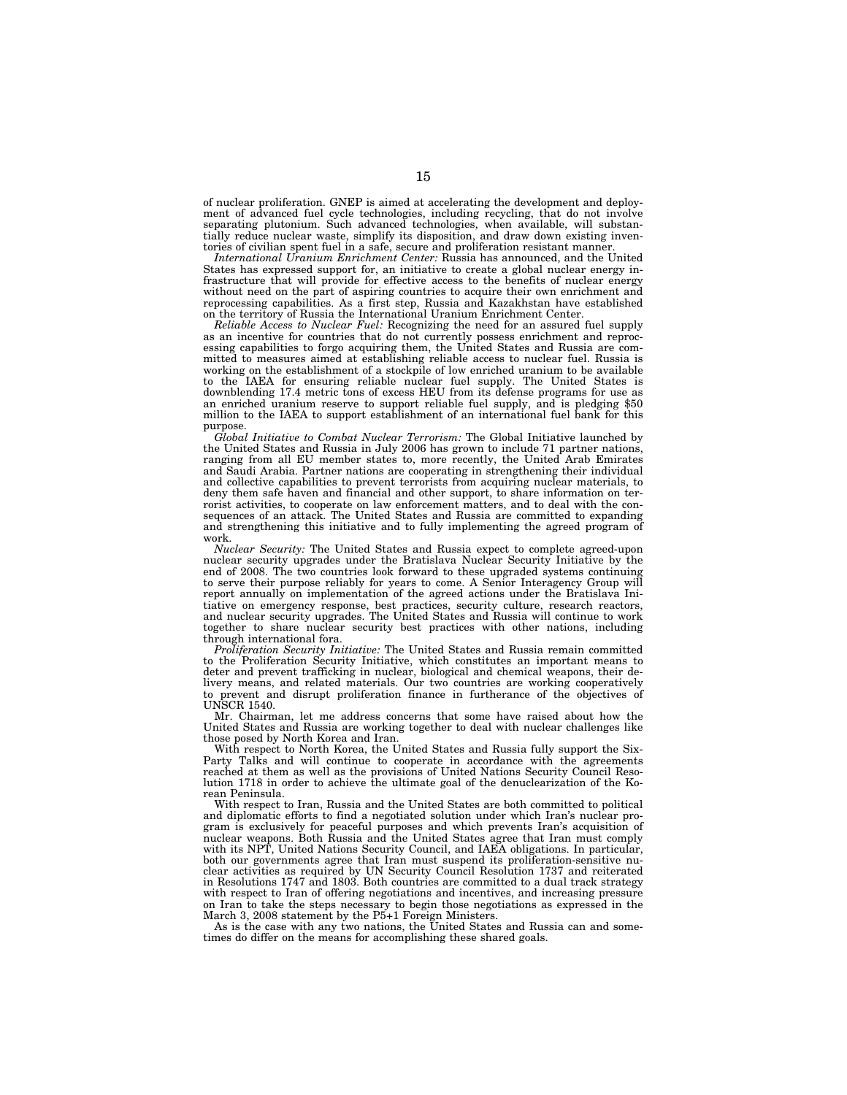of nuclear proliferation. GNEP is aimed at accelerating the development and deployment of advanced fuel cycle technologies, including recycling, that do not involve separating plutonium. Such advanced technologies, when available, will substantially reduce nuclear waste, simplify its disposition, and draw down existing inventories of civilian spent fuel in a safe, secure and proliferation resistant manner.

*International Uranium Enrichment Center:* Russia has announced, and the United States has expressed support for, an initiative to create a global nuclear energy infrastructure that will provide for effective access to the benefits of nuclear energy without need on the part of aspiring countries to acquire their own enrichment and reprocessing capabilities. As a first step, Russia and Kazakhstan have established on the territory of Russia the International Uranium Enrichment Center.

*Reliable Access to Nuclear Fuel:* Recognizing the need for an assured fuel supply as an incentive for countries that do not currently possess enrichment and reprocessing capabilities to forgo acquiring them, the United States and Russia are committed to measures aimed at establishing reliable access to nuclear fuel. Russia is working on the establishment of a stockpile of low enriched uranium to be available to the IAEA for ensuring reliable nuclear fuel supply. The United States is downblending 17.4 metric tons of excess HEU from its defense programs for use as an enriched uranium reserve to support reliable fuel supply, and is pledging \$50 million to the IAEA to support establishment of an international fuel bank for this purpose.

*Global Initiative to Combat Nuclear Terrorism:* The Global Initiative launched by the United States and Russia in July 2006 has grown to include 71 partner nations, ranging from all EU member states to, more recently, the United Arab Emirates and Saudi Arabia. Partner nations are cooperating in strengthening their individual and collective capabilities to prevent terrorists from acquiring nuclear materials, to deny them safe haven and financial and other support, to share information on terrorist activities, to cooperate on law enforcement matters, and to deal with the consequences of an attack. The United States and Russia are committed to expanding and strengthening this initiative and to fully implementing the agreed program of work.

*Nuclear Security:* The United States and Russia expect to complete agreed-upon nuclear security upgrades under the Bratislava Nuclear Security Initiative by the end of 2008. The two countries look forward to these upgraded systems continuing to serve their purpose reliably for years to come. A Senior Interagency Group will report annually on implementation of the agreed actions under the Bratislava Initiative on emergency response, best practices, security culture, research reactors, and nuclear security upgrades. The United States and Russia will continue to work together to share nuclear security best practices with other nations, including through international fora.

*Proliferation Security Initiative:* The United States and Russia remain committed to the Proliferation Security Initiative, which constitutes an important means to deter and prevent trafficking in nuclear, biological and chemical weapons, their delivery means, and related materials. Our two countries are working cooperatively to prevent and disrupt proliferation finance in furtherance of the objectives of UNSCR 1540.

Mr. Chairman, let me address concerns that some have raised about how the United States and Russia are working together to deal with nuclear challenges like those posed by North Korea and Iran.

With respect to North Korea, the United States and Russia fully support the Six-Party Talks and will continue to cooperate in accordance with the agreements reached at them as well as the provisions of United Nations Security Council Resolution 1718 in order to achieve the ultimate goal of the denuclearization of the Korean Peninsula.

With respect to Iran, Russia and the United States are both committed to political and diplomatic efforts to find a negotiated solution under which Iran's nuclear program is exclusively for peaceful purposes and which prevents Iran's acquisition of nuclear weapons. Both Russia and the United States agree that Iran must comply with its NPT, United Nations Security Council, and IAEA obligations. In particular, both our governments agree that Iran must suspend its proliferation-sensitive nuclear activities as required by UN Security Council Resolution 1737 and reiterated in Resolutions 1747 and 1803. Both countries are committed to a dual track strategy with respect to Iran of offering negotiations and incentives, and increasing pressure on Iran to take the steps necessary to begin those negotiations as expressed in the March 3, 2008 statement by the P5+1 Foreign Ministers.

As is the case with any two nations, the United States and Russia can and sometimes do differ on the means for accomplishing these shared goals.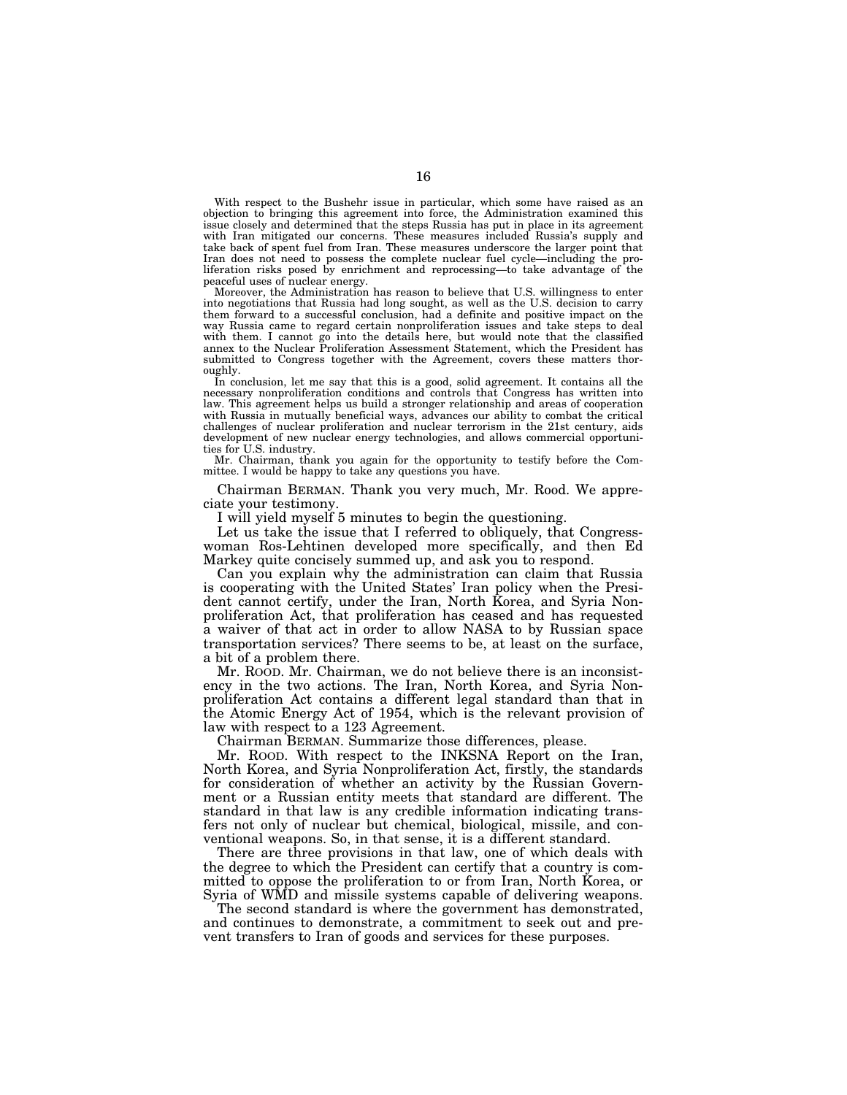With respect to the Bushehr issue in particular, which some have raised as an objection to bringing this agreement into force, the Administration examined this issue closely and determined that the steps Russia has put in place in its agreement with Iran mitigated our concerns. These measures included Russia's supply and take back of spent fuel from Iran. These measures underscore the larger point that Iran does not need to possess the complete nuclear fuel cycle—including the proliferation risks posed by enrichment and reprocessing—to take advantage of the peaceful uses of nuclear energy.

Moreover, the Administration has reason to believe that U.S. willingness to enter into negotiations that Russia had long sought, as well as the U.S. decision to carry them forward to a successful conclusion, had a definite and positive impact on the way Russia came to regard certain nonproliferation issues and take steps to deal with them. I cannot go into the details here, but would note that the classified annex to the Nuclear Proliferation Assessment Statement, which the President has submitted to Congress together with the Agreement, covers these matters thoroughly.

In conclusion, let me say that this is a good, solid agreement. It contains all the necessary nonproliferation conditions and controls that Congress has written into law. This agreement helps us build a stronger relationship and areas of cooperation with Russia in mutually beneficial ways, advances our ability to combat the critical challenges of nuclear proliferation and nuclear terrorism in the 21st century, aids development of new nuclear energy technologies, and allows commercial opportunities for U.S. industry.

Mr. Chairman, thank you again for the opportunity to testify before the Committee. I would be happy to take any questions you have.

Chairman BERMAN. Thank you very much, Mr. Rood. We appreciate your testimony.

I will yield myself 5 minutes to begin the questioning.

Let us take the issue that I referred to obliquely, that Congresswoman Ros-Lehtinen developed more specifically, and then Ed Markey quite concisely summed up, and ask you to respond.

Can you explain why the administration can claim that Russia is cooperating with the United States' Iran policy when the President cannot certify, under the Iran, North Korea, and Syria Nonproliferation Act, that proliferation has ceased and has requested a waiver of that act in order to allow NASA to by Russian space transportation services? There seems to be, at least on the surface, a bit of a problem there.

Mr. ROOD. Mr. Chairman, we do not believe there is an inconsistency in the two actions. The Iran, North Korea, and Syria Nonproliferation Act contains a different legal standard than that in the Atomic Energy Act of 1954, which is the relevant provision of law with respect to a 123 Agreement.

Chairman BERMAN. Summarize those differences, please.

Mr. ROOD. With respect to the INKSNA Report on the Iran, North Korea, and Syria Nonproliferation Act, firstly, the standards for consideration of whether an activity by the Russian Government or a Russian entity meets that standard are different. The standard in that law is any credible information indicating transfers not only of nuclear but chemical, biological, missile, and conventional weapons. So, in that sense, it is a different standard.

There are three provisions in that law, one of which deals with the degree to which the President can certify that a country is committed to oppose the proliferation to or from Iran, North Korea, or Syria of WMD and missile systems capable of delivering weapons.

The second standard is where the government has demonstrated, and continues to demonstrate, a commitment to seek out and prevent transfers to Iran of goods and services for these purposes.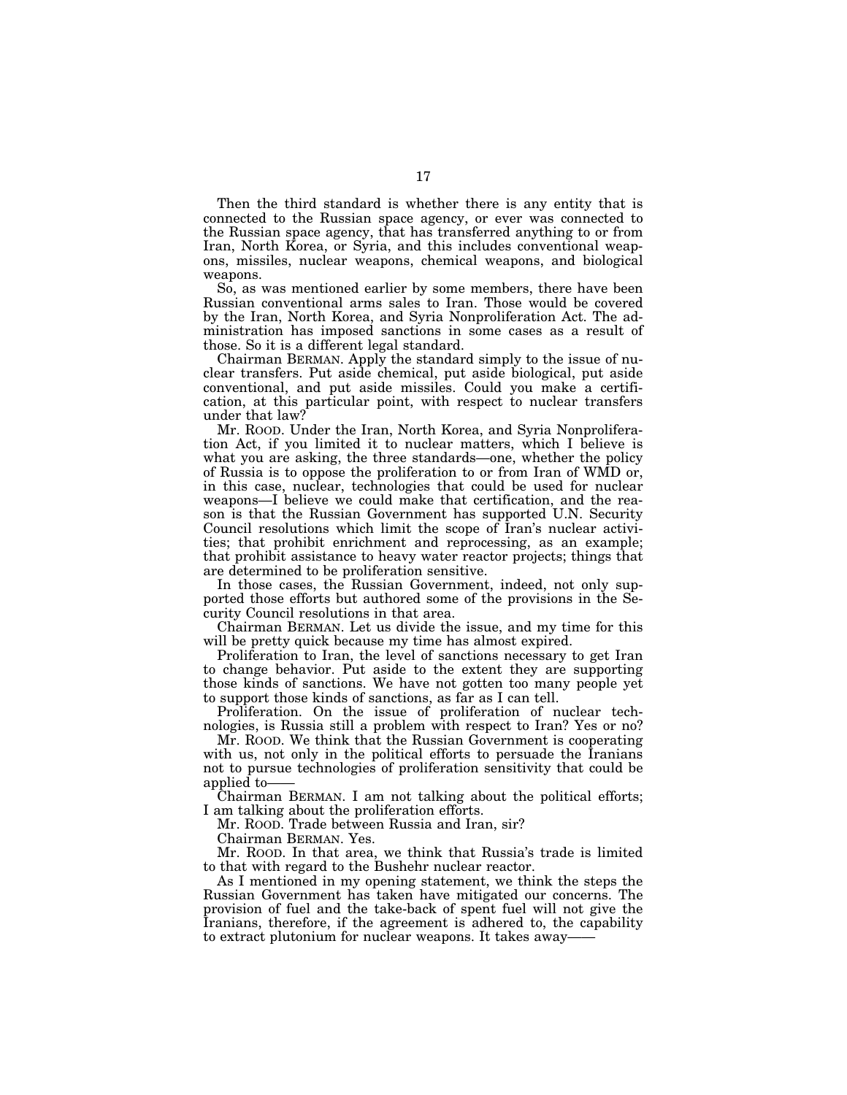Then the third standard is whether there is any entity that is connected to the Russian space agency, or ever was connected to the Russian space agency, that has transferred anything to or from Iran, North Korea, or Syria, and this includes conventional weapons, missiles, nuclear weapons, chemical weapons, and biological weapons.

So, as was mentioned earlier by some members, there have been Russian conventional arms sales to Iran. Those would be covered by the Iran, North Korea, and Syria Nonproliferation Act. The administration has imposed sanctions in some cases as a result of those. So it is a different legal standard.

Chairman BERMAN. Apply the standard simply to the issue of nuclear transfers. Put aside chemical, put aside biological, put aside conventional, and put aside missiles. Could you make a certification, at this particular point, with respect to nuclear transfers under that law?

Mr. ROOD. Under the Iran, North Korea, and Syria Nonproliferation Act, if you limited it to nuclear matters, which I believe is what you are asking, the three standards—one, whether the policy of Russia is to oppose the proliferation to or from Iran of WMD or, in this case, nuclear, technologies that could be used for nuclear weapons—I believe we could make that certification, and the reason is that the Russian Government has supported U.N. Security Council resolutions which limit the scope of Iran's nuclear activities; that prohibit enrichment and reprocessing, as an example; that prohibit assistance to heavy water reactor projects; things that are determined to be proliferation sensitive.

In those cases, the Russian Government, indeed, not only supported those efforts but authored some of the provisions in the Security Council resolutions in that area.

Chairman BERMAN. Let us divide the issue, and my time for this will be pretty quick because my time has almost expired.

Proliferation to Iran, the level of sanctions necessary to get Iran to change behavior. Put aside to the extent they are supporting those kinds of sanctions. We have not gotten too many people yet to support those kinds of sanctions, as far as I can tell.

Proliferation. On the issue of proliferation of nuclear technologies, is Russia still a problem with respect to Iran? Yes or no?

Mr. ROOD. We think that the Russian Government is cooperating with us, not only in the political efforts to persuade the Iranians not to pursue technologies of proliferation sensitivity that could be applied to-

Chairman BERMAN. I am not talking about the political efforts; I am talking about the proliferation efforts.

Mr. ROOD. Trade between Russia and Iran, sir?

Chairman BERMAN. Yes.

Mr. ROOD. In that area, we think that Russia's trade is limited to that with regard to the Bushehr nuclear reactor.

As I mentioned in my opening statement, we think the steps the Russian Government has taken have mitigated our concerns. The provision of fuel and the take-back of spent fuel will not give the Iranians, therefore, if the agreement is adhered to, the capability to extract plutonium for nuclear weapons. It takes away—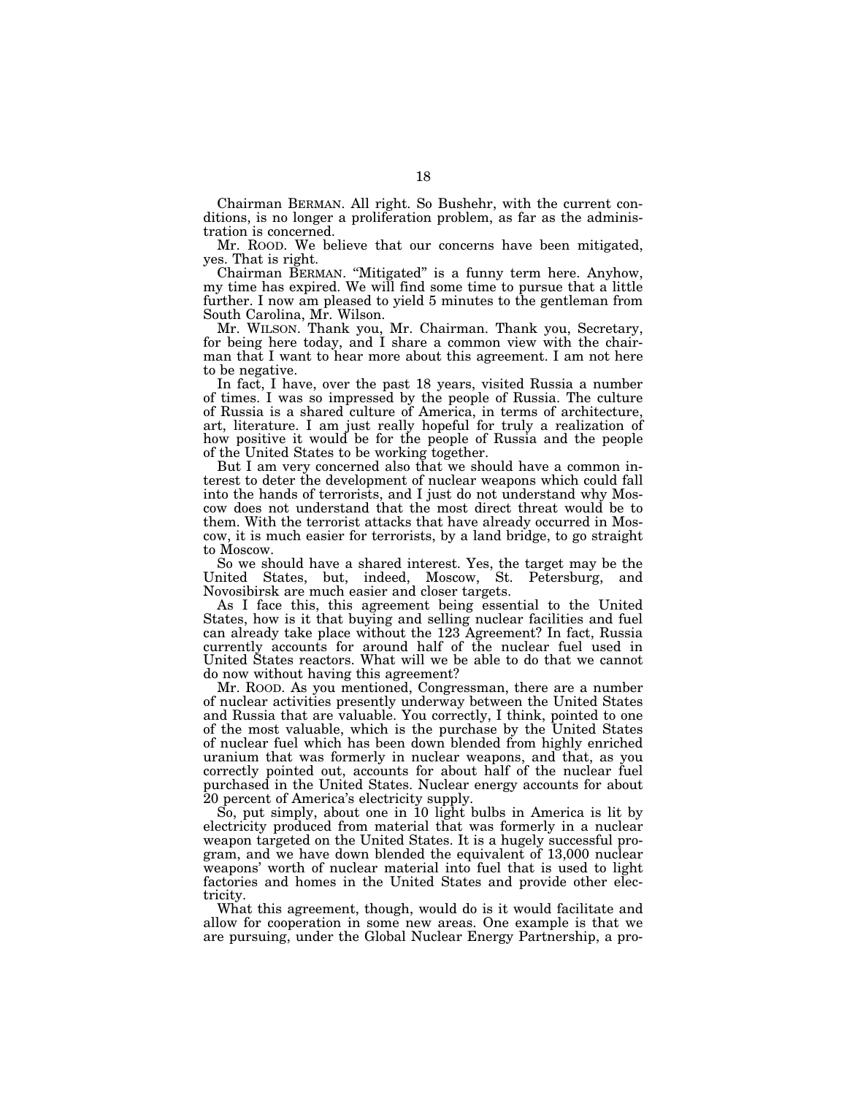Chairman BERMAN. All right. So Bushehr, with the current conditions, is no longer a proliferation problem, as far as the administration is concerned.

Mr. ROOD. We believe that our concerns have been mitigated, yes. That is right.

Chairman BERMAN. ''Mitigated'' is a funny term here. Anyhow, my time has expired. We will find some time to pursue that a little further. I now am pleased to yield 5 minutes to the gentleman from South Carolina, Mr. Wilson.

Mr. WILSON. Thank you, Mr. Chairman. Thank you, Secretary, for being here today, and I share a common view with the chairman that I want to hear more about this agreement. I am not here to be negative.

In fact, I have, over the past 18 years, visited Russia a number of times. I was so impressed by the people of Russia. The culture of Russia is a shared culture of America, in terms of architecture, art, literature. I am just really hopeful for truly a realization of how positive it would be for the people of Russia and the people of the United States to be working together.

But I am very concerned also that we should have a common interest to deter the development of nuclear weapons which could fall into the hands of terrorists, and I just do not understand why Moscow does not understand that the most direct threat would be to them. With the terrorist attacks that have already occurred in Moscow, it is much easier for terrorists, by a land bridge, to go straight to Moscow.

So we should have a shared interest. Yes, the target may be the United States, but, indeed, Moscow, St. Petersburg, and Novosibirsk are much easier and closer targets.

As I face this, this agreement being essential to the United States, how is it that buying and selling nuclear facilities and fuel can already take place without the 123 Agreement? In fact, Russia currently accounts for around half of the nuclear fuel used in United States reactors. What will we be able to do that we cannot do now without having this agreement?

Mr. ROOD. As you mentioned, Congressman, there are a number of nuclear activities presently underway between the United States and Russia that are valuable. You correctly, I think, pointed to one of the most valuable, which is the purchase by the United States of nuclear fuel which has been down blended from highly enriched uranium that was formerly in nuclear weapons, and that, as you correctly pointed out, accounts for about half of the nuclear fuel purchased in the United States. Nuclear energy accounts for about 20 percent of America's electricity supply.

So, put simply, about one in 10 light bulbs in America is lit by electricity produced from material that was formerly in a nuclear weapon targeted on the United States. It is a hugely successful program, and we have down blended the equivalent of 13,000 nuclear weapons' worth of nuclear material into fuel that is used to light factories and homes in the United States and provide other electricity.

What this agreement, though, would do is it would facilitate and allow for cooperation in some new areas. One example is that we are pursuing, under the Global Nuclear Energy Partnership, a pro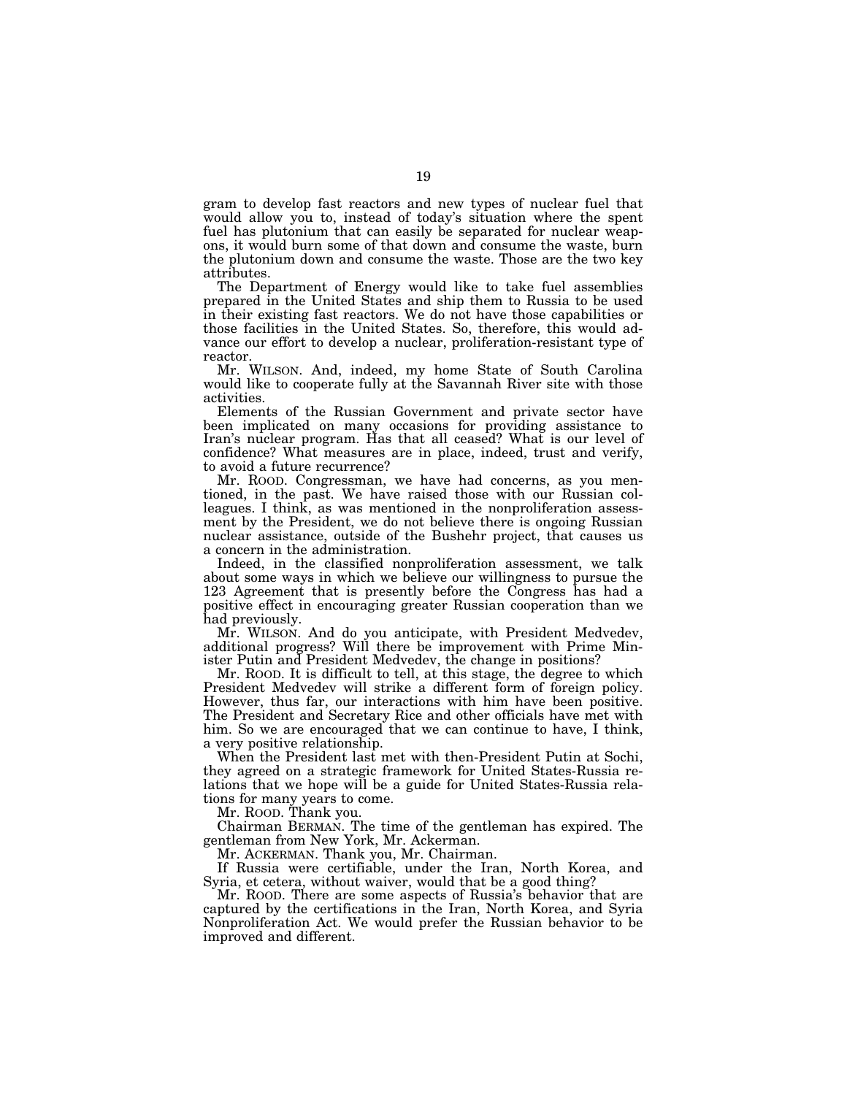gram to develop fast reactors and new types of nuclear fuel that would allow you to, instead of today's situation where the spent fuel has plutonium that can easily be separated for nuclear weapons, it would burn some of that down and consume the waste, burn the plutonium down and consume the waste. Those are the two key attributes.

The Department of Energy would like to take fuel assemblies prepared in the United States and ship them to Russia to be used in their existing fast reactors. We do not have those capabilities or those facilities in the United States. So, therefore, this would advance our effort to develop a nuclear, proliferation-resistant type of reactor.

Mr. WILSON. And, indeed, my home State of South Carolina would like to cooperate fully at the Savannah River site with those activities.

Elements of the Russian Government and private sector have been implicated on many occasions for providing assistance to Iran's nuclear program. Has that all ceased? What is our level of confidence? What measures are in place, indeed, trust and verify, to avoid a future recurrence?

Mr. ROOD. Congressman, we have had concerns, as you mentioned, in the past. We have raised those with our Russian colleagues. I think, as was mentioned in the nonproliferation assessment by the President, we do not believe there is ongoing Russian nuclear assistance, outside of the Bushehr project, that causes us a concern in the administration.

Indeed, in the classified nonproliferation assessment, we talk about some ways in which we believe our willingness to pursue the 123 Agreement that is presently before the Congress has had a positive effect in encouraging greater Russian cooperation than we had previously.

Mr. WILSON. And do you anticipate, with President Medvedev, additional progress? Will there be improvement with Prime Minister Putin and President Medvedev, the change in positions?

Mr. ROOD. It is difficult to tell, at this stage, the degree to which President Medvedev will strike a different form of foreign policy. However, thus far, our interactions with him have been positive. The President and Secretary Rice and other officials have met with him. So we are encouraged that we can continue to have, I think, a very positive relationship.

When the President last met with then-President Putin at Sochi, they agreed on a strategic framework for United States-Russia relations that we hope will be a guide for United States-Russia relations for many years to come.

Mr. ROOD. Thank you.

Chairman BERMAN. The time of the gentleman has expired. The gentleman from New York, Mr. Ackerman.

Mr. ACKERMAN. Thank you, Mr. Chairman.

If Russia were certifiable, under the Iran, North Korea, and Syria, et cetera, without waiver, would that be a good thing?

Mr. ROOD. There are some aspects of Russia's behavior that are captured by the certifications in the Iran, North Korea, and Syria Nonproliferation Act. We would prefer the Russian behavior to be improved and different.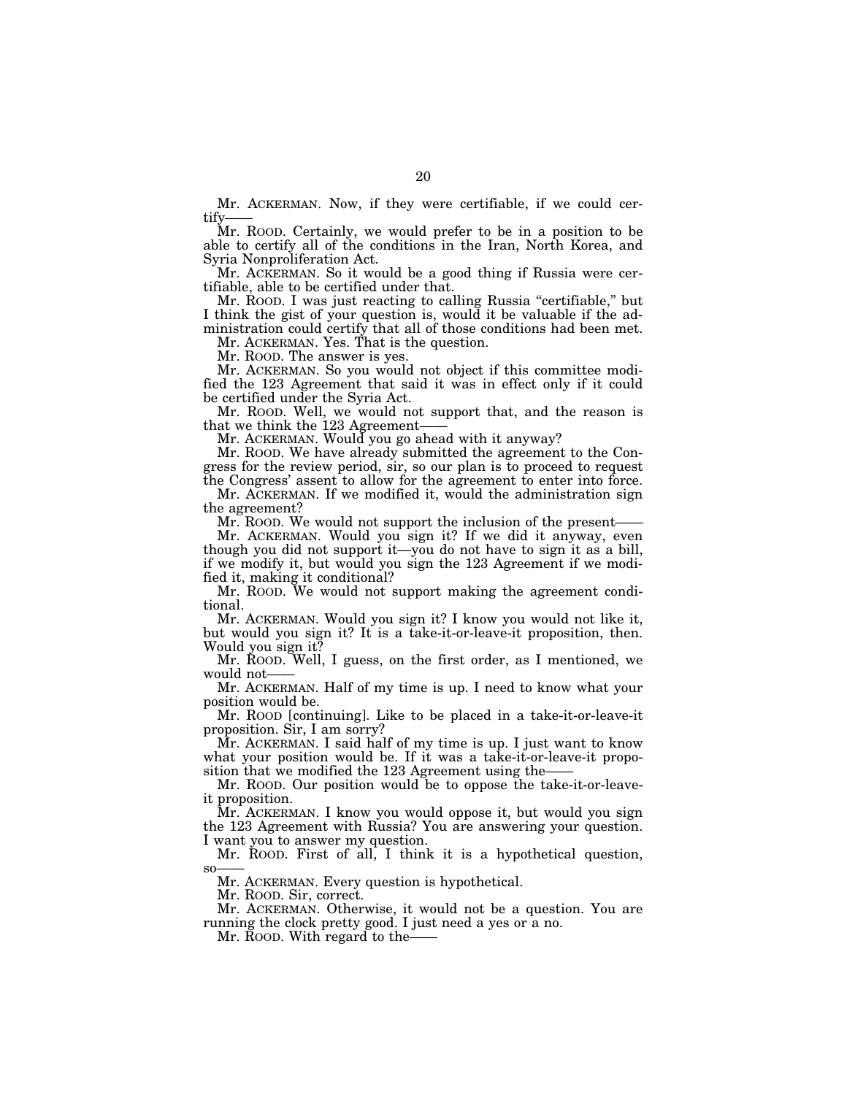Mr. ACKERMAN. Now, if they were certifiable, if we could certify

Mr. ROOD. Certainly, we would prefer to be in a position to be able to certify all of the conditions in the Iran, North Korea, and Syria Nonproliferation Act.

Mr. ACKERMAN. So it would be a good thing if Russia were certifiable, able to be certified under that.

Mr. ROOD. I was just reacting to calling Russia "certifiable," but I think the gist of your question is, would it be valuable if the administration could certify that all of those conditions had been met.

Mr. ACKERMAN. Yes. That is the question.

Mr. ROOD. The answer is yes.

Mr. ACKERMAN. So you would not object if this committee modified the 123 Agreement that said it was in effect only if it could be certified under the Syria Act.

Mr. ROOD. Well, we would not support that, and the reason is that we think the 123 Agreement–

Mr. ACKERMAN. Would you go ahead with it anyway?

Mr. ROOD. We have already submitted the agreement to the Congress for the review period, sir, so our plan is to proceed to request the Congress' assent to allow for the agreement to enter into force.

Mr. ACKERMAN. If we modified it, would the administration sign the agreement?

Mr. ROOD. We would not support the inclusion of the present—

Mr. ACKERMAN. Would you sign it? If we did it anyway, even though you did not support it—you do not have to sign it as a bill, if we modify it, but would you sign the 123 Agreement if we modified it, making it conditional?

Mr. ROOD. We would not support making the agreement conditional.

Mr. ACKERMAN. Would you sign it? I know you would not like it, but would you sign it? It is a take-it-or-leave-it proposition, then. Would you sign it?

Mr. ROOD. Well, I guess, on the first order, as I mentioned, we would not-

Mr. ACKERMAN. Half of my time is up. I need to know what your position would be.

Mr. ROOD [continuing]. Like to be placed in a take-it-or-leave-it proposition. Sir, I am sorry?

Mr. ACKERMAN. I said half of my time is up. I just want to know what your position would be. If it was a take-it-or-leave-it proposition that we modified the 123 Agreement using the-

Mr. ROOD. Our position would be to oppose the take-it-or-leaveit proposition.

Mr. ACKERMAN. I know you would oppose it, but would you sign the 123 Agreement with Russia? You are answering your question. I want you to answer my question.

Mr. ROOD. First of all, I think it is a hypothetical question, so——

Mr. ACKERMAN. Every question is hypothetical.

Mr. ROOD. Sir, correct.

Mr. ACKERMAN. Otherwise, it would not be a question. You are running the clock pretty good. I just need a yes or a no.

Mr. Roop. With regard to the-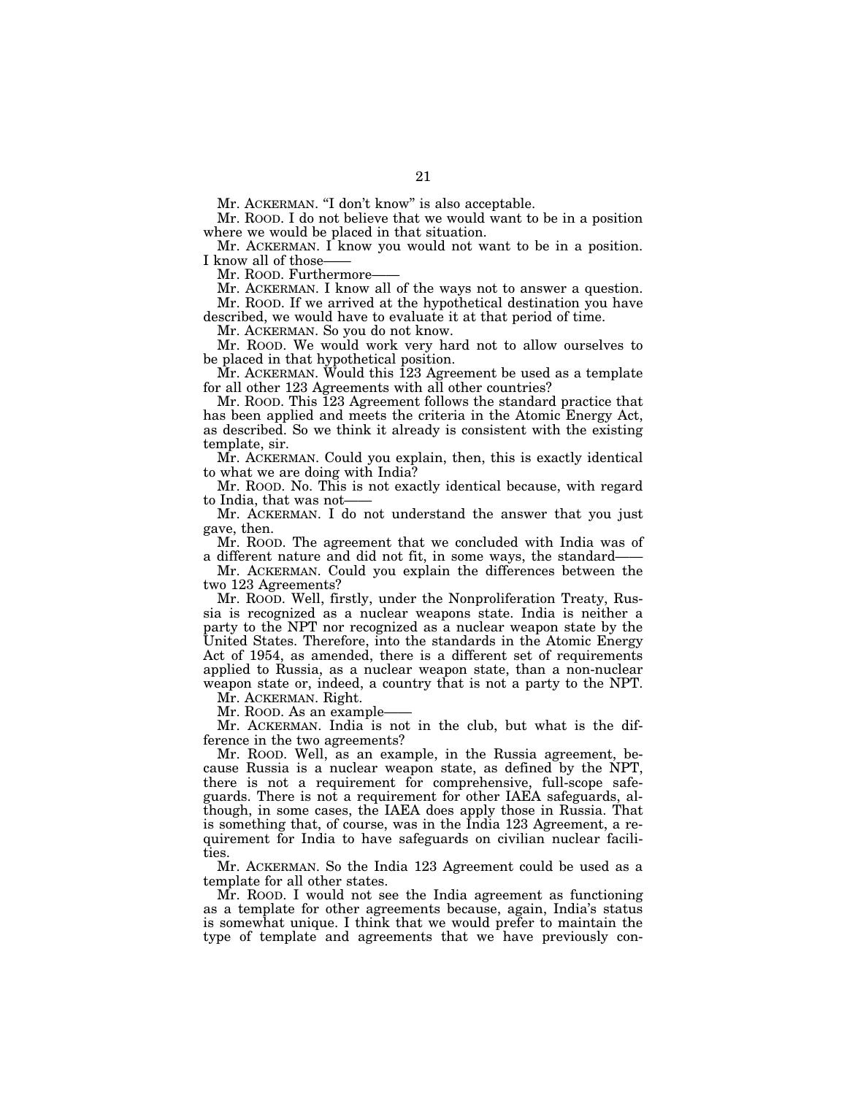Mr. ACKERMAN. "I don't know" is also acceptable.

Mr. ROOD. I do not believe that we would want to be in a position where we would be placed in that situation.

Mr. ACKERMAN. I know you would not want to be in a position. I know all of those-

Mr. ROOD. Furthermore-

Mr. ACKERMAN. I know all of the ways not to answer a question. Mr. ROOD. If we arrived at the hypothetical destination you have

described, we would have to evaluate it at that period of time.

Mr. ACKERMAN. So you do not know.

Mr. ROOD. We would work very hard not to allow ourselves to be placed in that hypothetical position.

 $\rm{Mr.}$  ACKERMAN. Would this 123 Agreement be used as a template for all other 123 Agreements with all other countries?

Mr. ROOD. This 123 Agreement follows the standard practice that has been applied and meets the criteria in the Atomic Energy Act, as described. So we think it already is consistent with the existing template, sir.

Mr. ACKERMAN. Could you explain, then, this is exactly identical to what we are doing with India?

Mr. ROOD. No. This is not exactly identical because, with regard to India, that was not-

Mr. ACKERMAN. I do not understand the answer that you just gave, then.

Mr. ROOD. The agreement that we concluded with India was of a different nature and did not fit, in some ways, the standard-

Mr. ACKERMAN. Could you explain the differences between the two 123 Agreements?

Mr. ROOD. Well, firstly, under the Nonproliferation Treaty, Russia is recognized as a nuclear weapons state. India is neither a party to the NPT nor recognized as a nuclear weapon state by the United States. Therefore, into the standards in the Atomic Energy Act of 1954, as amended, there is a different set of requirements applied to Russia, as a nuclear weapon state, than a non-nuclear weapon state or, indeed, a country that is not a party to the NPT.

Mr. ACKERMAN. Right.

Mr. ROOD. As an example

Mr. ACKERMAN. India is not in the club, but what is the difference in the two agreements?

Mr. ROOD. Well, as an example, in the Russia agreement, because Russia is a nuclear weapon state, as defined by the NPT, there is not a requirement for comprehensive, full-scope safeguards. There is not a requirement for other IAEA safeguards, although, in some cases, the IAEA does apply those in Russia. That is something that, of course, was in the India 123 Agreement, a requirement for India to have safeguards on civilian nuclear facilities.

Mr. ACKERMAN. So the India 123 Agreement could be used as a template for all other states.

Mr. ROOD. I would not see the India agreement as functioning as a template for other agreements because, again, India's status is somewhat unique. I think that we would prefer to maintain the type of template and agreements that we have previously con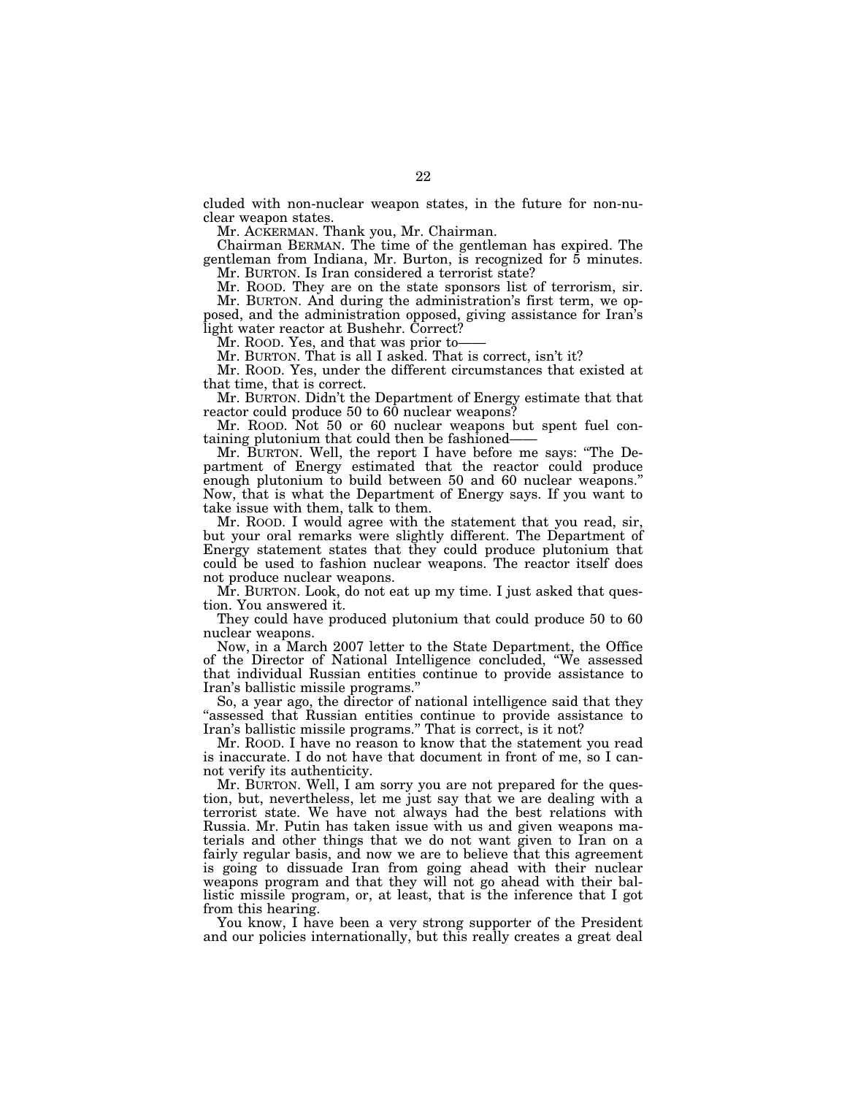cluded with non-nuclear weapon states, in the future for non-nuclear weapon states.

Mr. ACKERMAN. Thank you, Mr. Chairman.

Chairman BERMAN. The time of the gentleman has expired. The gentleman from Indiana, Mr. Burton, is recognized for 5 minutes.

Mr. BURTON. Is Iran considered a terrorist state?

Mr. ROOD. They are on the state sponsors list of terrorism, sir. Mr. BURTON. And during the administration's first term, we op-

posed, and the administration opposed, giving assistance for Iran's light water reactor at Bushehr. Correct?

Mr. ROOD. Yes, and that was prior to-

Mr. BURTON. That is all I asked. That is correct, isn't it?

Mr. ROOD. Yes, under the different circumstances that existed at that time, that is correct.

Mr. BURTON. Didn't the Department of Energy estimate that that reactor could produce 50 to 60 nuclear weapons?

Mr. ROOD. Not 50 or 60 nuclear weapons but spent fuel containing plutonium that could then be fashioned——

Mr. BURTON. Well, the report I have before me says: ''The Department of Energy estimated that the reactor could produce enough plutonium to build between 50 and 60 nuclear weapons.'' Now, that is what the Department of Energy says. If you want to take issue with them, talk to them.

Mr. ROOD. I would agree with the statement that you read, sir, but your oral remarks were slightly different. The Department of Energy statement states that they could produce plutonium that could be used to fashion nuclear weapons. The reactor itself does not produce nuclear weapons.

Mr. BURTON. Look, do not eat up my time. I just asked that question. You answered it.

They could have produced plutonium that could produce 50 to 60 nuclear weapons.

Now, in a March 2007 letter to the State Department, the Office of the Director of National Intelligence concluded, ''We assessed that individual Russian entities continue to provide assistance to Iran's ballistic missile programs.''

So, a year ago, the director of national intelligence said that they ''assessed that Russian entities continue to provide assistance to Iran's ballistic missile programs.'' That is correct, is it not?

Mr. ROOD. I have no reason to know that the statement you read is inaccurate. I do not have that document in front of me, so I cannot verify its authenticity.

Mr. BURTON. Well, I am sorry you are not prepared for the question, but, nevertheless, let me just say that we are dealing with a terrorist state. We have not always had the best relations with Russia. Mr. Putin has taken issue with us and given weapons materials and other things that we do not want given to Iran on a fairly regular basis, and now we are to believe that this agreement is going to dissuade Iran from going ahead with their nuclear weapons program and that they will not go ahead with their ballistic missile program, or, at least, that is the inference that I got from this hearing.

You know, I have been a very strong supporter of the President and our policies internationally, but this really creates a great deal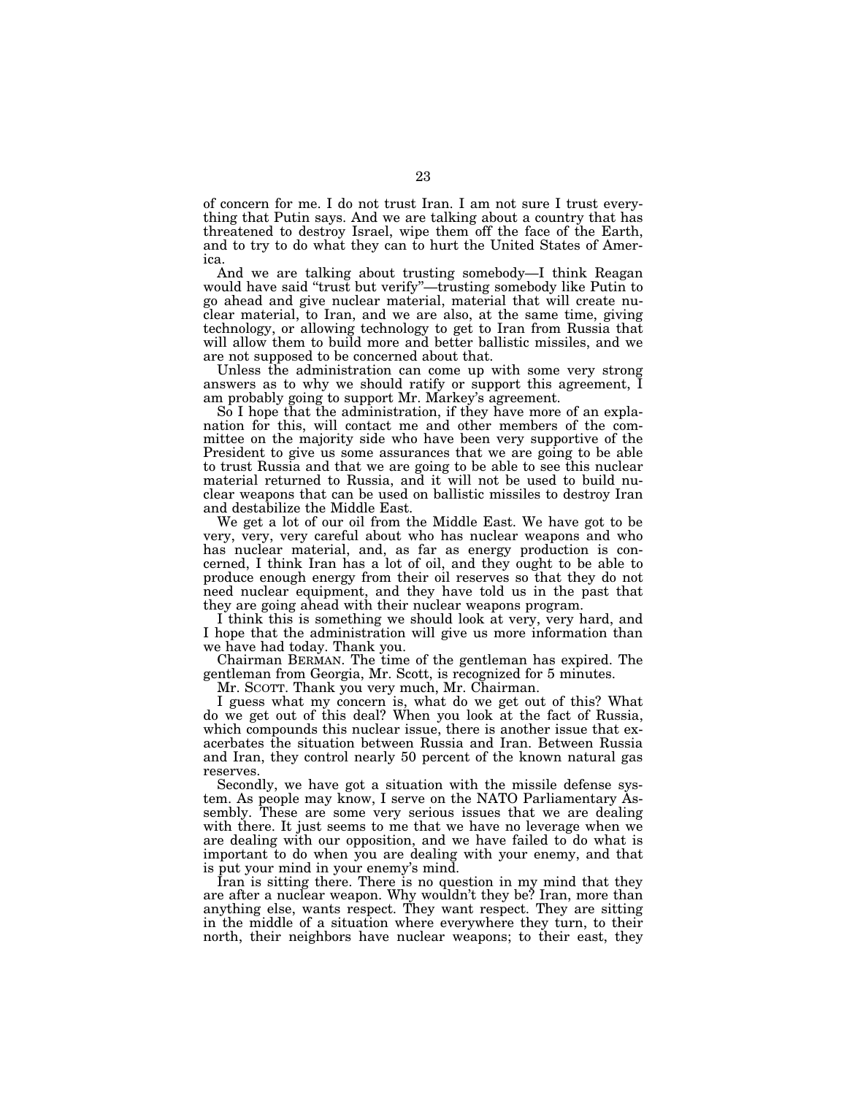of concern for me. I do not trust Iran. I am not sure I trust everything that Putin says. And we are talking about a country that has threatened to destroy Israel, wipe them off the face of the Earth, and to try to do what they can to hurt the United States of America.

And we are talking about trusting somebody—I think Reagan would have said "trust but verify"—trusting somebody like Putin to go ahead and give nuclear material, material that will create nuclear material, to Iran, and we are also, at the same time, giving technology, or allowing technology to get to Iran from Russia that will allow them to build more and better ballistic missiles, and we are not supposed to be concerned about that.

Unless the administration can come up with some very strong answers as to why we should ratify or support this agreement, I am probably going to support Mr. Markey's agreement.

So I hope that the administration, if they have more of an explanation for this, will contact me and other members of the committee on the majority side who have been very supportive of the President to give us some assurances that we are going to be able to trust Russia and that we are going to be able to see this nuclear material returned to Russia, and it will not be used to build nuclear weapons that can be used on ballistic missiles to destroy Iran and destabilize the Middle East.

We get a lot of our oil from the Middle East. We have got to be very, very, very careful about who has nuclear weapons and who has nuclear material, and, as far as energy production is concerned, I think Iran has a lot of oil, and they ought to be able to produce enough energy from their oil reserves so that they do not need nuclear equipment, and they have told us in the past that they are going ahead with their nuclear weapons program.

I think this is something we should look at very, very hard, and I hope that the administration will give us more information than we have had today. Thank you.

Chairman BERMAN. The time of the gentleman has expired. The gentleman from Georgia, Mr. Scott, is recognized for 5 minutes.

Mr. SCOTT. Thank you very much, Mr. Chairman.

I guess what my concern is, what do we get out of this? What do we get out of this deal? When you look at the fact of Russia, which compounds this nuclear issue, there is another issue that exacerbates the situation between Russia and Iran. Between Russia and Iran, they control nearly 50 percent of the known natural gas reserves.

Secondly, we have got a situation with the missile defense system. As people may know, I serve on the NATO Parliamentary Assembly. These are some very serious issues that we are dealing with there. It just seems to me that we have no leverage when we are dealing with our opposition, and we have failed to do what is important to do when you are dealing with your enemy, and that is put your mind in your enemy's mind.

Iran is sitting there. There is no question in my mind that they are after a nuclear weapon. Why wouldn't they be? Iran, more than anything else, wants respect. They want respect. They are sitting in the middle of a situation where everywhere they turn, to their north, their neighbors have nuclear weapons; to their east, they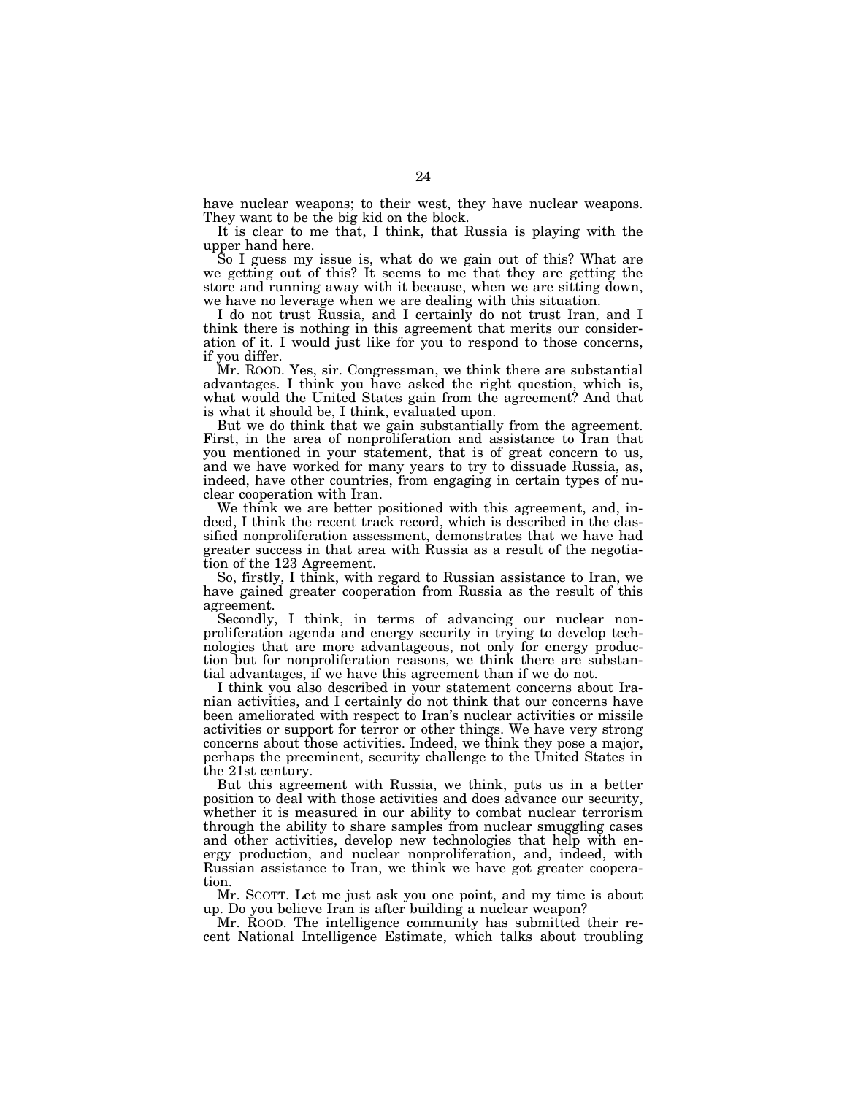have nuclear weapons; to their west, they have nuclear weapons. They want to be the big kid on the block.

It is clear to me that, I think, that Russia is playing with the upper hand here.

So I guess my issue is, what do we gain out of this? What are we getting out of this? It seems to me that they are getting the store and running away with it because, when we are sitting down, we have no leverage when we are dealing with this situation.

I do not trust Russia, and I certainly do not trust Iran, and I think there is nothing in this agreement that merits our consideration of it. I would just like for you to respond to those concerns, if you differ.

Mr. ROOD. Yes, sir. Congressman, we think there are substantial advantages. I think you have asked the right question, which is, what would the United States gain from the agreement? And that is what it should be, I think, evaluated upon.

But we do think that we gain substantially from the agreement. First, in the area of nonproliferation and assistance to Iran that you mentioned in your statement, that is of great concern to us, and we have worked for many years to try to dissuade Russia, as, indeed, have other countries, from engaging in certain types of nuclear cooperation with Iran.

We think we are better positioned with this agreement, and, indeed, I think the recent track record, which is described in the classified nonproliferation assessment, demonstrates that we have had greater success in that area with Russia as a result of the negotiation of the 123 Agreement.

So, firstly, I think, with regard to Russian assistance to Iran, we have gained greater cooperation from Russia as the result of this agreement.

Secondly, I think, in terms of advancing our nuclear nonproliferation agenda and energy security in trying to develop technologies that are more advantageous, not only for energy production but for nonproliferation reasons, we think there are substantial advantages, if we have this agreement than if we do not.

I think you also described in your statement concerns about Iranian activities, and I certainly do not think that our concerns have been ameliorated with respect to Iran's nuclear activities or missile activities or support for terror or other things. We have very strong concerns about those activities. Indeed, we think they pose a major, perhaps the preeminent, security challenge to the United States in the 21st century.

But this agreement with Russia, we think, puts us in a better position to deal with those activities and does advance our security, whether it is measured in our ability to combat nuclear terrorism through the ability to share samples from nuclear smuggling cases and other activities, develop new technologies that help with energy production, and nuclear nonproliferation, and, indeed, with Russian assistance to Iran, we think we have got greater cooperation.

Mr. SCOTT. Let me just ask you one point, and my time is about up. Do you believe Iran is after building a nuclear weapon?

Mr. ROOD. The intelligence community has submitted their recent National Intelligence Estimate, which talks about troubling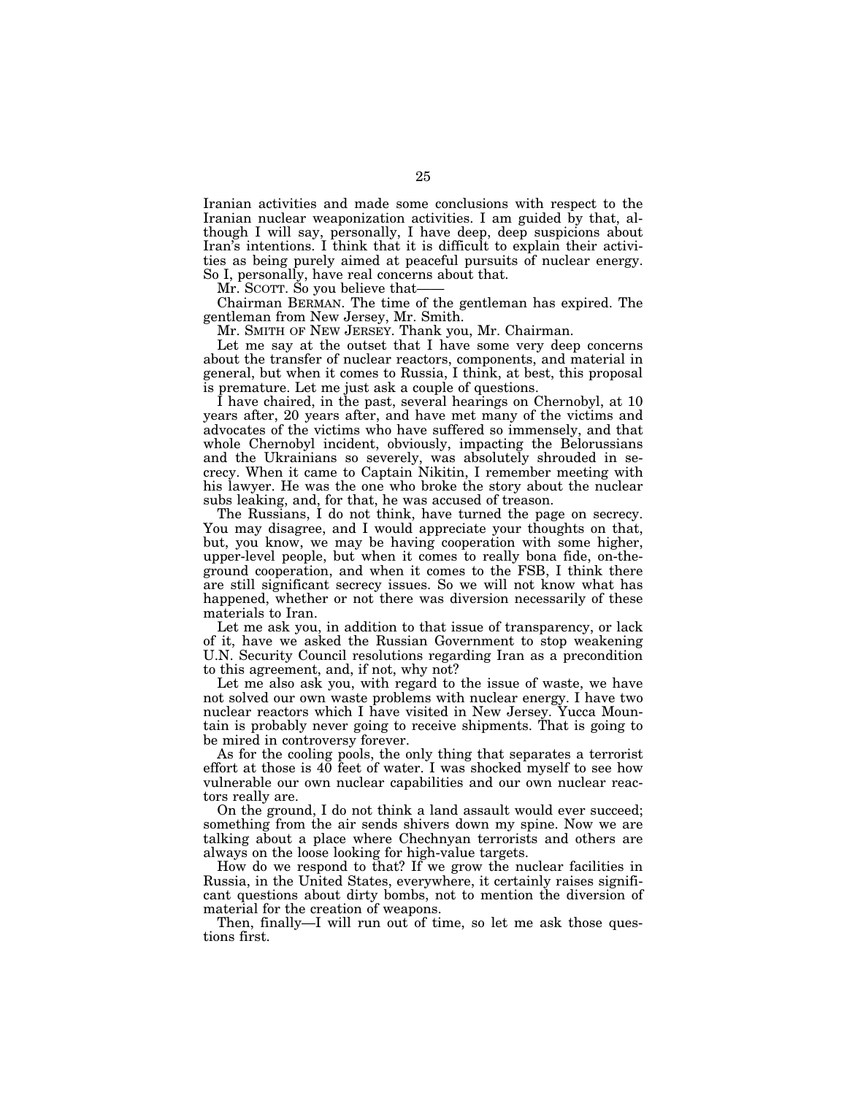Iranian activities and made some conclusions with respect to the Iranian nuclear weaponization activities. I am guided by that, although I will say, personally, I have deep, deep suspicions about Iran's intentions. I think that it is difficult to explain their activities as being purely aimed at peaceful pursuits of nuclear energy. So I, personally, have real concerns about that.

Mr. SCOTT. So you believe that-

Chairman BERMAN. The time of the gentleman has expired. The gentleman from New Jersey, Mr. Smith.

Mr. SMITH OF NEW JERSEY. Thank you, Mr. Chairman.

Let me say at the outset that I have some very deep concerns about the transfer of nuclear reactors, components, and material in general, but when it comes to Russia, I think, at best, this proposal is premature. Let me just ask a couple of questions.

I have chaired, in the past, several hearings on Chernobyl, at 10 years after, 20 years after, and have met many of the victims and advocates of the victims who have suffered so immensely, and that whole Chernobyl incident, obviously, impacting the Belorussians and the Ukrainians so severely, was absolutely shrouded in secrecy. When it came to Captain Nikitin, I remember meeting with his lawyer. He was the one who broke the story about the nuclear subs leaking, and, for that, he was accused of treason.

The Russians, I do not think, have turned the page on secrecy. You may disagree, and I would appreciate your thoughts on that, but, you know, we may be having cooperation with some higher, upper-level people, but when it comes to really bona fide, on-theground cooperation, and when it comes to the FSB, I think there are still significant secrecy issues. So we will not know what has happened, whether or not there was diversion necessarily of these materials to Iran.

Let me ask you, in addition to that issue of transparency, or lack of it, have we asked the Russian Government to stop weakening U.N. Security Council resolutions regarding Iran as a precondition to this agreement, and, if not, why not?

Let me also ask you, with regard to the issue of waste, we have not solved our own waste problems with nuclear energy. I have two nuclear reactors which I have visited in New Jersey. Yucca Mountain is probably never going to receive shipments. That is going to be mired in controversy forever.

As for the cooling pools, the only thing that separates a terrorist effort at those is 40 feet of water. I was shocked myself to see how vulnerable our own nuclear capabilities and our own nuclear reactors really are.

On the ground, I do not think a land assault would ever succeed; something from the air sends shivers down my spine. Now we are talking about a place where Chechnyan terrorists and others are always on the loose looking for high-value targets.

How do we respond to that? If we grow the nuclear facilities in Russia, in the United States, everywhere, it certainly raises significant questions about dirty bombs, not to mention the diversion of material for the creation of weapons.

Then, finally—I will run out of time, so let me ask those questions first.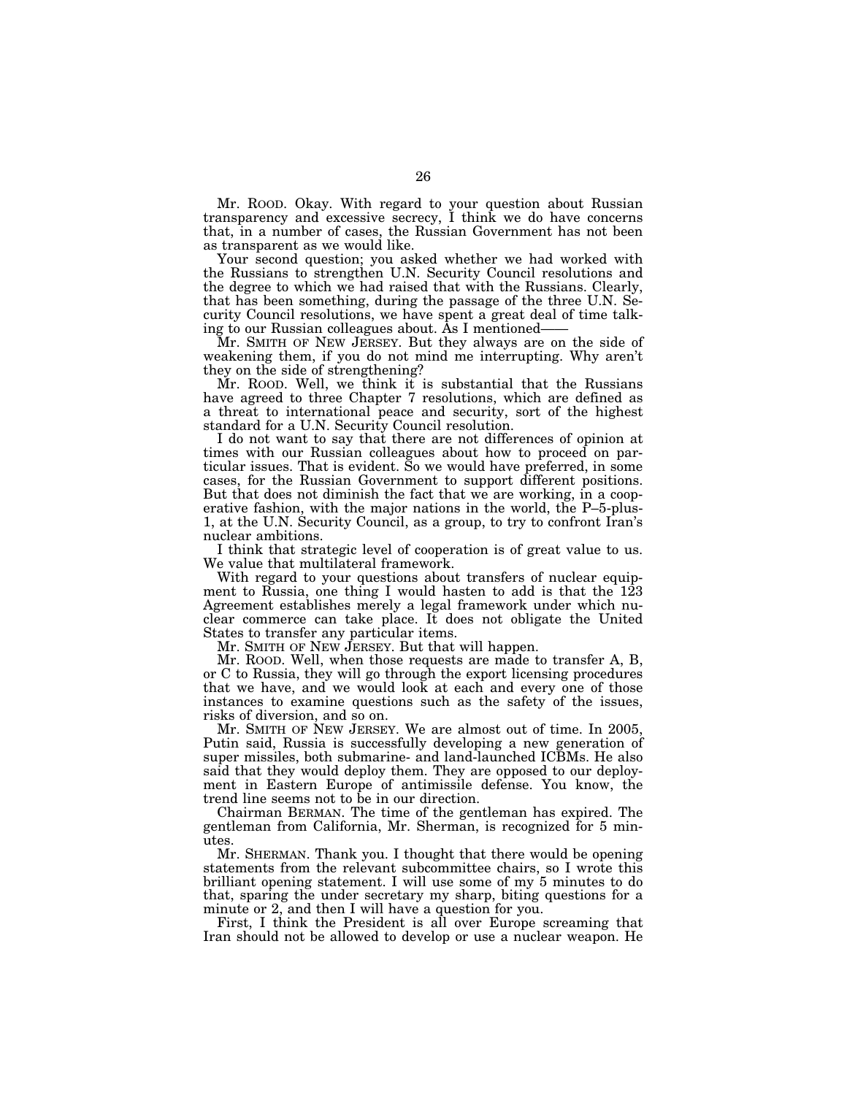Mr. ROOD. Okay. With regard to your question about Russian transparency and excessive secrecy, I think we do have concerns that, in a number of cases, the Russian Government has not been as transparent as we would like.

Your second question; you asked whether we had worked with the Russians to strengthen U.N. Security Council resolutions and the degree to which we had raised that with the Russians. Clearly, that has been something, during the passage of the three U.N. Security Council resolutions, we have spent a great deal of time talking to our Russian colleagues about. As I mentioned——

Mr. SMITH OF NEW JERSEY. But they always are on the side of weakening them, if you do not mind me interrupting. Why aren't they on the side of strengthening?

Mr. ROOD. Well, we think it is substantial that the Russians have agreed to three Chapter 7 resolutions, which are defined as a threat to international peace and security, sort of the highest standard for a U.N. Security Council resolution.

I do not want to say that there are not differences of opinion at times with our Russian colleagues about how to proceed on particular issues. That is evident. So we would have preferred, in some cases, for the Russian Government to support different positions. But that does not diminish the fact that we are working, in a cooperative fashion, with the major nations in the world, the P–5-plus-1, at the U.N. Security Council, as a group, to try to confront Iran's nuclear ambitions.

I think that strategic level of cooperation is of great value to us. We value that multilateral framework.

With regard to your questions about transfers of nuclear equipment to Russia, one thing I would hasten to add is that the  $123$ Agreement establishes merely a legal framework under which nuclear commerce can take place. It does not obligate the United States to transfer any particular items.

Mr. SMITH OF NEW JERSEY. But that will happen.

Mr. ROOD. Well, when those requests are made to transfer A, B, or C to Russia, they will go through the export licensing procedures that we have, and we would look at each and every one of those instances to examine questions such as the safety of the issues, risks of diversion, and so on.

Mr. SMITH OF NEW JERSEY. We are almost out of time. In 2005, Putin said, Russia is successfully developing a new generation of super missiles, both submarine- and land-launched ICBMs. He also said that they would deploy them. They are opposed to our deployment in Eastern Europe of antimissile defense. You know, the trend line seems not to be in our direction.

Chairman BERMAN. The time of the gentleman has expired. The gentleman from California, Mr. Sherman, is recognized for 5 minutes.

Mr. SHERMAN. Thank you. I thought that there would be opening statements from the relevant subcommittee chairs, so I wrote this brilliant opening statement. I will use some of my 5 minutes to do that, sparing the under secretary my sharp, biting questions for a minute or 2, and then I will have a question for you.

First, I think the President is all over Europe screaming that Iran should not be allowed to develop or use a nuclear weapon. He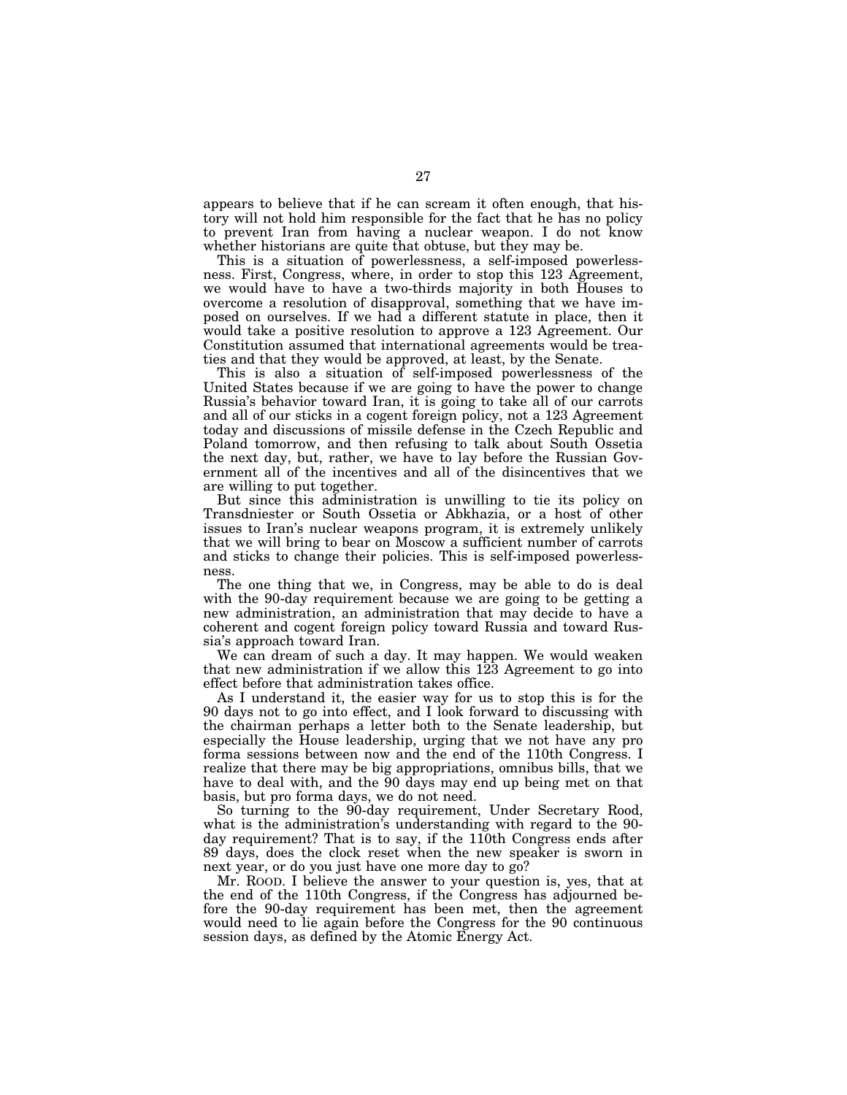appears to believe that if he can scream it often enough, that history will not hold him responsible for the fact that he has no policy to prevent Iran from having a nuclear weapon. I do not know whether historians are quite that obtuse, but they may be.

This is a situation of powerlessness, a self-imposed powerlessness. First, Congress, where, in order to stop this 123 Agreement, we would have to have a two-thirds majority in both Houses to overcome a resolution of disapproval, something that we have imposed on ourselves. If we had a different statute in place, then it would take a positive resolution to approve a 123 Agreement. Our Constitution assumed that international agreements would be treaties and that they would be approved, at least, by the Senate.

This is also a situation of self-imposed powerlessness of the United States because if we are going to have the power to change Russia's behavior toward Iran, it is going to take all of our carrots and all of our sticks in a cogent foreign policy, not a 123 Agreement today and discussions of missile defense in the Czech Republic and Poland tomorrow, and then refusing to talk about South Ossetia the next day, but, rather, we have to lay before the Russian Government all of the incentives and all of the disincentives that we are willing to put together.

But since this administration is unwilling to tie its policy on Transdniester or South Ossetia or Abkhazia, or a host of other issues to Iran's nuclear weapons program, it is extremely unlikely that we will bring to bear on Moscow a sufficient number of carrots and sticks to change their policies. This is self-imposed powerlessness.

The one thing that we, in Congress, may be able to do is deal with the 90-day requirement because we are going to be getting a new administration, an administration that may decide to have a coherent and cogent foreign policy toward Russia and toward Russia's approach toward Iran.

We can dream of such a day. It may happen. We would weaken that new administration if we allow this 123 Agreement to go into effect before that administration takes office.

As I understand it, the easier way for us to stop this is for the 90 days not to go into effect, and I look forward to discussing with the chairman perhaps a letter both to the Senate leadership, but especially the House leadership, urging that we not have any pro forma sessions between now and the end of the 110th Congress. I realize that there may be big appropriations, omnibus bills, that we have to deal with, and the 90 days may end up being met on that basis, but pro forma days, we do not need.

So turning to the 90-day requirement, Under Secretary Rood, what is the administration's understanding with regard to the 90 day requirement? That is to say, if the 110th Congress ends after 89 days, does the clock reset when the new speaker is sworn in next year, or do you just have one more day to go?

Mr. ROOD. I believe the answer to your question is, yes, that at the end of the 110th Congress, if the Congress has adjourned before the 90-day requirement has been met, then the agreement would need to lie again before the Congress for the 90 continuous session days, as defined by the Atomic Energy Act.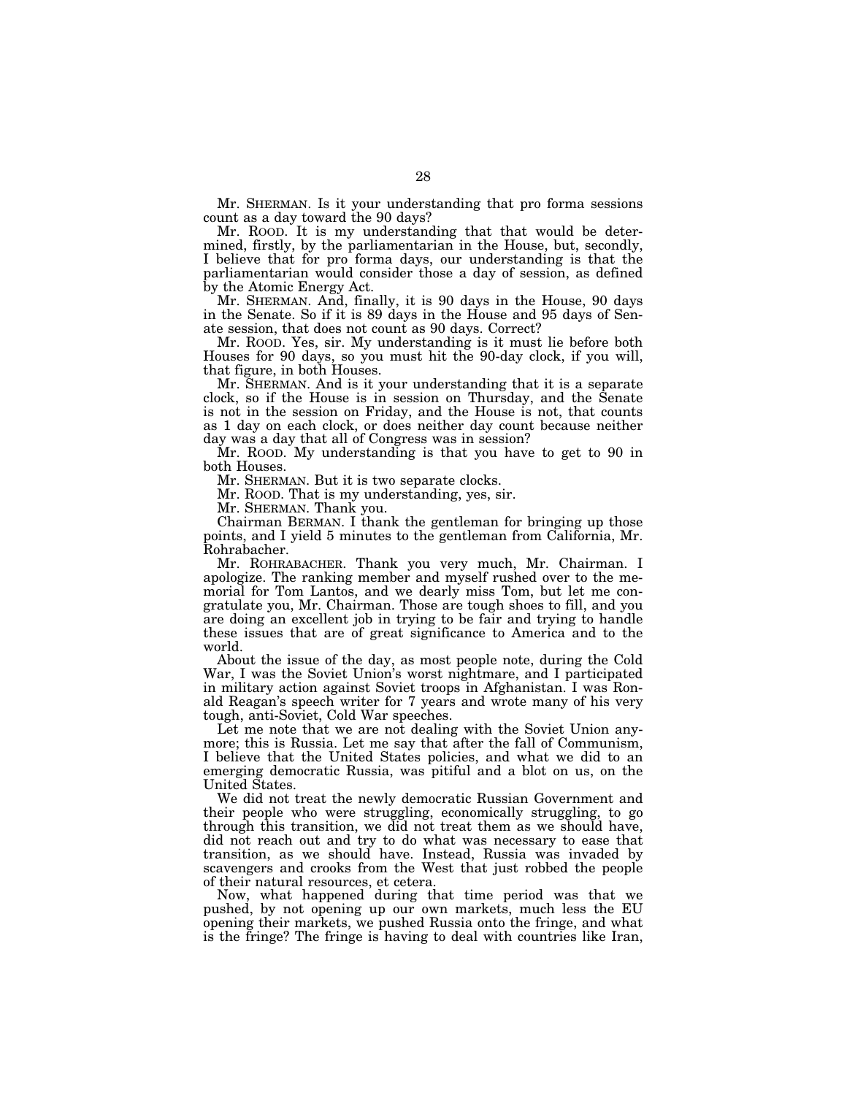Mr. SHERMAN. Is it your understanding that pro forma sessions count as a day toward the 90 days?

Mr. ROOD. It is my understanding that that would be determined, firstly, by the parliamentarian in the House, but, secondly, I believe that for pro forma days, our understanding is that the parliamentarian would consider those a day of session, as defined by the Atomic Energy Act.

Mr. SHERMAN. And, finally, it is 90 days in the House, 90 days in the Senate. So if it is 89 days in the House and 95 days of Senate session, that does not count as 90 days. Correct?

Mr. ROOD. Yes, sir. My understanding is it must lie before both Houses for 90 days, so you must hit the 90-day clock, if you will, that figure, in both Houses.

Mr. SHERMAN. And is it your understanding that it is a separate clock, so if the House is in session on Thursday, and the Senate is not in the session on Friday, and the House is not, that counts as 1 day on each clock, or does neither day count because neither day was a day that all of Congress was in session?

Mr. ROOD. My understanding is that you have to get to 90 in both Houses.

Mr. SHERMAN. But it is two separate clocks.

Mr. ROOD. That is my understanding, yes, sir.

Mr. SHERMAN. Thank you.

Chairman BERMAN. I thank the gentleman for bringing up those points, and I yield 5 minutes to the gentleman from California, Mr. Rohrabacher.

Mr. ROHRABACHER. Thank you very much, Mr. Chairman. I apologize. The ranking member and myself rushed over to the memorial for Tom Lantos, and we dearly miss Tom, but let me congratulate you, Mr. Chairman. Those are tough shoes to fill, and you are doing an excellent job in trying to be fair and trying to handle these issues that are of great significance to America and to the world.

About the issue of the day, as most people note, during the Cold War, I was the Soviet Union's worst nightmare, and I participated in military action against Soviet troops in Afghanistan. I was Ronald Reagan's speech writer for 7 years and wrote many of his very tough, anti-Soviet, Cold War speeches.

Let me note that we are not dealing with the Soviet Union anymore; this is Russia. Let me say that after the fall of Communism, I believe that the United States policies, and what we did to an emerging democratic Russia, was pitiful and a blot on us, on the United States.

We did not treat the newly democratic Russian Government and their people who were struggling, economically struggling, to go through this transition, we did not treat them as we should have, did not reach out and try to do what was necessary to ease that transition, as we should have. Instead, Russia was invaded by scavengers and crooks from the West that just robbed the people of their natural resources, et cetera.

Now, what happened during that time period was that we pushed, by not opening up our own markets, much less the EU opening their markets, we pushed Russia onto the fringe, and what is the fringe? The fringe is having to deal with countries like Iran,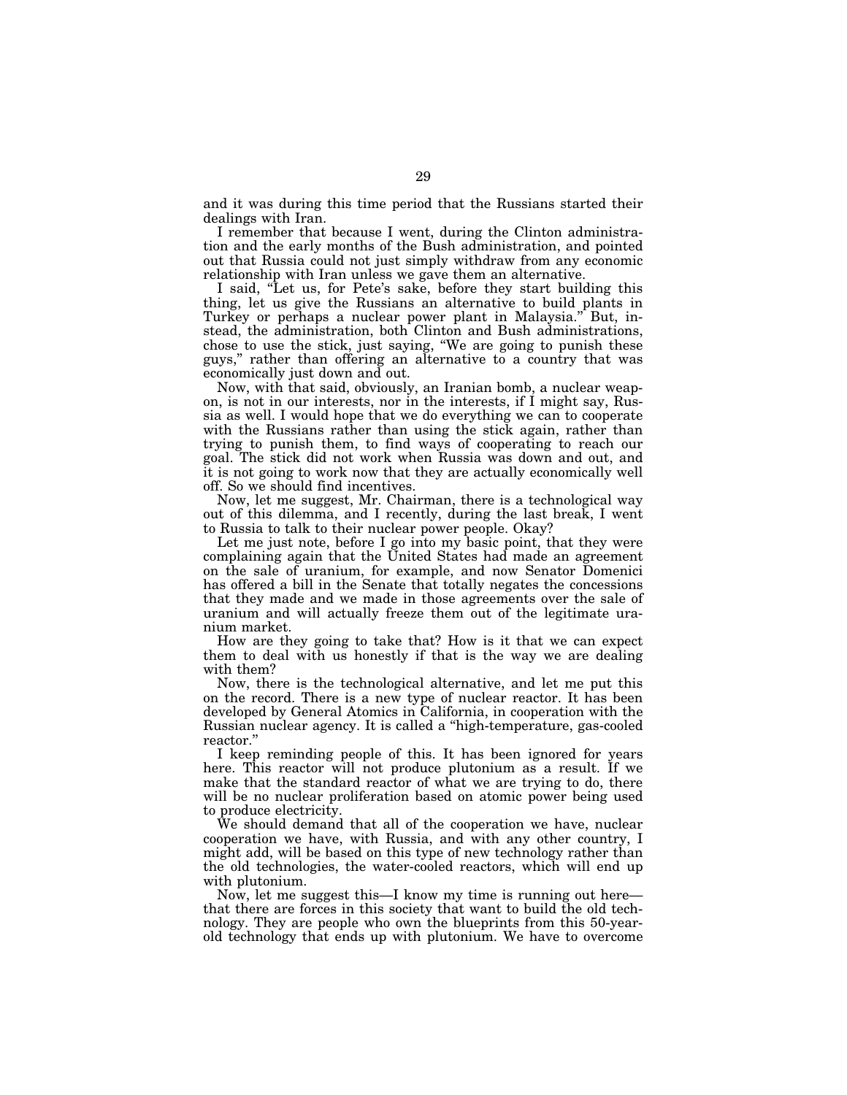and it was during this time period that the Russians started their dealings with Iran.

I remember that because I went, during the Clinton administration and the early months of the Bush administration, and pointed out that Russia could not just simply withdraw from any economic relationship with Iran unless we gave them an alternative.

I said, ''Let us, for Pete's sake, before they start building this thing, let us give the Russians an alternative to build plants in Turkey or perhaps a nuclear power plant in Malaysia.'' But, instead, the administration, both Clinton and Bush administrations, chose to use the stick, just saying, ''We are going to punish these guys,'' rather than offering an alternative to a country that was economically just down and out.

Now, with that said, obviously, an Iranian bomb, a nuclear weapon, is not in our interests, nor in the interests, if I might say, Russia as well. I would hope that we do everything we can to cooperate with the Russians rather than using the stick again, rather than trying to punish them, to find ways of cooperating to reach our goal. The stick did not work when Russia was down and out, and it is not going to work now that they are actually economically well off. So we should find incentives.

Now, let me suggest, Mr. Chairman, there is a technological way out of this dilemma, and I recently, during the last break, I went to Russia to talk to their nuclear power people. Okay?

Let me just note, before I go into my basic point, that they were complaining again that the United States had made an agreement on the sale of uranium, for example, and now Senator Domenici has offered a bill in the Senate that totally negates the concessions that they made and we made in those agreements over the sale of uranium and will actually freeze them out of the legitimate uranium market.

How are they going to take that? How is it that we can expect them to deal with us honestly if that is the way we are dealing with them?

Now, there is the technological alternative, and let me put this on the record. There is a new type of nuclear reactor. It has been developed by General Atomics in California, in cooperation with the Russian nuclear agency. It is called a ''high-temperature, gas-cooled reactor.''

I keep reminding people of this. It has been ignored for years here. This reactor will not produce plutonium as a result. If we make that the standard reactor of what we are trying to do, there will be no nuclear proliferation based on atomic power being used to produce electricity.

We should demand that all of the cooperation we have, nuclear cooperation we have, with Russia, and with any other country, I might add, will be based on this type of new technology rather than the old technologies, the water-cooled reactors, which will end up with plutonium.

Now, let me suggest this—I know my time is running out here that there are forces in this society that want to build the old technology. They are people who own the blueprints from this 50-yearold technology that ends up with plutonium. We have to overcome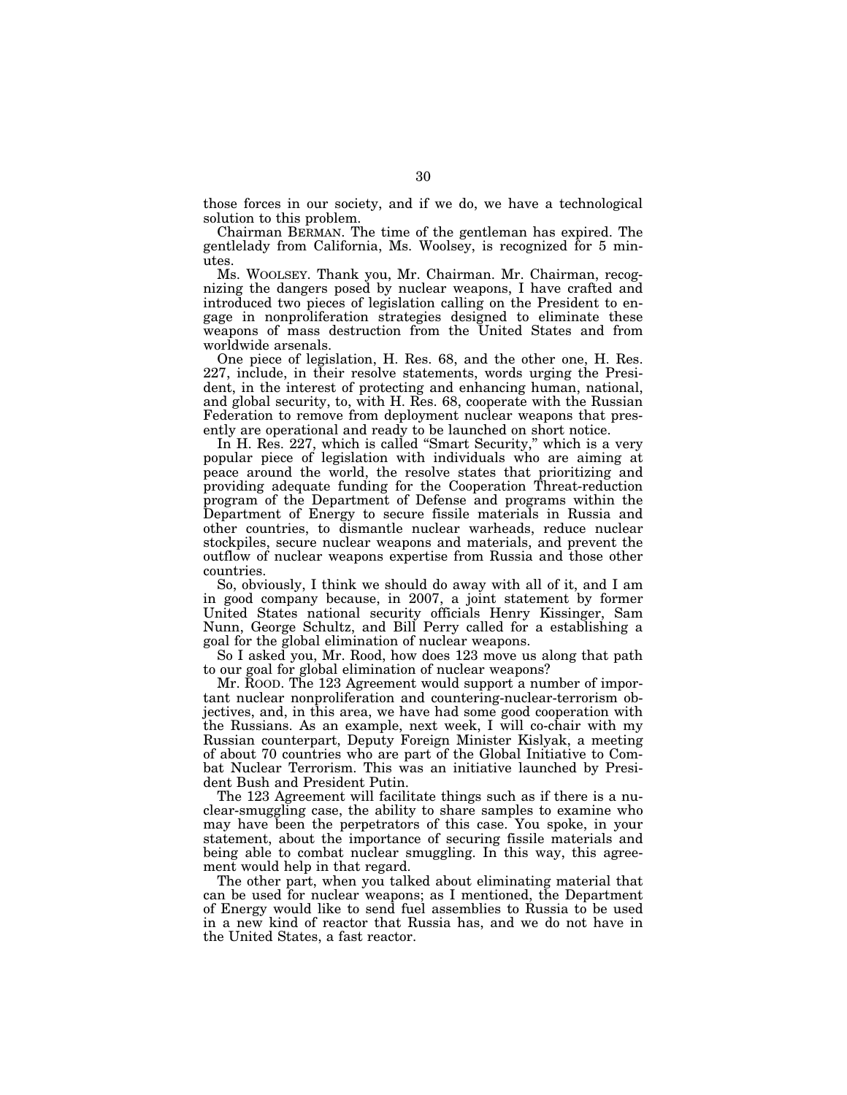those forces in our society, and if we do, we have a technological solution to this problem.

Chairman BERMAN. The time of the gentleman has expired. The gentlelady from California, Ms. Woolsey, is recognized for 5 minutes.

Ms. WOOLSEY. Thank you, Mr. Chairman. Mr. Chairman, recognizing the dangers posed by nuclear weapons, I have crafted and introduced two pieces of legislation calling on the President to engage in nonproliferation strategies designed to eliminate these weapons of mass destruction from the United States and from worldwide arsenals.

One piece of legislation, H. Res. 68, and the other one, H. Res. 227, include, in their resolve statements, words urging the President, in the interest of protecting and enhancing human, national, and global security, to, with H. Res. 68, cooperate with the Russian Federation to remove from deployment nuclear weapons that presently are operational and ready to be launched on short notice.

In H. Res. 227, which is called "Smart Security," which is a very popular piece of legislation with individuals who are aiming at peace around the world, the resolve states that prioritizing and providing adequate funding for the Cooperation Threat-reduction program of the Department of Defense and programs within the Department of Energy to secure fissile materials in Russia and other countries, to dismantle nuclear warheads, reduce nuclear stockpiles, secure nuclear weapons and materials, and prevent the outflow of nuclear weapons expertise from Russia and those other countries.

So, obviously, I think we should do away with all of it, and I am in good company because, in 2007, a joint statement by former United States national security officials Henry Kissinger, Sam Nunn, George Schultz, and Bill Perry called for a establishing a goal for the global elimination of nuclear weapons.

So I asked you, Mr. Rood, how does 123 move us along that path to our goal for global elimination of nuclear weapons?

Mr. ROOD. The 123 Agreement would support a number of important nuclear nonproliferation and countering-nuclear-terrorism objectives, and, in this area, we have had some good cooperation with the Russians. As an example, next week, I will co-chair with my Russian counterpart, Deputy Foreign Minister Kislyak, a meeting of about 70 countries who are part of the Global Initiative to Combat Nuclear Terrorism. This was an initiative launched by President Bush and President Putin.

The 123 Agreement will facilitate things such as if there is a nuclear-smuggling case, the ability to share samples to examine who may have been the perpetrators of this case. You spoke, in your statement, about the importance of securing fissile materials and being able to combat nuclear smuggling. In this way, this agreement would help in that regard.

The other part, when you talked about eliminating material that can be used for nuclear weapons; as I mentioned, the Department of Energy would like to send fuel assemblies to Russia to be used in a new kind of reactor that Russia has, and we do not have in the United States, a fast reactor.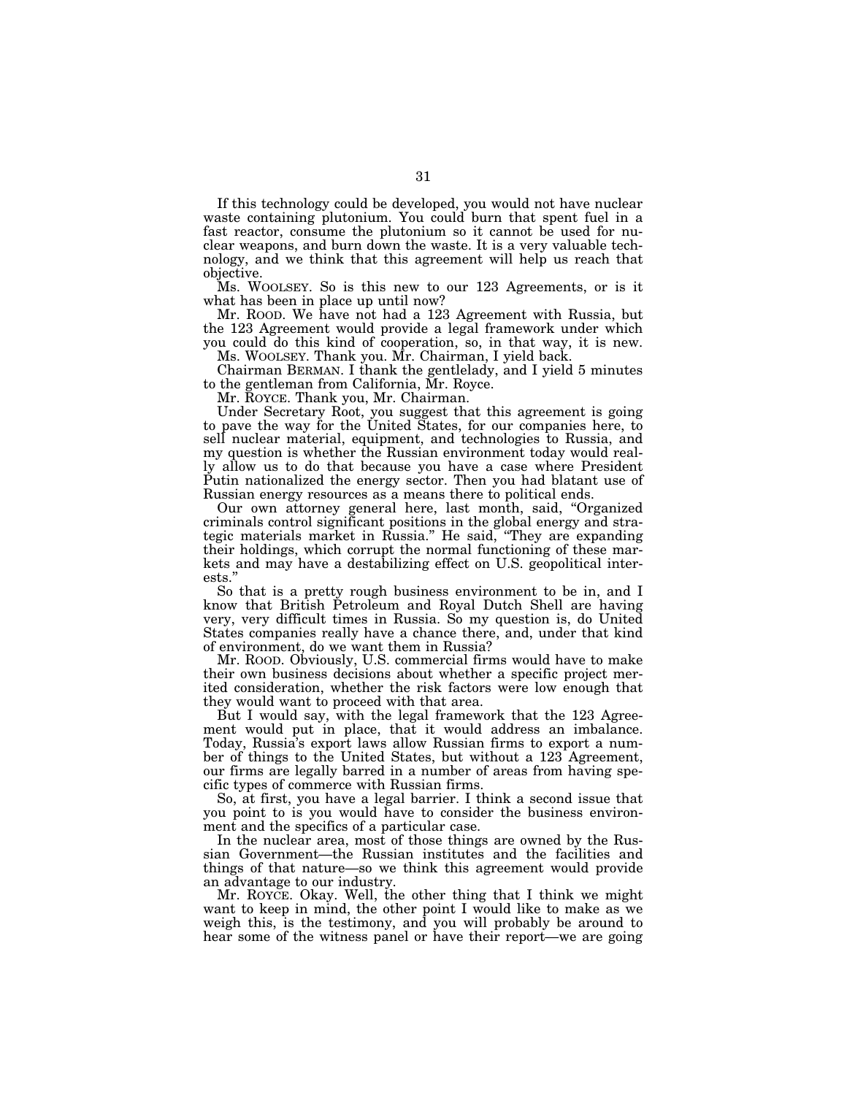If this technology could be developed, you would not have nuclear waste containing plutonium. You could burn that spent fuel in a fast reactor, consume the plutonium so it cannot be used for nuclear weapons, and burn down the waste. It is a very valuable technology, and we think that this agreement will help us reach that objective.

Ms. WOOLSEY. So is this new to our 123 Agreements, or is it what has been in place up until now?

Mr. ROOD. We have not had a 123 Agreement with Russia, but the 123 Agreement would provide a legal framework under which you could do this kind of cooperation, so, in that way, it is new. Ms. WOOLSEY. Thank you. Mr. Chairman, I yield back.

Chairman BERMAN. I thank the gentlelady, and I yield 5 minutes to the gentleman from California, Mr. Royce.

Mr. ROYCE. Thank you, Mr. Chairman.

Under Secretary Root, you suggest that this agreement is going to pave the way for the United States, for our companies here, to sell nuclear material, equipment, and technologies to Russia, and my question is whether the Russian environment today would really allow us to do that because you have a case where President Putin nationalized the energy sector. Then you had blatant use of Russian energy resources as a means there to political ends.

Our own attorney general here, last month, said, ''Organized criminals control significant positions in the global energy and strategic materials market in Russia.'' He said, ''They are expanding their holdings, which corrupt the normal functioning of these markets and may have a destabilizing effect on U.S. geopolitical interests.''

So that is a pretty rough business environment to be in, and I know that British Petroleum and Royal Dutch Shell are having very, very difficult times in Russia. So my question is, do United States companies really have a chance there, and, under that kind of environment, do we want them in Russia?

Mr. ROOD. Obviously, U.S. commercial firms would have to make their own business decisions about whether a specific project merited consideration, whether the risk factors were low enough that they would want to proceed with that area.

But I would say, with the legal framework that the 123 Agreement would put in place, that it would address an imbalance. Today, Russia's export laws allow Russian firms to export a number of things to the United States, but without a 123 Agreement, our firms are legally barred in a number of areas from having specific types of commerce with Russian firms.

So, at first, you have a legal barrier. I think a second issue that you point to is you would have to consider the business environment and the specifics of a particular case.

In the nuclear area, most of those things are owned by the Russian Government—the Russian institutes and the facilities and things of that nature—so we think this agreement would provide an advantage to our industry.

Mr. ROYCE. Okay. Well, the other thing that I think we might want to keep in mind, the other point I would like to make as we weigh this, is the testimony, and you will probably be around to hear some of the witness panel or have their report—we are going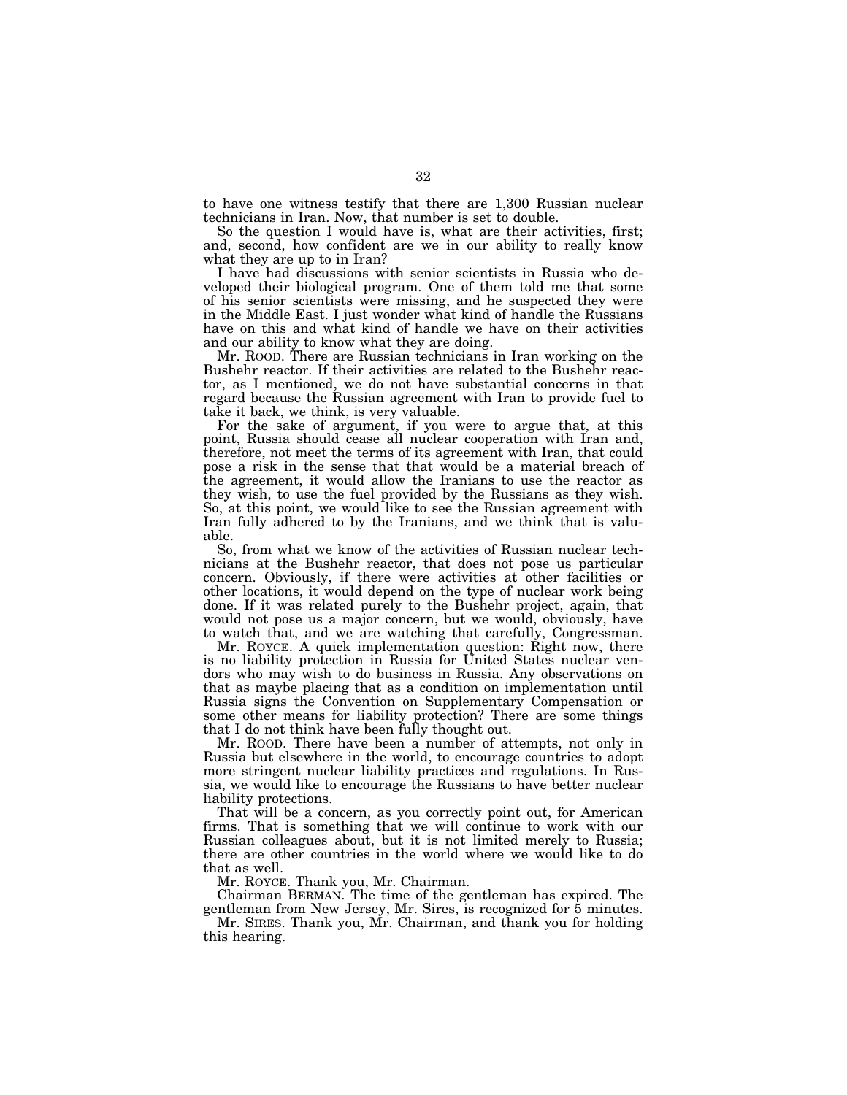to have one witness testify that there are 1,300 Russian nuclear technicians in Iran. Now, that number is set to double.

So the question I would have is, what are their activities, first; and, second, how confident are we in our ability to really know what they are up to in Iran?

I have had discussions with senior scientists in Russia who developed their biological program. One of them told me that some of his senior scientists were missing, and he suspected they were in the Middle East. I just wonder what kind of handle the Russians have on this and what kind of handle we have on their activities and our ability to know what they are doing.

Mr. ROOD. There are Russian technicians in Iran working on the Bushehr reactor. If their activities are related to the Bushehr reactor, as I mentioned, we do not have substantial concerns in that regard because the Russian agreement with Iran to provide fuel to take it back, we think, is very valuable.

For the sake of argument, if you were to argue that, at this point, Russia should cease all nuclear cooperation with Iran and, therefore, not meet the terms of its agreement with Iran, that could pose a risk in the sense that that would be a material breach of the agreement, it would allow the Iranians to use the reactor as they wish, to use the fuel provided by the Russians as they wish. So, at this point, we would like to see the Russian agreement with Iran fully adhered to by the Iranians, and we think that is valuable.

So, from what we know of the activities of Russian nuclear technicians at the Bushehr reactor, that does not pose us particular concern. Obviously, if there were activities at other facilities or other locations, it would depend on the type of nuclear work being done. If it was related purely to the Bushehr project, again, that would not pose us a major concern, but we would, obviously, have to watch that, and we are watching that carefully, Congressman.

Mr. ROYCE. A quick implementation question: Right now, there is no liability protection in Russia for United States nuclear vendors who may wish to do business in Russia. Any observations on that as maybe placing that as a condition on implementation until Russia signs the Convention on Supplementary Compensation or some other means for liability protection? There are some things that I do not think have been fully thought out.

Mr. ROOD. There have been a number of attempts, not only in Russia but elsewhere in the world, to encourage countries to adopt more stringent nuclear liability practices and regulations. In Russia, we would like to encourage the Russians to have better nuclear liability protections.

That will be a concern, as you correctly point out, for American firms. That is something that we will continue to work with our Russian colleagues about, but it is not limited merely to Russia; there are other countries in the world where we would like to do that as well.

Mr. ROYCE. Thank you, Mr. Chairman.

Chairman BERMAN. The time of the gentleman has expired. The gentleman from New Jersey, Mr. Sires, is recognized for 5 minutes.

Mr. SIRES. Thank you, Mr. Chairman, and thank you for holding this hearing.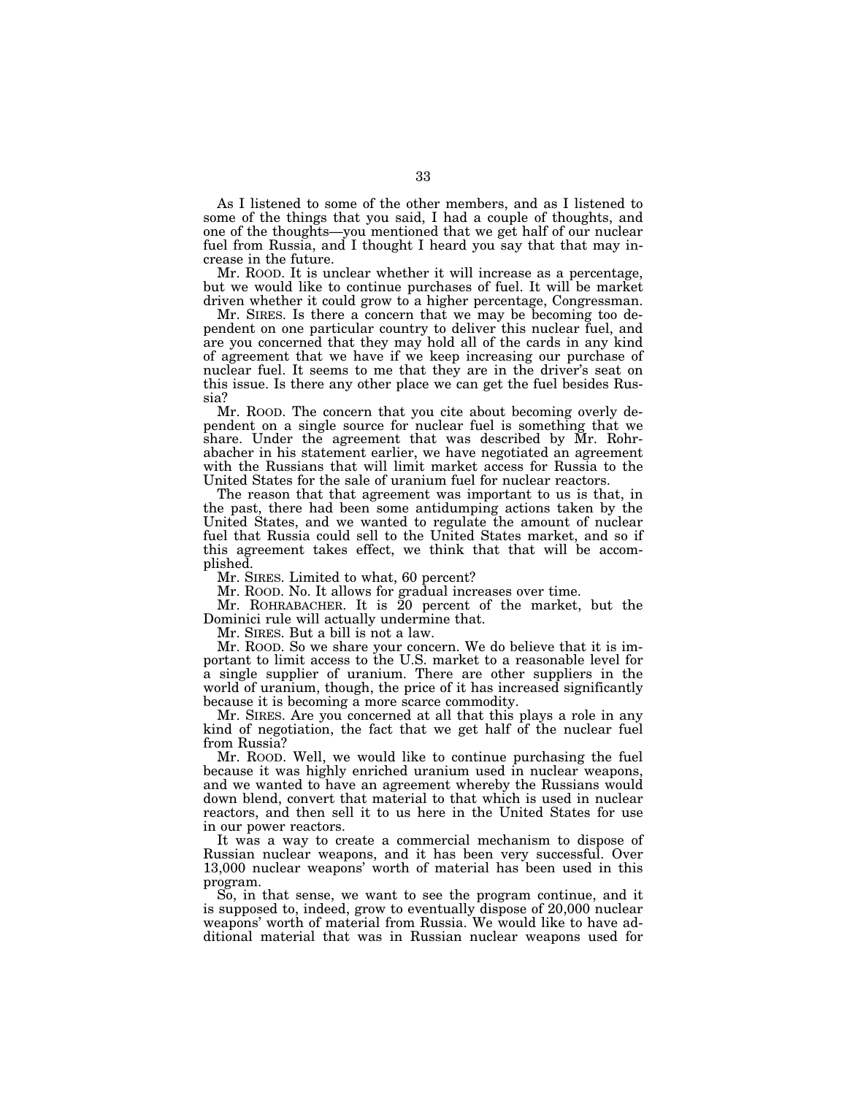As I listened to some of the other members, and as I listened to some of the things that you said, I had a couple of thoughts, and one of the thoughts—you mentioned that we get half of our nuclear fuel from Russia, and I thought I heard you say that that may increase in the future.

Mr. ROOD. It is unclear whether it will increase as a percentage, but we would like to continue purchases of fuel. It will be market driven whether it could grow to a higher percentage, Congressman.

Mr. SIRES. Is there a concern that we may be becoming too dependent on one particular country to deliver this nuclear fuel, and are you concerned that they may hold all of the cards in any kind of agreement that we have if we keep increasing our purchase of nuclear fuel. It seems to me that they are in the driver's seat on this issue. Is there any other place we can get the fuel besides Russia?

Mr. ROOD. The concern that you cite about becoming overly dependent on a single source for nuclear fuel is something that we share. Under the agreement that was described by Mr. Rohrabacher in his statement earlier, we have negotiated an agreement with the Russians that will limit market access for Russia to the United States for the sale of uranium fuel for nuclear reactors.

The reason that that agreement was important to us is that, in the past, there had been some antidumping actions taken by the United States, and we wanted to regulate the amount of nuclear fuel that Russia could sell to the United States market, and so if this agreement takes effect, we think that that will be accomplished.

Mr. SIRES. Limited to what, 60 percent?

Mr. ROOD. No. It allows for gradual increases over time.

Mr. ROHRABACHER. It is 20 percent of the market, but the Dominici rule will actually undermine that.

Mr. SIRES. But a bill is not a law.

Mr. ROOD. So we share your concern. We do believe that it is important to limit access to the U.S. market to a reasonable level for a single supplier of uranium. There are other suppliers in the world of uranium, though, the price of it has increased significantly because it is becoming a more scarce commodity.

Mr. SIRES. Are you concerned at all that this plays a role in any kind of negotiation, the fact that we get half of the nuclear fuel from Russia?

Mr. ROOD. Well, we would like to continue purchasing the fuel because it was highly enriched uranium used in nuclear weapons, and we wanted to have an agreement whereby the Russians would down blend, convert that material to that which is used in nuclear reactors, and then sell it to us here in the United States for use in our power reactors.

It was a way to create a commercial mechanism to dispose of Russian nuclear weapons, and it has been very successful. Over 13,000 nuclear weapons' worth of material has been used in this program.

So, in that sense, we want to see the program continue, and it is supposed to, indeed, grow to eventually dispose of 20,000 nuclear weapons' worth of material from Russia. We would like to have additional material that was in Russian nuclear weapons used for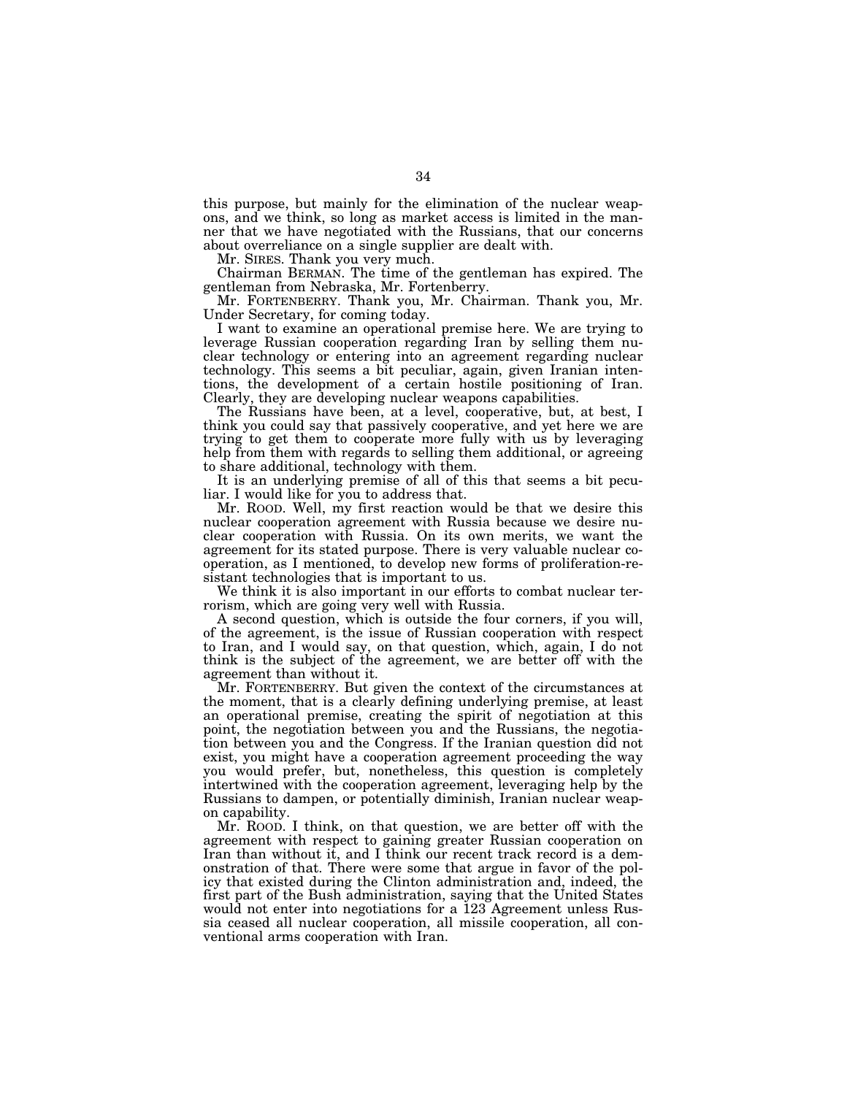this purpose, but mainly for the elimination of the nuclear weapons, and we think, so long as market access is limited in the manner that we have negotiated with the Russians, that our concerns about overreliance on a single supplier are dealt with.

Mr. SIRES. Thank you very much.

Chairman BERMAN. The time of the gentleman has expired. The gentleman from Nebraska, Mr. Fortenberry.

Mr. FORTENBERRY. Thank you, Mr. Chairman. Thank you, Mr. Under Secretary, for coming today.

I want to examine an operational premise here. We are trying to leverage Russian cooperation regarding Iran by selling them nuclear technology or entering into an agreement regarding nuclear technology. This seems a bit peculiar, again, given Iranian intentions, the development of a certain hostile positioning of Iran. Clearly, they are developing nuclear weapons capabilities.

The Russians have been, at a level, cooperative, but, at best, I think you could say that passively cooperative, and yet here we are trying to get them to cooperate more fully with us by leveraging help from them with regards to selling them additional, or agreeing to share additional, technology with them.

It is an underlying premise of all of this that seems a bit peculiar. I would like for you to address that.

Mr. ROOD. Well, my first reaction would be that we desire this nuclear cooperation agreement with Russia because we desire nuclear cooperation with Russia. On its own merits, we want the agreement for its stated purpose. There is very valuable nuclear cooperation, as I mentioned, to develop new forms of proliferation-resistant technologies that is important to us.

We think it is also important in our efforts to combat nuclear terrorism, which are going very well with Russia.

A second question, which is outside the four corners, if you will, of the agreement, is the issue of Russian cooperation with respect to Iran, and I would say, on that question, which, again, I do not think is the subject of the agreement, we are better off with the agreement than without it.

Mr. FORTENBERRY. But given the context of the circumstances at the moment, that is a clearly defining underlying premise, at least an operational premise, creating the spirit of negotiation at this point, the negotiation between you and the Russians, the negotiation between you and the Congress. If the Iranian question did not exist, you might have a cooperation agreement proceeding the way you would prefer, but, nonetheless, this question is completely intertwined with the cooperation agreement, leveraging help by the Russians to dampen, or potentially diminish, Iranian nuclear weapon capability.

Mr. ROOD. I think, on that question, we are better off with the agreement with respect to gaining greater Russian cooperation on Iran than without it, and I think our recent track record is a demonstration of that. There were some that argue in favor of the policy that existed during the Clinton administration and, indeed, the first part of the Bush administration, saying that the United States would not enter into negotiations for a 123 Agreement unless Russia ceased all nuclear cooperation, all missile cooperation, all conventional arms cooperation with Iran.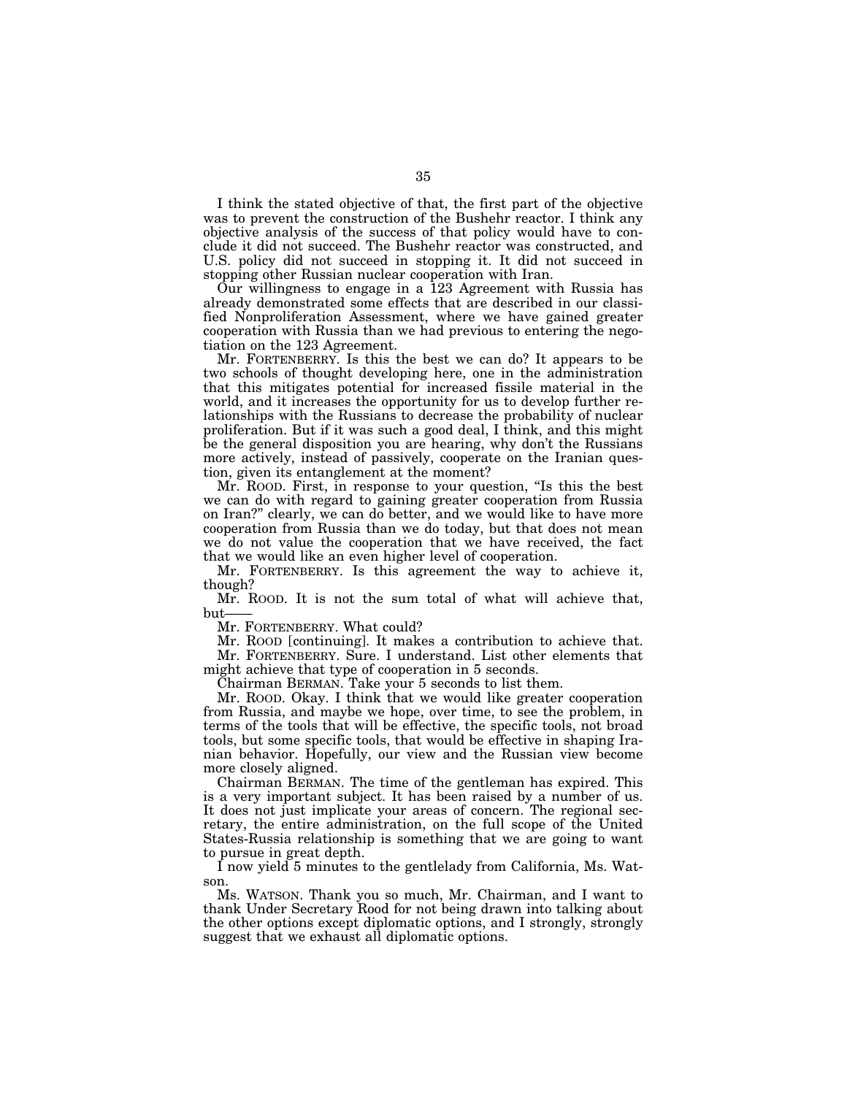I think the stated objective of that, the first part of the objective was to prevent the construction of the Bushehr reactor. I think any objective analysis of the success of that policy would have to conclude it did not succeed. The Bushehr reactor was constructed, and U.S. policy did not succeed in stopping it. It did not succeed in stopping other Russian nuclear cooperation with Iran.

Our willingness to engage in a 123 Agreement with Russia has already demonstrated some effects that are described in our classified Nonproliferation Assessment, where we have gained greater cooperation with Russia than we had previous to entering the negotiation on the 123 Agreement.

Mr. FORTENBERRY. Is this the best we can do? It appears to be two schools of thought developing here, one in the administration that this mitigates potential for increased fissile material in the world, and it increases the opportunity for us to develop further relationships with the Russians to decrease the probability of nuclear proliferation. But if it was such a good deal, I think, and this might be the general disposition you are hearing, why don't the Russians more actively, instead of passively, cooperate on the Iranian question, given its entanglement at the moment?

Mr. ROOD. First, in response to your question, ''Is this the best we can do with regard to gaining greater cooperation from Russia on Iran?'' clearly, we can do better, and we would like to have more cooperation from Russia than we do today, but that does not mean we do not value the cooperation that we have received, the fact that we would like an even higher level of cooperation.

Mr. FORTENBERRY. Is this agreement the way to achieve it, though?

Mr. ROOD. It is not the sum total of what will achieve that, but

Mr. FORTENBERRY. What could?

Mr. ROOD [continuing]. It makes a contribution to achieve that. Mr. FORTENBERRY. Sure. I understand. List other elements that might achieve that type of cooperation in 5 seconds.

Chairman BERMAN. Take your 5 seconds to list them.

Mr. ROOD. Okay. I think that we would like greater cooperation from Russia, and maybe we hope, over time, to see the problem, in terms of the tools that will be effective, the specific tools, not broad tools, but some specific tools, that would be effective in shaping Iranian behavior. Hopefully, our view and the Russian view become more closely aligned.

Chairman BERMAN. The time of the gentleman has expired. This is a very important subject. It has been raised by a number of us. It does not just implicate your areas of concern. The regional secretary, the entire administration, on the full scope of the United States-Russia relationship is something that we are going to want to pursue in great depth.

I now yield 5 minutes to the gentlelady from California, Ms. Watson.

Ms. WATSON. Thank you so much, Mr. Chairman, and I want to thank Under Secretary Rood for not being drawn into talking about the other options except diplomatic options, and I strongly, strongly suggest that we exhaust all diplomatic options.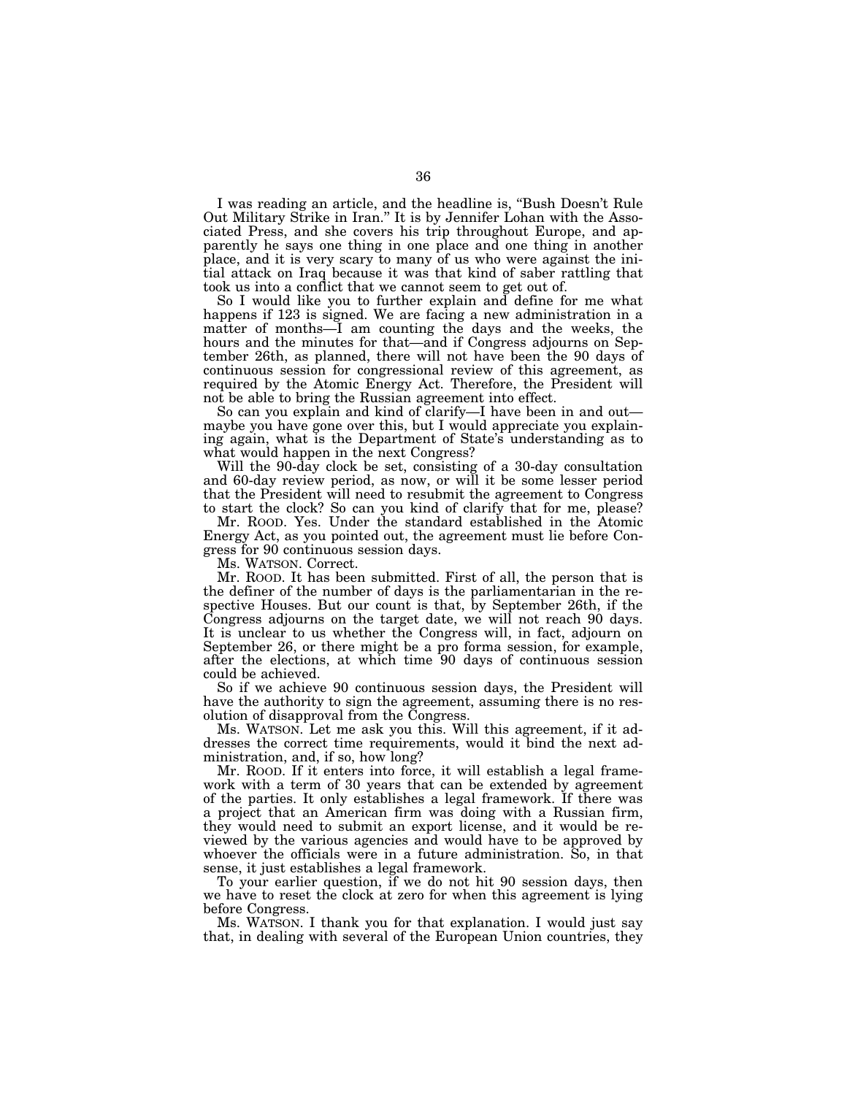I was reading an article, and the headline is, ''Bush Doesn't Rule Out Military Strike in Iran.'' It is by Jennifer Lohan with the Associated Press, and she covers his trip throughout Europe, and apparently he says one thing in one place and one thing in another place, and it is very scary to many of us who were against the initial attack on Iraq because it was that kind of saber rattling that took us into a conflict that we cannot seem to get out of.

So I would like you to further explain and define for me what happens if 123 is signed. We are facing a new administration in a matter of months—I am counting the days and the weeks, the hours and the minutes for that—and if Congress adjourns on September 26th, as planned, there will not have been the 90 days of continuous session for congressional review of this agreement, as required by the Atomic Energy Act. Therefore, the President will not be able to bring the Russian agreement into effect.

So can you explain and kind of clarify—I have been in and out maybe you have gone over this, but I would appreciate you explaining again, what is the Department of State's understanding as to what would happen in the next Congress?

Will the 90-day clock be set, consisting of a 30-day consultation and 60-day review period, as now, or will it be some lesser period that the President will need to resubmit the agreement to Congress to start the clock? So can you kind of clarify that for me, please?

Mr. ROOD. Yes. Under the standard established in the Atomic Energy Act, as you pointed out, the agreement must lie before Congress for 90 continuous session days.

Ms. WATSON. Correct.

Mr. ROOD. It has been submitted. First of all, the person that is the definer of the number of days is the parliamentarian in the respective Houses. But our count is that, by September 26th, if the Congress adjourns on the target date, we will not reach 90 days. It is unclear to us whether the Congress will, in fact, adjourn on September 26, or there might be a pro forma session, for example, after the elections, at which time 90 days of continuous session could be achieved.

So if we achieve 90 continuous session days, the President will have the authority to sign the agreement, assuming there is no resolution of disapproval from the Congress.

Ms. WATSON. Let me ask you this. Will this agreement, if it addresses the correct time requirements, would it bind the next administration, and, if so, how long?

Mr. ROOD. If it enters into force, it will establish a legal framework with a term of 30 years that can be extended by agreement of the parties. It only establishes a legal framework. If there was a project that an American firm was doing with a Russian firm, they would need to submit an export license, and it would be reviewed by the various agencies and would have to be approved by whoever the officials were in a future administration. So, in that sense, it just establishes a legal framework.

To your earlier question, if we do not hit 90 session days, then we have to reset the clock at zero for when this agreement is lying before Congress.

Ms. WATSON. I thank you for that explanation. I would just say that, in dealing with several of the European Union countries, they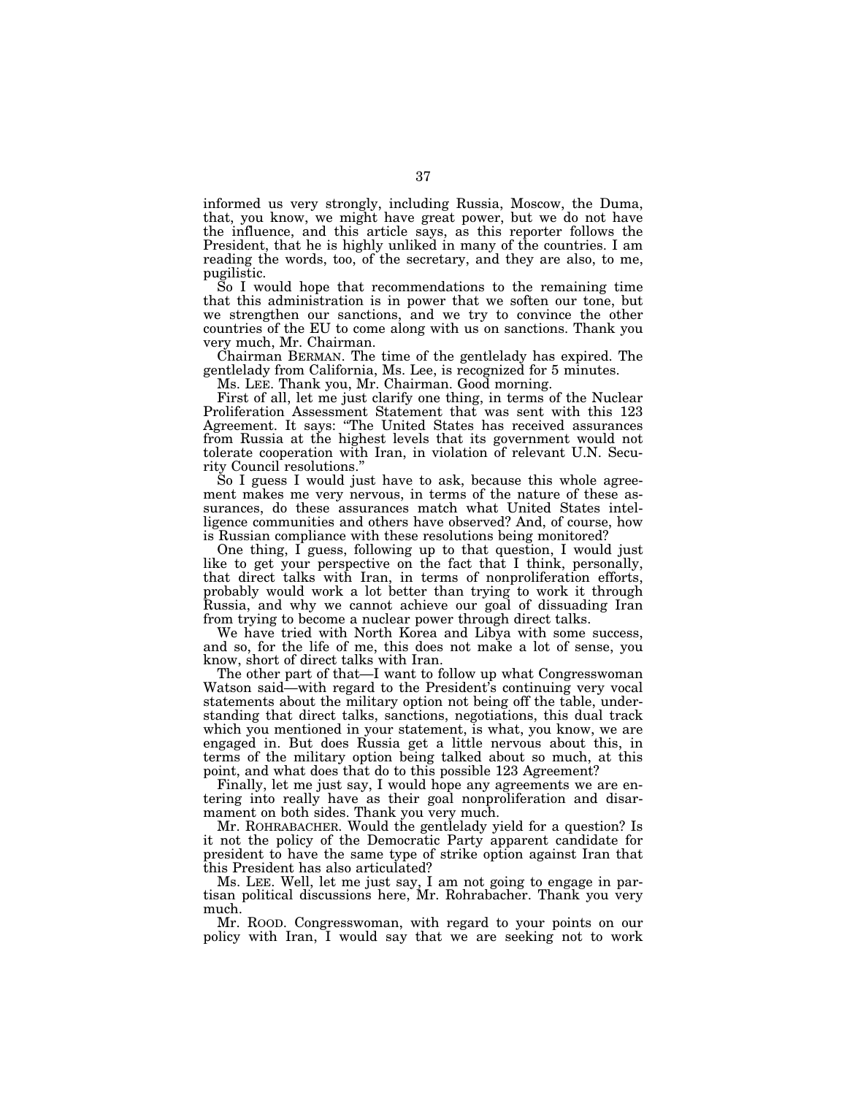informed us very strongly, including Russia, Moscow, the Duma, that, you know, we might have great power, but we do not have the influence, and this article says, as this reporter follows the President, that he is highly unliked in many of the countries. I am reading the words, too, of the secretary, and they are also, to me, pugilistic.

So I would hope that recommendations to the remaining time that this administration is in power that we soften our tone, but we strengthen our sanctions, and we try to convince the other countries of the EU to come along with us on sanctions. Thank you very much, Mr. Chairman.

Chairman BERMAN. The time of the gentlelady has expired. The gentlelady from California, Ms. Lee, is recognized for 5 minutes.

Ms. LEE. Thank you, Mr. Chairman. Good morning.

First of all, let me just clarify one thing, in terms of the Nuclear Proliferation Assessment Statement that was sent with this 123 Agreement. It says: ''The United States has received assurances from Russia at the highest levels that its government would not tolerate cooperation with Iran, in violation of relevant U.N. Security Council resolutions.''

So I guess I would just have to ask, because this whole agreement makes me very nervous, in terms of the nature of these assurances, do these assurances match what United States intelligence communities and others have observed? And, of course, how is Russian compliance with these resolutions being monitored?

One thing, I guess, following up to that question, I would just like to get your perspective on the fact that I think, personally, that direct talks with Iran, in terms of nonproliferation efforts, probably would work a lot better than trying to work it through Russia, and why we cannot achieve our goal of dissuading Iran from trying to become a nuclear power through direct talks.

We have tried with North Korea and Libya with some success, and so, for the life of me, this does not make a lot of sense, you know, short of direct talks with Iran.

The other part of that—I want to follow up what Congresswoman Watson said—with regard to the President's continuing very vocal statements about the military option not being off the table, understanding that direct talks, sanctions, negotiations, this dual track which you mentioned in your statement, is what, you know, we are engaged in. But does Russia get a little nervous about this, in terms of the military option being talked about so much, at this point, and what does that do to this possible 123 Agreement?

Finally, let me just say, I would hope any agreements we are entering into really have as their goal nonproliferation and disarmament on both sides. Thank you very much.

Mr. ROHRABACHER. Would the gentlelady yield for a question? Is it not the policy of the Democratic Party apparent candidate for president to have the same type of strike option against Iran that this President has also articulated?

Ms. LEE. Well, let me just say, I am not going to engage in partisan political discussions here, Mr. Rohrabacher. Thank you very much.

Mr. ROOD. Congresswoman, with regard to your points on our policy with Iran, I would say that we are seeking not to work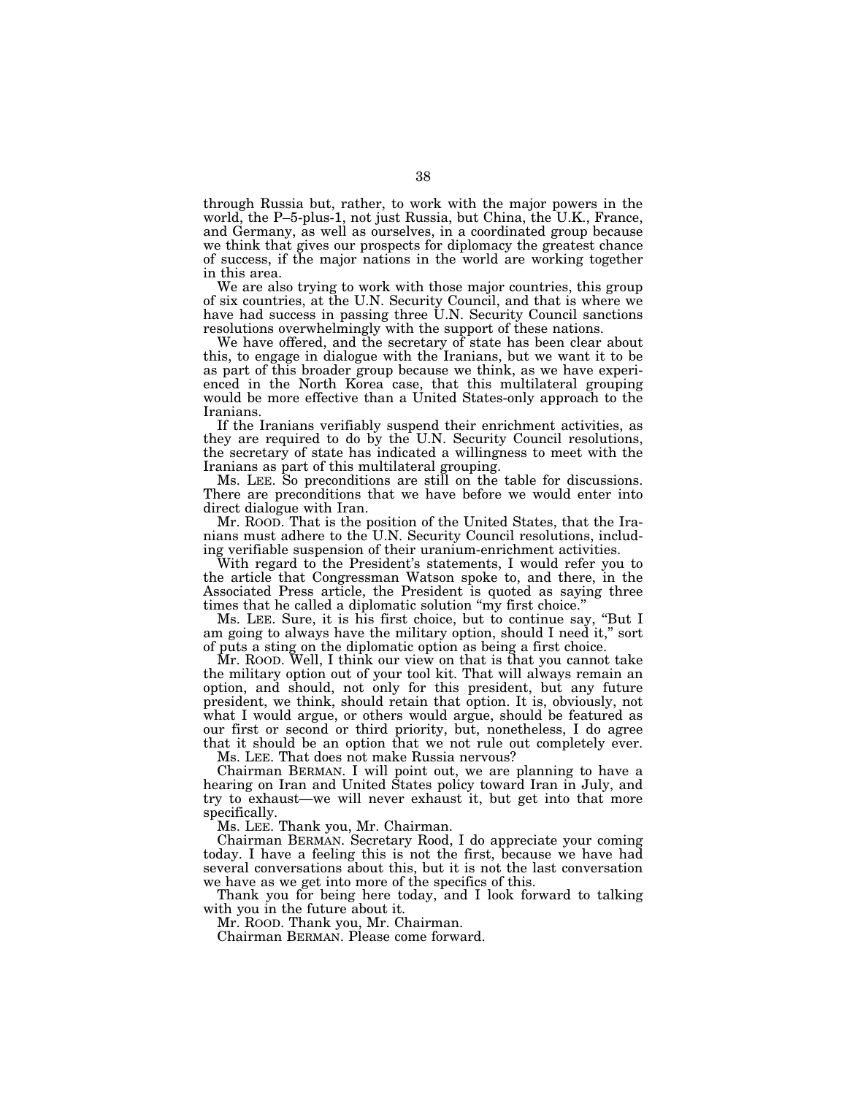through Russia but, rather, to work with the major powers in the world, the P–5-plus-1, not just Russia, but China, the U.K., France, and Germany, as well as ourselves, in a coordinated group because we think that gives our prospects for diplomacy the greatest chance of success, if the major nations in the world are working together in this area.

We are also trying to work with those major countries, this group of six countries, at the U.N. Security Council, and that is where we have had success in passing three U.N. Security Council sanctions resolutions overwhelmingly with the support of these nations.

We have offered, and the secretary of state has been clear about this, to engage in dialogue with the Iranians, but we want it to be as part of this broader group because we think, as we have experienced in the North Korea case, that this multilateral grouping would be more effective than a United States-only approach to the Iranians.

If the Iranians verifiably suspend their enrichment activities, as they are required to do by the U.N. Security Council resolutions, the secretary of state has indicated a willingness to meet with the Iranians as part of this multilateral grouping.

Ms. LEE. So preconditions are still on the table for discussions. There are preconditions that we have before we would enter into direct dialogue with Iran.

Mr. ROOD. That is the position of the United States, that the Iranians must adhere to the U.N. Security Council resolutions, including verifiable suspension of their uranium-enrichment activities.

With regard to the President's statements, I would refer you to the article that Congressman Watson spoke to, and there, in the Associated Press article, the President is quoted as saying three times that he called a diplomatic solution "my first choice."

Ms. LEE. Sure, it is his first choice, but to continue say, ''But I am going to always have the military option, should I need it,'' sort of puts a sting on the diplomatic option as being a first choice.

Mr. ROOD. Well, I think our view on that is that you cannot take the military option out of your tool kit. That will always remain an option, and should, not only for this president, but any future president, we think, should retain that option. It is, obviously, not what I would argue, or others would argue, should be featured as our first or second or third priority, but, nonetheless, I do agree that it should be an option that we not rule out completely ever.

Ms. LEE. That does not make Russia nervous?

Chairman BERMAN. I will point out, we are planning to have a hearing on Iran and United States policy toward Iran in July, and try to exhaust—we will never exhaust it, but get into that more specifically.

Ms. LEE. Thank you, Mr. Chairman.

Chairman BERMAN. Secretary Rood, I do appreciate your coming today. I have a feeling this is not the first, because we have had several conversations about this, but it is not the last conversation we have as we get into more of the specifics of this.

Thank you for being here today, and I look forward to talking with you in the future about it.

Mr. ROOD. Thank you, Mr. Chairman.

Chairman BERMAN. Please come forward.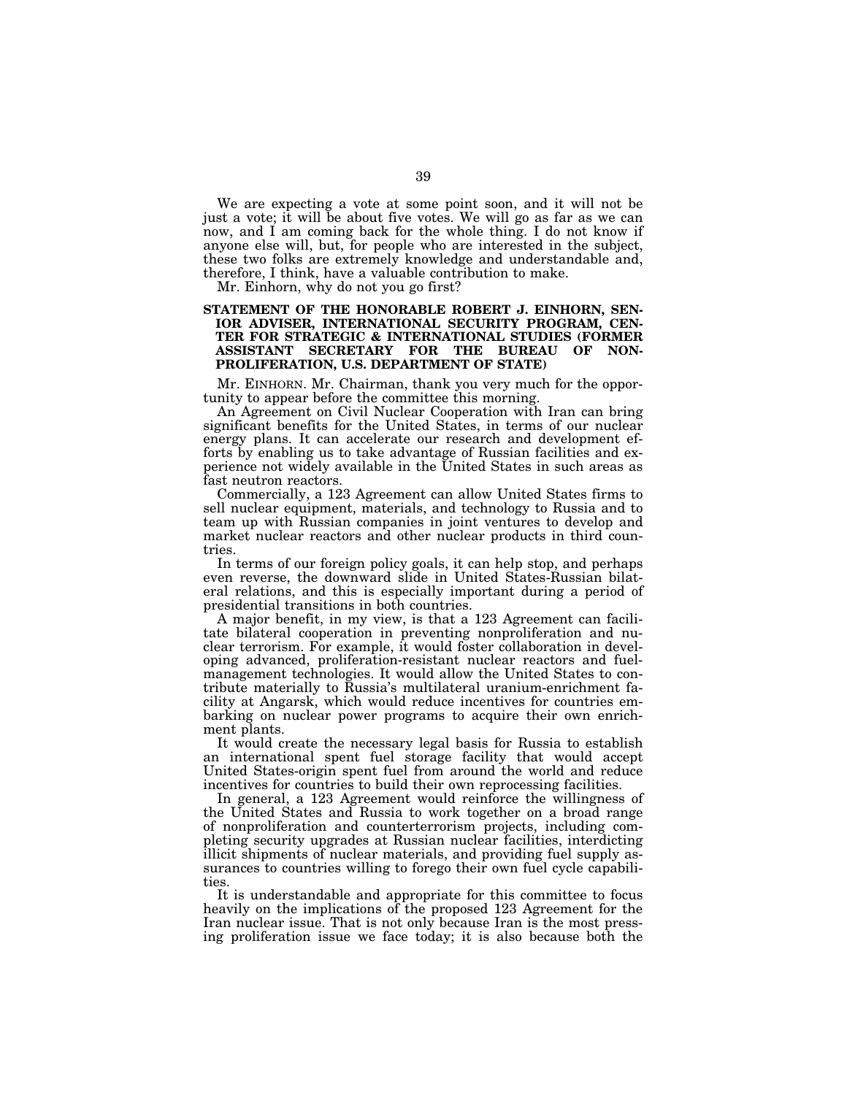We are expecting a vote at some point soon, and it will not be just a vote; it will be about five votes. We will go as far as we can now, and I am coming back for the whole thing. I do not know if anyone else will, but, for people who are interested in the subject, these two folks are extremely knowledge and understandable and, therefore, I think, have a valuable contribution to make.

Mr. Einhorn, why do not you go first?

## **STATEMENT OF THE HONORABLE ROBERT J. EINHORN, SEN-IOR ADVISER, INTERNATIONAL SECURITY PROGRAM, CEN-TER FOR STRATEGIC & INTERNATIONAL STUDIES (FORMER ASSISTANT SECRETARY FOR THE BUREAU OF NON-PROLIFERATION, U.S. DEPARTMENT OF STATE)**

Mr. EINHORN. Mr. Chairman, thank you very much for the opportunity to appear before the committee this morning.

An Agreement on Civil Nuclear Cooperation with Iran can bring significant benefits for the United States, in terms of our nuclear energy plans. It can accelerate our research and development efforts by enabling us to take advantage of Russian facilities and experience not widely available in the United States in such areas as fast neutron reactors.

Commercially, a 123 Agreement can allow United States firms to sell nuclear equipment, materials, and technology to Russia and to team up with Russian companies in joint ventures to develop and market nuclear reactors and other nuclear products in third countries.

In terms of our foreign policy goals, it can help stop, and perhaps even reverse, the downward slide in United States-Russian bilateral relations, and this is especially important during a period of presidential transitions in both countries.

A major benefit, in my view, is that a 123 Agreement can facilitate bilateral cooperation in preventing nonproliferation and nuclear terrorism. For example, it would foster collaboration in developing advanced, proliferation-resistant nuclear reactors and fuelmanagement technologies. It would allow the United States to contribute materially to Russia's multilateral uranium-enrichment facility at Angarsk, which would reduce incentives for countries embarking on nuclear power programs to acquire their own enrichment plants.

It would create the necessary legal basis for Russia to establish an international spent fuel storage facility that would accept United States-origin spent fuel from around the world and reduce incentives for countries to build their own reprocessing facilities.

In general, a 123 Agreement would reinforce the willingness of the United States and Russia to work together on a broad range of nonproliferation and counterterrorism projects, including completing security upgrades at Russian nuclear facilities, interdicting illicit shipments of nuclear materials, and providing fuel supply assurances to countries willing to forego their own fuel cycle capabilities.

It is understandable and appropriate for this committee to focus heavily on the implications of the proposed 123 Agreement for the Iran nuclear issue. That is not only because Iran is the most pressing proliferation issue we face today; it is also because both the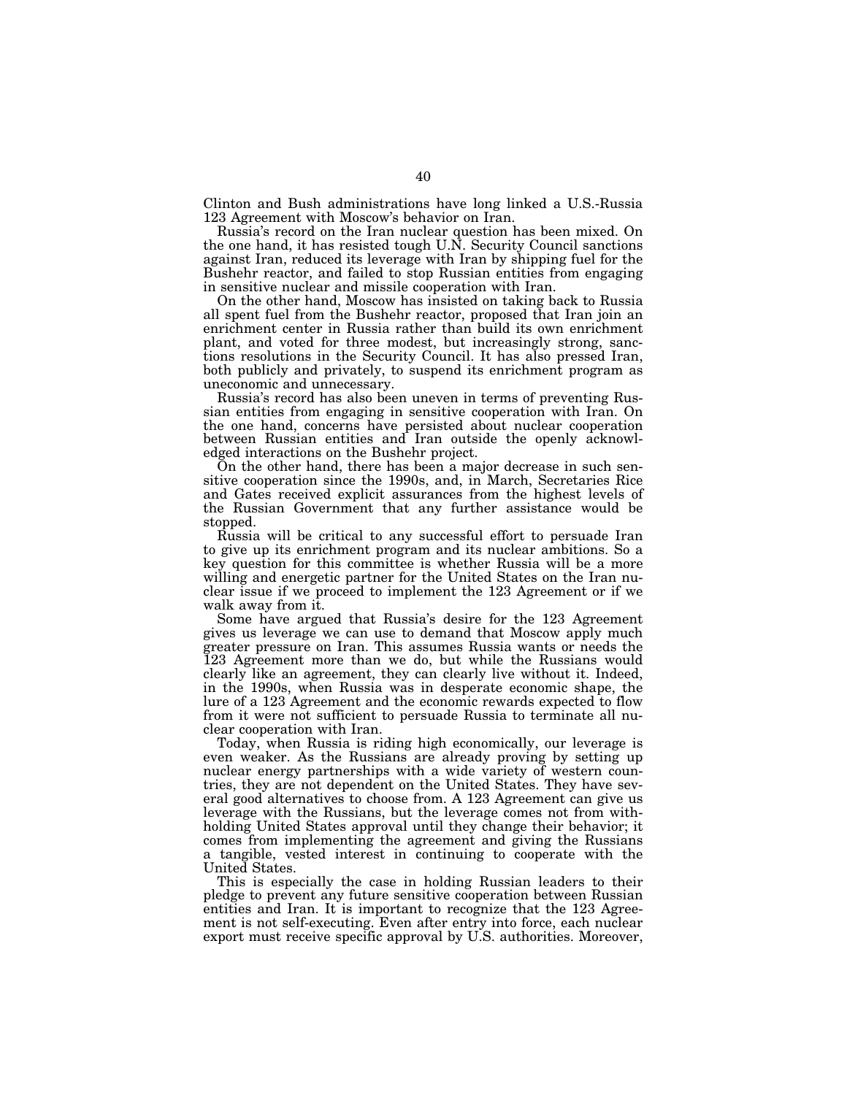Clinton and Bush administrations have long linked a U.S.-Russia 123 Agreement with Moscow's behavior on Iran.

Russia's record on the Iran nuclear question has been mixed. On the one hand, it has resisted tough U.N. Security Council sanctions against Iran, reduced its leverage with Iran by shipping fuel for the Bushehr reactor, and failed to stop Russian entities from engaging in sensitive nuclear and missile cooperation with Iran.

On the other hand, Moscow has insisted on taking back to Russia all spent fuel from the Bushehr reactor, proposed that Iran join an enrichment center in Russia rather than build its own enrichment plant, and voted for three modest, but increasingly strong, sanctions resolutions in the Security Council. It has also pressed Iran, both publicly and privately, to suspend its enrichment program as uneconomic and unnecessary.

Russia's record has also been uneven in terms of preventing Russian entities from engaging in sensitive cooperation with Iran. On the one hand, concerns have persisted about nuclear cooperation between Russian entities and Iran outside the openly acknowledged interactions on the Bushehr project.

On the other hand, there has been a major decrease in such sensitive cooperation since the 1990s, and, in March, Secretaries Rice and Gates received explicit assurances from the highest levels of the Russian Government that any further assistance would be stopped.

Russia will be critical to any successful effort to persuade Iran to give up its enrichment program and its nuclear ambitions. So a key question for this committee is whether Russia will be a more willing and energetic partner for the United States on the Iran nuclear issue if we proceed to implement the 123 Agreement or if we walk away from it.

Some have argued that Russia's desire for the 123 Agreement gives us leverage we can use to demand that Moscow apply much greater pressure on Iran. This assumes Russia wants or needs the 123 Agreement more than we do, but while the Russians would clearly like an agreement, they can clearly live without it. Indeed, in the 1990s, when Russia was in desperate economic shape, the lure of a 123 Agreement and the economic rewards expected to flow from it were not sufficient to persuade Russia to terminate all nuclear cooperation with Iran.

Today, when Russia is riding high economically, our leverage is even weaker. As the Russians are already proving by setting up nuclear energy partnerships with a wide variety of western countries, they are not dependent on the United States. They have several good alternatives to choose from. A 123 Agreement can give us leverage with the Russians, but the leverage comes not from withholding United States approval until they change their behavior; it comes from implementing the agreement and giving the Russians a tangible, vested interest in continuing to cooperate with the United States.

This is especially the case in holding Russian leaders to their pledge to prevent any future sensitive cooperation between Russian entities and Iran. It is important to recognize that the 123 Agreement is not self-executing. Even after entry into force, each nuclear export must receive specific approval by U.S. authorities. Moreover,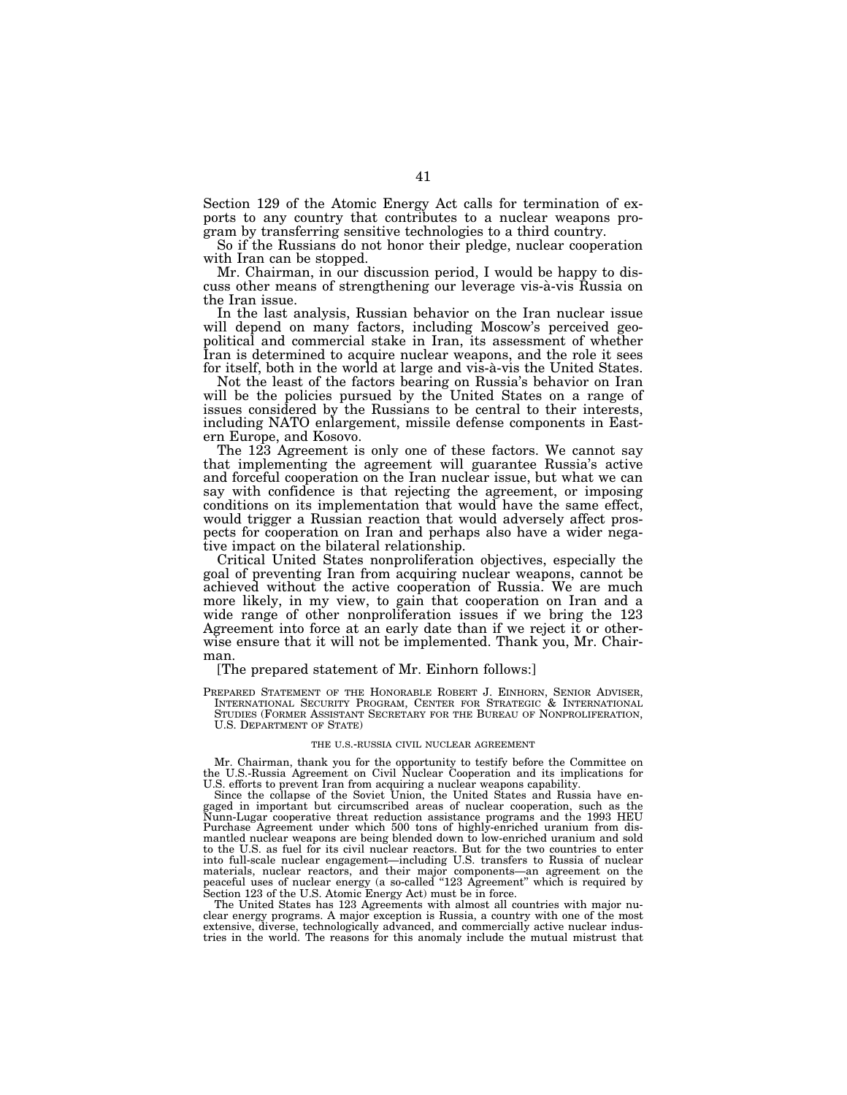Section 129 of the Atomic Energy Act calls for termination of exports to any country that contributes to a nuclear weapons program by transferring sensitive technologies to a third country.

So if the Russians do not honor their pledge, nuclear cooperation with Iran can be stopped.

Mr. Chairman, in our discussion period, I would be happy to discuss other means of strengthening our leverage vis-à-vis Russia on the Iran issue.

In the last analysis, Russian behavior on the Iran nuclear issue will depend on many factors, including Moscow's perceived geopolitical and commercial stake in Iran, its assessment of whether Iran is determined to acquire nuclear weapons, and the role it sees for itself, both in the world at large and vis-à-vis the United States.

Not the least of the factors bearing on Russia's behavior on Iran will be the policies pursued by the United States on a range of issues considered by the Russians to be central to their interests, including NATO enlargement, missile defense components in Eastern Europe, and Kosovo.

The 123 Agreement is only one of these factors. We cannot say that implementing the agreement will guarantee Russia's active and forceful cooperation on the Iran nuclear issue, but what we can say with confidence is that rejecting the agreement, or imposing conditions on its implementation that would have the same effect, would trigger a Russian reaction that would adversely affect prospects for cooperation on Iran and perhaps also have a wider negative impact on the bilateral relationship.

Critical United States nonproliferation objectives, especially the goal of preventing Iran from acquiring nuclear weapons, cannot be achieved without the active cooperation of Russia. We are much more likely, in my view, to gain that cooperation on Iran and a wide range of other nonproliferation issues if we bring the 123 Agreement into force at an early date than if we reject it or otherwise ensure that it will not be implemented. Thank you, Mr. Chairman.

[The prepared statement of Mr. Einhorn follows:]

PREPARED STATEMENT OF THE HONORABLE ROBERT J. EINHORN, SENIOR ADVISER, INTERNATIONAL SECURITY PROGRAM, CENTER FOR STRATEGIC & INTERNATIONAL STUDIES (FORMER ASSISTANT SECRETARY FOR THE BUREAU OF NONPROLIFERATION,<br>U.S. DEPARTMENT OF STATE)

#### THE U.S.-RUSSIA CIVIL NUCLEAR AGREEMENT

Mr. Chairman, thank you for the opportunity to testify before the Committee on the U.S.-Russia Agreement on Civil Nuclear Cooperation and its implications for

U.S. efforts to prevent Iran from acquiring a nuclear weapons capability. Since the collapse of the Soviet Union, the United States and Russia have engaged in important but circumscribed areas of nuclear cooperation, such as the Nunn-Lugar cooperative threat reduction assistance programs and the 1993 HEU Purchase Agreement under which 500 tons of highly-enriched uranium from dismantled nuclear weapons are being blended down to low-enriched uranium and sold to the U.S. as fuel for its civil nuclear reactors. But for the two countries to enter into full-scale nuclear engagement—including U.S. transfers to Russia of nuclear materials, nuclear reactors, and their major components—an agreement on the peaceful uses of nuclear energy (a so-called ''123 Agreement'' which is required by Section 123 of the U.S. Atomic Energy Act) must be in force.

The United States has 123 Agreements with almost all countries with major nuclear energy programs. A major exception is Russia, a country with one of the most extensive, diverse, technologically advanced, and commercially active nuclear industries in the world. The reasons for this anomaly include the mutual mistrust that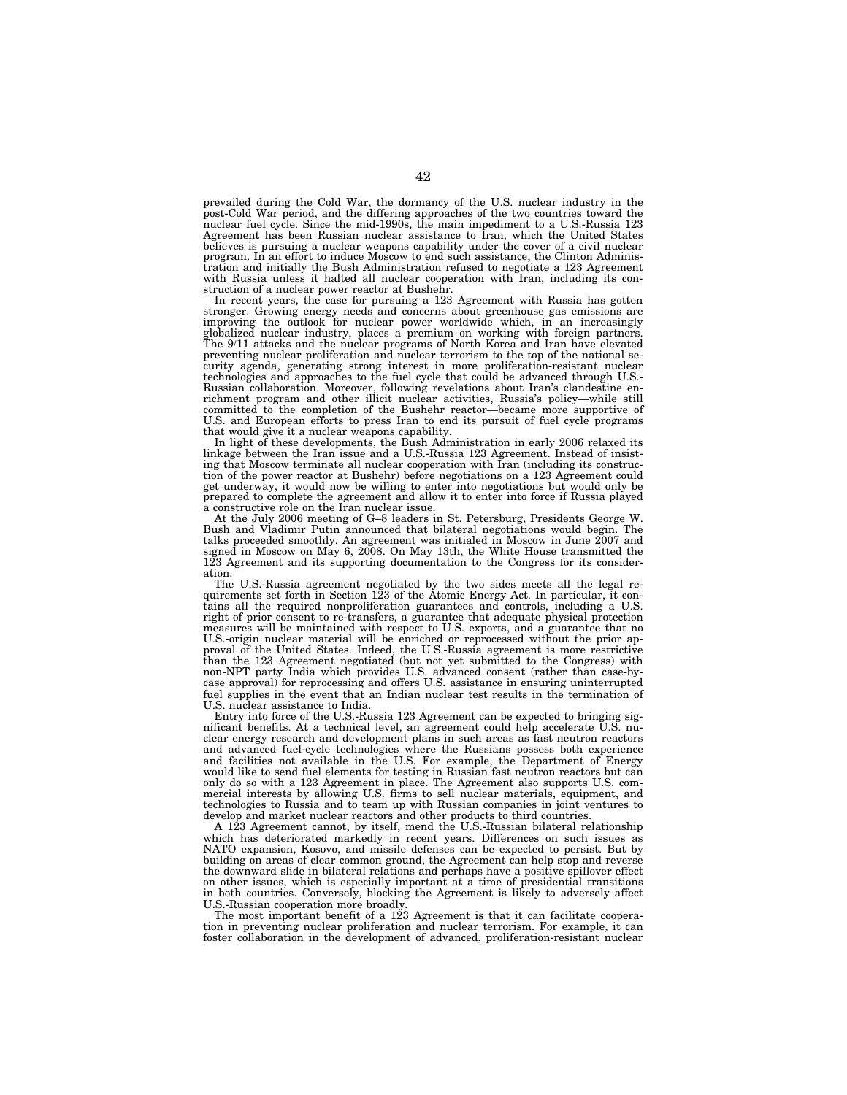prevailed during the Cold War, the dormancy of the U.S. nuclear industry in the post-Cold War period, and the differing approaches of the two countries toward the nuclear fuel cycle. Since the mid-1990s, the main impediment to a U.S.-Russia 123 Agreement has been Russian nuclear assistance to Iran, which the United States believes is pursuing a nuclear weapons capability under the cover of a civil nuclear program. In an effort to induce Moscow to end such assistance, the Clinton Administration and initially the Bush Administration refused to negotiate a 123 Agreement with Russia unless it halted all nuclear cooperation with Iran, including its construction of a nuclear power reactor at Bushehr.

In recent years, the case for pursuing a 123 Agreement with Russia has gotten stronger. Growing energy needs and concerns about greenhouse gas emissions are improving the outlook for nuclear power worldwide which, in an increasingly globalized nuclear industry, places a premium on working with foreign partners. The 9/11 attacks and the nuclear programs of North Korea and Iran have elevated preventing nuclear proliferation and nuclear terrorism to the top of the national security agenda, generating strong interest in more proliferation-resistant nuclear technologies and approaches to the fuel cycle that could be advanced through U.S.- Russian collaboration. Moreover, following revelations about Iran's clandestine en-richment program and other illicit nuclear activities, Russia's policy—while still committed to the completion of the Bushehr reactor—became more supportive of U.S. and European efforts to press Iran to end its pursuit of fuel cycle programs

that would give it a nuclear weapons capability. In light of these developments, the Bush Administration in early 2006 relaxed its linkage between the Iran issue and a U.S.-Russia 123 Agreement. Instead of insisting that Moscow terminate all nuclear cooperation with Iran (including its construction of the power reactor at Bushehr) before negotiations on a 123 Agreement could get underway, it would now be willing to enter into negotiations but would only be prepared to complete the agreement and allow it to enter into force if Russia played a constructive role on the Iran nuclear issue.

At the July 2006 meeting of G–8 leaders in St. Petersburg, Presidents George W. Bush and Vladimir Putin announced that bilateral negotiations would begin. The talks proceeded smoothly. An agreement was initialed in Moscow in June 2007 and signed in Moscow on May 6, 2008. On May 13th, the White House transmitted the 123 Agreement and its supporting documentation to the Congress for its consideration.

The U.S.-Russia agreement negotiated by the two sides meets all the legal requirements set forth in Section 123 of the Atomic Energy Act. In particular, it contains all the required nonproliferation guarantees and controls, including a U.S. right of prior consent to re-transfers, a guarantee that adequate physical protection measures will be maintained with respect to U.S. exports, and a guarantee that no U.S.-origin nuclear material will be enriched or reprocessed without the prior approval of the United States. Indeed, the U.S.-Russia agreement is more restrictive than the 123 Agreement negotiated (but not yet submitted to the Congress) with non-NPT party India which provides U.S. advanced consent (rather than case-bycase approval) for reprocessing and offers U.S. assistance in ensuring uninterrupted fuel supplies in the event that an Indian nuclear test results in the termination of U.S. nuclear assistance to India.

Entry into force of the U.S.-Russia 123 Agreement can be expected to bringing significant benefits. At a technical level, an agreement could help accelerate U.S. nuclear energy research and development plans in such areas as fast neutron reactors and advanced fuel-cycle technologies where the Russians possess both experience and facilities not available in the U.S. For example, the Department of Energy would like to send fuel elements for testing in Russian fast neutron reactors but can only do so with a 123 Agreement in place. The Agreement also supports U.S. commercial interests by allowing U.S. firms to sell nuclear materials, equipment, and technologies to Russia and to team up with Russian companies in joint ventures to develop and market nuclear reactors and other products to third countries.

A 123 Agreement cannot, by itself, mend the U.S.-Russian bilateral relationship which has deteriorated markedly in recent years. Differences on such issues as NATO expansion, Kosovo, and missile defenses can be expected to persist. But by building on areas of clear common ground, the Agreement can help stop and reverse the downward slide in bilateral relations and perhaps have a positive spillover effect on other issues, which is especially important at  $\hat{a}$  time of presidential transitions in both countries. Conversely, blocking the Agreement is likely to adversely affect U.S.-Russian cooperation more broadly.

The most important benefit of a 123 Agreement is that it can facilitate cooperation in preventing nuclear proliferation and nuclear terrorism. For example, it can foster collaboration in the development of advanced, proliferation-resistant nuclear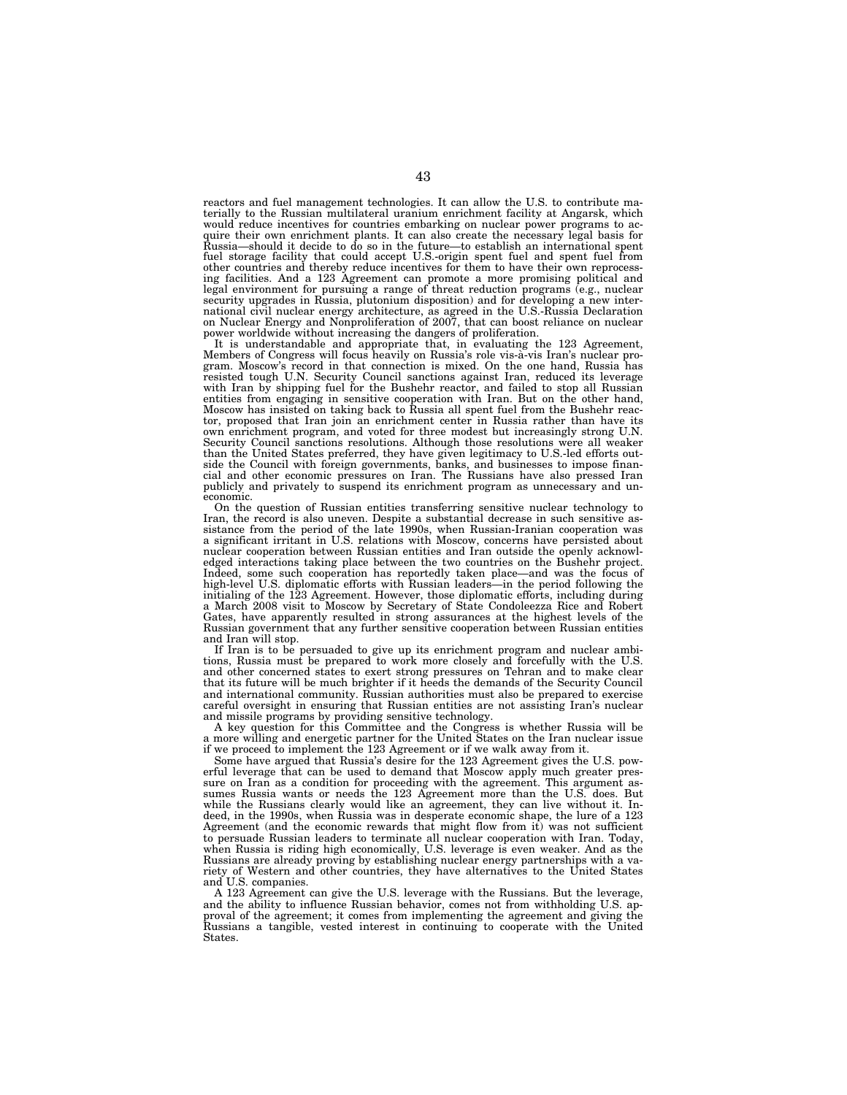reactors and fuel management technologies. It can allow the U.S. to contribute materially to the Russian multilateral uranium enrichment facility at Angarsk, which would reduce incentives for countries embarking on nuclear power programs to acquire their own enrichment plants. It can also create the necessary legal basis for Russia—should it decide to do so in the future—to establish an international spent fuel storage facility that could accept U.S.-origin spent fuel and spent fuel from other countries and thereby reduce incentives for them to have their own reprocessing facilities. And a 123 Agreement can promote a more promising political and<br>legal environment for pursuing a range of threat reduction programs (e.g., nuclear<br>security upgrades in Russia, plutonium disposition) and for national civil nuclear energy architecture, as agreed in the U.S.-Russia Declaration on Nuclear Energy and Nonproliferation of 2007, that can boost reliance on nuclear power worldwide without increasing the dangers of proliferation.

It is understandable and appropriate that, in evaluating the 123 Agreement, Members of Congress will focus heavily on Russia's role vis-a`-vis Iran's nuclear program. Moscow's record in that connection is mixed. On the one hand, Russia has resisted tough U.N. Security Council sanctions against Iran, reduced its leverage with Iran by shipping fuel for the Bushehr reactor, and failed to stop all Russian entities from engaging in sensitive cooperation with Iran. But on the other hand, Moscow has insisted on taking back to Russia all spent fuel from the Bushehr reactor, proposed that Iran join an enrichment center in Russia rather than have its own enrichment program, and voted for three modest but increasingly strong U.N. Security Council sanctions resolutions. Although those resolutions were all weaker than the United States preferred, they have given legitimacy to U.S.-led efforts out-side the Council with foreign governments, banks, and businesses to impose financial and other economic pressures on Iran. The Russians have also pressed Iran publicly and privately to suspend its enrichment program as unnecessary and uneconomic.

On the question of Russian entities transferring sensitive nuclear technology to Iran, the record is also uneven. Despite a substantial decrease in such sensitive assistance from the period of the late 1990s, when Russian-Iranian cooperation was a significant irritant in U.S. relations with Moscow, concerns have persisted about nuclear cooperation between Russian entities and Iran outside the openly acknowledged interactions taking place between the two countries on the Bushehr project. Indeed, some such cooperation has reportedly taken place—and was the focus of<br>high-level U.S. diplomatic efforts with Russian leaders—in the period following the<br>initialing of the 123 Agreement. However, those diplomatic e a March 2008 visit to Moscow by Secretary of State Condoleezza Rice and Robert Gates, have apparently resulted in strong assurances at the highest levels of the Russian government that any further sensitive cooperation between Russian entities and Iran will stop.

If Iran is to be persuaded to give up its enrichment program and nuclear ambitions, Russia must be prepared to work more closely and forcefully with the U.S. and other concerned states to exert strong pressures on Tehran and to make clear that its future will be much brighter if it heeds the demands of the Security Council and international community. Russian authorities must also be prepared to exercise careful oversight in ensuring that Russian entities are not assisting Iran's nuclear and missile programs by providing sensitive technology.

A key question for this Committee and the Congress is whether Russia will be a more willing and energetic partner for the United States on the Iran nuclear issue if we proceed to implement the 123 Agreement or if we walk away from it.

Some have argued that Russia's desire for the 123 Agreement gives the U.S. powerful leverage that can be used to demand that Moscow apply much greater pressure on Iran as a condition for proceeding with the agreement. This argument assumes Russia wants or needs the 123 Agreement more than the U.S. does. But while the Russians clearly would like an agreement, they can live without it. Indeed, in the 1990s, when Russia was in desperate economic shape, the lure of a 123 Agreement (and the economic rewards that might flow from it) was not sufficient to persuade Russian leaders to terminate all nuclear cooperation with Iran. Today, when Russia is riding high economically, U.S. leverage is even weaker. And as the Russians are already proving by establishing nuclear energy partnerships with a variety of Western and other countries, they have alternatives to the United States and U.S. companies.

A 123 Agreement can give the U.S. leverage with the Russians. But the leverage, and the ability to influence Russian behavior, comes not from withholding U.S. approval of the agreement; it comes from implementing the agreement and giving the Russians a tangible, vested interest in continuing to cooperate with the United States.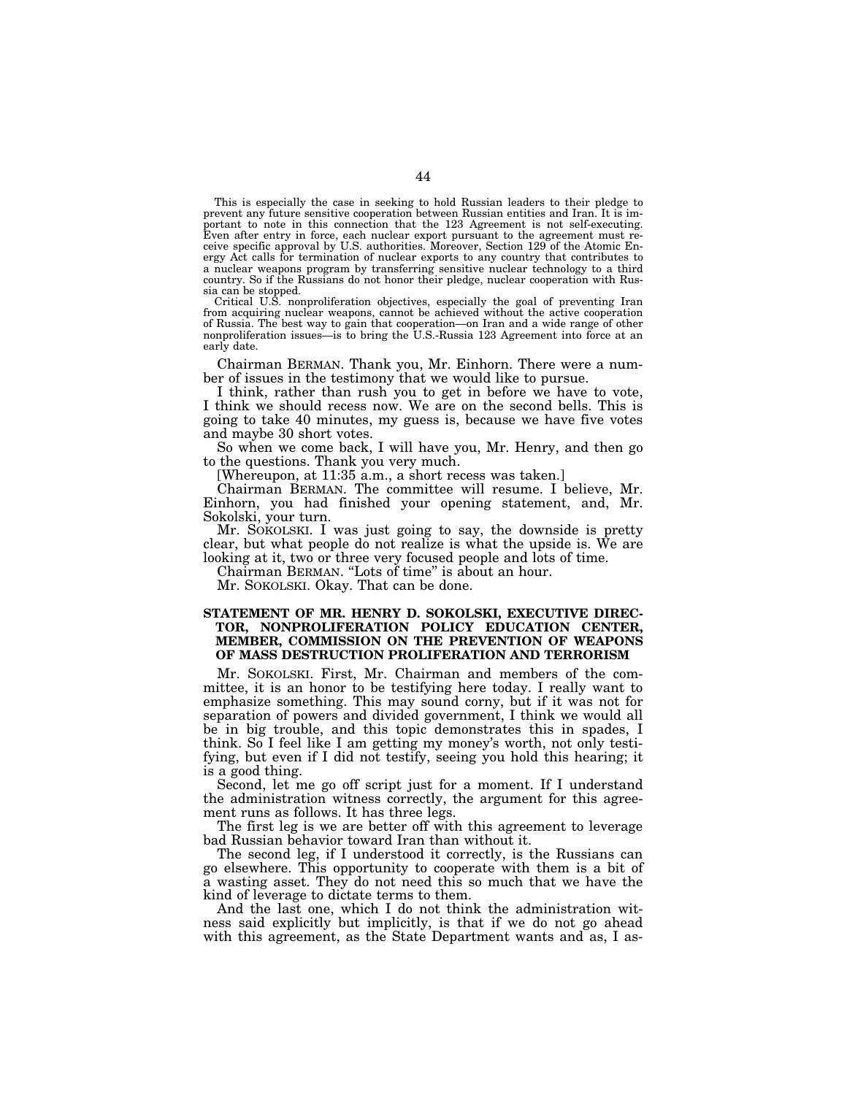This is especially the case in seeking to hold Russian leaders to their pledge to prevent any future sensitive cooperation between Russian entities and Iran. It is important to note in this connection that the 123 Agreement is not self-executing. Even after entry in force, each nuclear export pursuant to the agreement must receive specific approval by U.S. authorities. Moreover, Section 129 of the Atomic Energy Act calls for termination of nuclear exports to any country that contributes to a nuclear weapons program by transferring sensitive nuclear technology to a third country. So if the Russians do not honor their pledge, nuclear cooperation with Russia can be stopped.

Critical U.S. nonproliferation objectives, especially the goal of preventing Iran from acquiring nuclear weapons, cannot be achieved without the active cooperation of Russia. The best way to gain that cooperation—on Iran and a wide range of other nonproliferation issues—is to bring the U.S.-Russia 123 Agreement into force at an early date.

Chairman BERMAN. Thank you, Mr. Einhorn. There were a number of issues in the testimony that we would like to pursue.

I think, rather than rush you to get in before we have to vote, I think we should recess now. We are on the second bells. This is going to take 40 minutes, my guess is, because we have five votes and maybe 30 short votes.

So when we come back, I will have you, Mr. Henry, and then go to the questions. Thank you very much.

[Whereupon, at 11:35 a.m., a short recess was taken.]

Chairman BERMAN. The committee will resume. I believe, Mr. Einhorn, you had finished your opening statement, and, Mr. Sokolski, your turn.

Mr. SOKOLSKI. I was just going to say, the downside is pretty clear, but what people do not realize is what the upside is. We are looking at it, two or three very focused people and lots of time.

Chairman BERMAN. ''Lots of time'' is about an hour.

Mr. SOKOLSKI. Okay. That can be done.

## **STATEMENT OF MR. HENRY D. SOKOLSKI, EXECUTIVE DIREC-TOR, NONPROLIFERATION POLICY EDUCATION CENTER, MEMBER, COMMISSION ON THE PREVENTION OF WEAPONS OF MASS DESTRUCTION PROLIFERATION AND TERRORISM**

Mr. SOKOLSKI. First, Mr. Chairman and members of the committee, it is an honor to be testifying here today. I really want to emphasize something. This may sound corny, but if it was not for separation of powers and divided government, I think we would all be in big trouble, and this topic demonstrates this in spades, I think. So I feel like I am getting my money's worth, not only testifying, but even if I did not testify, seeing you hold this hearing; it is a good thing.

Second, let me go off script just for a moment. If I understand the administration witness correctly, the argument for this agreement runs as follows. It has three legs.

The first leg is we are better off with this agreement to leverage bad Russian behavior toward Iran than without it.

The second leg, if I understood it correctly, is the Russians can go elsewhere. This opportunity to cooperate with them is a bit of a wasting asset. They do not need this so much that we have the kind of leverage to dictate terms to them.

And the last one, which I do not think the administration witness said explicitly but implicitly, is that if we do not go ahead with this agreement, as the State Department wants and as, I as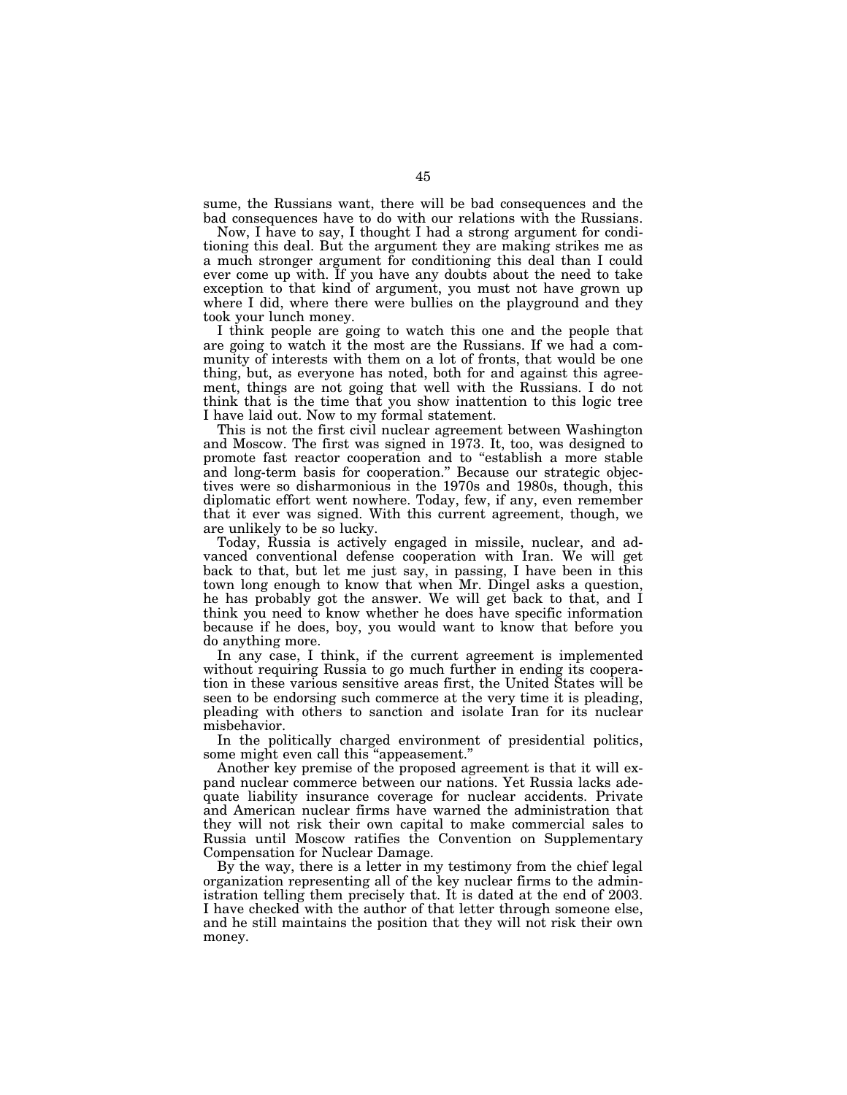sume, the Russians want, there will be bad consequences and the bad consequences have to do with our relations with the Russians.

Now, I have to say, I thought I had a strong argument for conditioning this deal. But the argument they are making strikes me as a much stronger argument for conditioning this deal than I could ever come up with. If you have any doubts about the need to take exception to that kind of argument, you must not have grown up where I did, where there were bullies on the playground and they took your lunch money.

I think people are going to watch this one and the people that are going to watch it the most are the Russians. If we had a community of interests with them on a lot of fronts, that would be one thing, but, as everyone has noted, both for and against this agreement, things are not going that well with the Russians. I do not think that is the time that you show inattention to this logic tree I have laid out. Now to my formal statement.

This is not the first civil nuclear agreement between Washington and Moscow. The first was signed in 1973. It, too, was designed to promote fast reactor cooperation and to "establish a more stable and long-term basis for cooperation.'' Because our strategic objectives were so disharmonious in the 1970s and 1980s, though, this diplomatic effort went nowhere. Today, few, if any, even remember that it ever was signed. With this current agreement, though, we are unlikely to be so lucky.

Today, Russia is actively engaged in missile, nuclear, and advanced conventional defense cooperation with Iran. We will get back to that, but let me just say, in passing, I have been in this town long enough to know that when Mr. Dingel asks a question, he has probably got the answer. We will get back to that, and I think you need to know whether he does have specific information because if he does, boy, you would want to know that before you do anything more.

In any case, I think, if the current agreement is implemented without requiring Russia to go much further in ending its cooperation in these various sensitive areas first, the United States will be seen to be endorsing such commerce at the very time it is pleading, pleading with others to sanction and isolate Iran for its nuclear misbehavior.

In the politically charged environment of presidential politics, some might even call this ''appeasement.''

Another key premise of the proposed agreement is that it will expand nuclear commerce between our nations. Yet Russia lacks adequate liability insurance coverage for nuclear accidents. Private and American nuclear firms have warned the administration that they will not risk their own capital to make commercial sales to Russia until Moscow ratifies the Convention on Supplementary Compensation for Nuclear Damage.

By the way, there is a letter in my testimony from the chief legal organization representing all of the key nuclear firms to the administration telling them precisely that. It is dated at the end of 2003. I have checked with the author of that letter through someone else, and he still maintains the position that they will not risk their own money.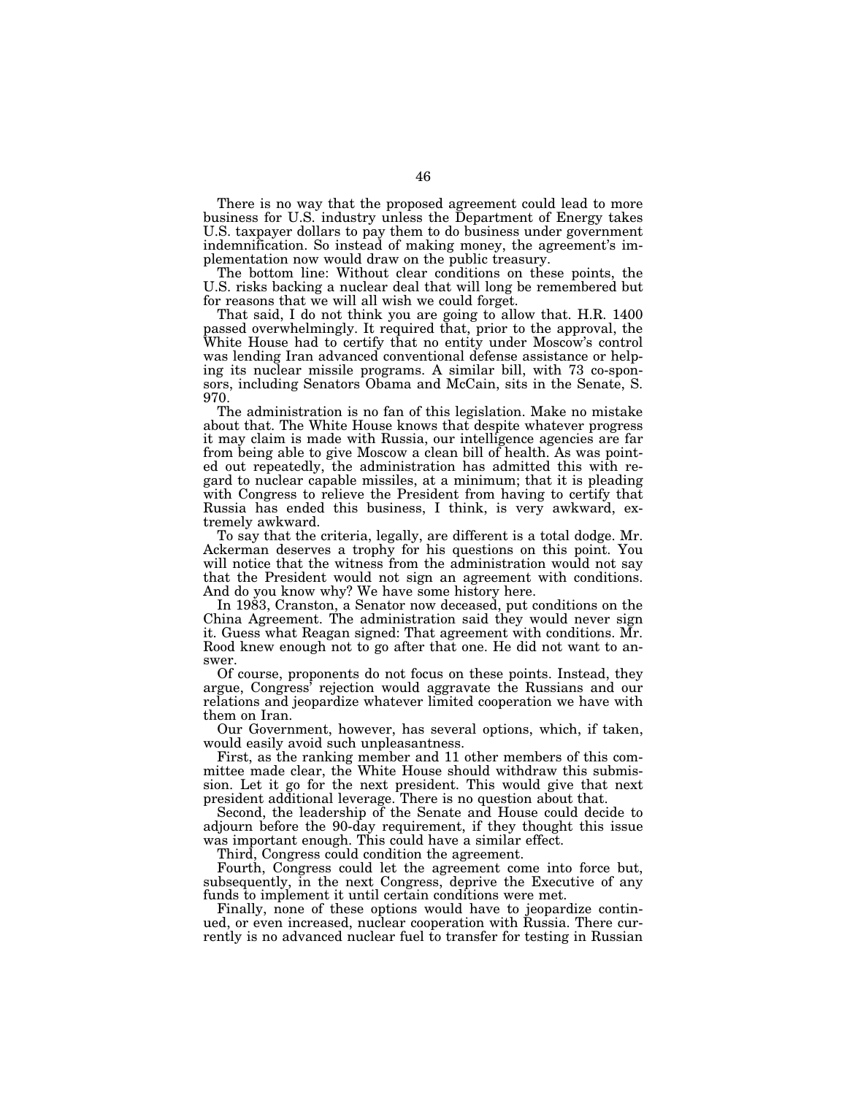There is no way that the proposed agreement could lead to more business for U.S. industry unless the Department of Energy takes U.S. taxpayer dollars to pay them to do business under government indemnification. So instead of making money, the agreement's implementation now would draw on the public treasury.

The bottom line: Without clear conditions on these points, the U.S. risks backing a nuclear deal that will long be remembered but for reasons that we will all wish we could forget.

That said, I do not think you are going to allow that. H.R. 1400 passed overwhelmingly. It required that, prior to the approval, the White House had to certify that no entity under Moscow's control was lending Iran advanced conventional defense assistance or helping its nuclear missile programs. A similar bill, with 73 co-sponsors, including Senators Obama and McCain, sits in the Senate, S. 970.

The administration is no fan of this legislation. Make no mistake about that. The White House knows that despite whatever progress it may claim is made with Russia, our intelligence agencies are far from being able to give Moscow a clean bill of health. As was pointed out repeatedly, the administration has admitted this with regard to nuclear capable missiles, at a minimum; that it is pleading with Congress to relieve the President from having to certify that Russia has ended this business, I think, is very awkward, extremely awkward.

To say that the criteria, legally, are different is a total dodge. Mr. Ackerman deserves a trophy for his questions on this point. You will notice that the witness from the administration would not say that the President would not sign an agreement with conditions. And do you know why? We have some history here.

In 1983, Cranston, a Senator now deceased, put conditions on the China Agreement. The administration said they would never sign it. Guess what Reagan signed: That agreement with conditions. Mr. Rood knew enough not to go after that one. He did not want to answer.

Of course, proponents do not focus on these points. Instead, they argue, Congress' rejection would aggravate the Russians and our relations and jeopardize whatever limited cooperation we have with them on Iran.

Our Government, however, has several options, which, if taken, would easily avoid such unpleasantness.

First, as the ranking member and 11 other members of this committee made clear, the White House should withdraw this submission. Let it go for the next president. This would give that next president additional leverage. There is no question about that.

Second, the leadership of the Senate and House could decide to adjourn before the 90-day requirement, if they thought this issue was important enough. This could have a similar effect.

Third, Congress could condition the agreement.

Fourth, Congress could let the agreement come into force but, subsequently, in the next Congress, deprive the Executive of any funds to implement it until certain conditions were met.

Finally, none of these options would have to jeopardize continued, or even increased, nuclear cooperation with Russia. There currently is no advanced nuclear fuel to transfer for testing in Russian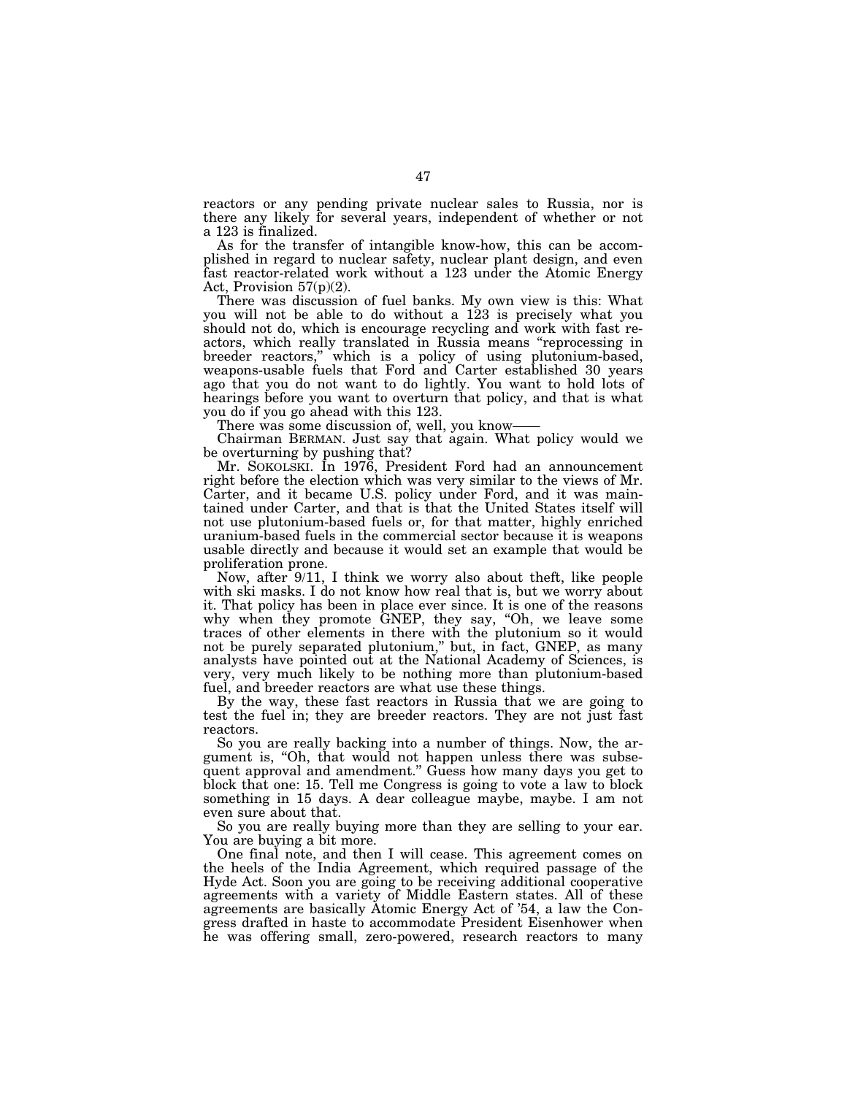reactors or any pending private nuclear sales to Russia, nor is there any likely for several years, independent of whether or not a 123 is finalized.

As for the transfer of intangible know-how, this can be accomplished in regard to nuclear safety, nuclear plant design, and even fast reactor-related work without a 123 under the Atomic Energy Act, Provision  $57(p)(2)$ .

There was discussion of fuel banks. My own view is this: What you will not be able to do without a 123 is precisely what you should not do, which is encourage recycling and work with fast reactors, which really translated in Russia means ''reprocessing in breeder reactors,'' which is a policy of using plutonium-based, weapons-usable fuels that Ford and Carter established 30 years ago that you do not want to do lightly. You want to hold lots of hearings before you want to overturn that policy, and that is what you do if you go ahead with this 123.

There was some discussion of, well, you know——

Chairman BERMAN. Just say that again. What policy would we be overturning by pushing that?

Mr. SOKOLSKI. In 1976, President Ford had an announcement right before the election which was very similar to the views of Mr. Carter, and it became U.S. policy under Ford, and it was maintained under Carter, and that is that the United States itself will not use plutonium-based fuels or, for that matter, highly enriched uranium-based fuels in the commercial sector because it is weapons usable directly and because it would set an example that would be proliferation prone.

Now, after 9/11, I think we worry also about theft, like people with ski masks. I do not know how real that is, but we worry about it. That policy has been in place ever since. It is one of the reasons why when they promote GNEP, they say, ''Oh, we leave some traces of other elements in there with the plutonium so it would not be purely separated plutonium," but, in fact, GNEP, as many analysts have pointed out at the National Academy of Sciences, is very, very much likely to be nothing more than plutonium-based fuel, and breeder reactors are what use these things.

By the way, these fast reactors in Russia that we are going to test the fuel in; they are breeder reactors. They are not just fast reactors.

So you are really backing into a number of things. Now, the argument is, "Oh, that would not happen unless there was subsequent approval and amendment.'' Guess how many days you get to block that one: 15. Tell me Congress is going to vote a law to block something in 15 days. A dear colleague maybe, maybe. I am not even sure about that.

So you are really buying more than they are selling to your ear. You are buying a bit more.

One final note, and then I will cease. This agreement comes on the heels of the India Agreement, which required passage of the Hyde Act. Soon you are going to be receiving additional cooperative agreements with a variety of Middle Eastern states. All of these agreements are basically Atomic Energy Act of '54, a law the Congress drafted in haste to accommodate President Eisenhower when he was offering small, zero-powered, research reactors to many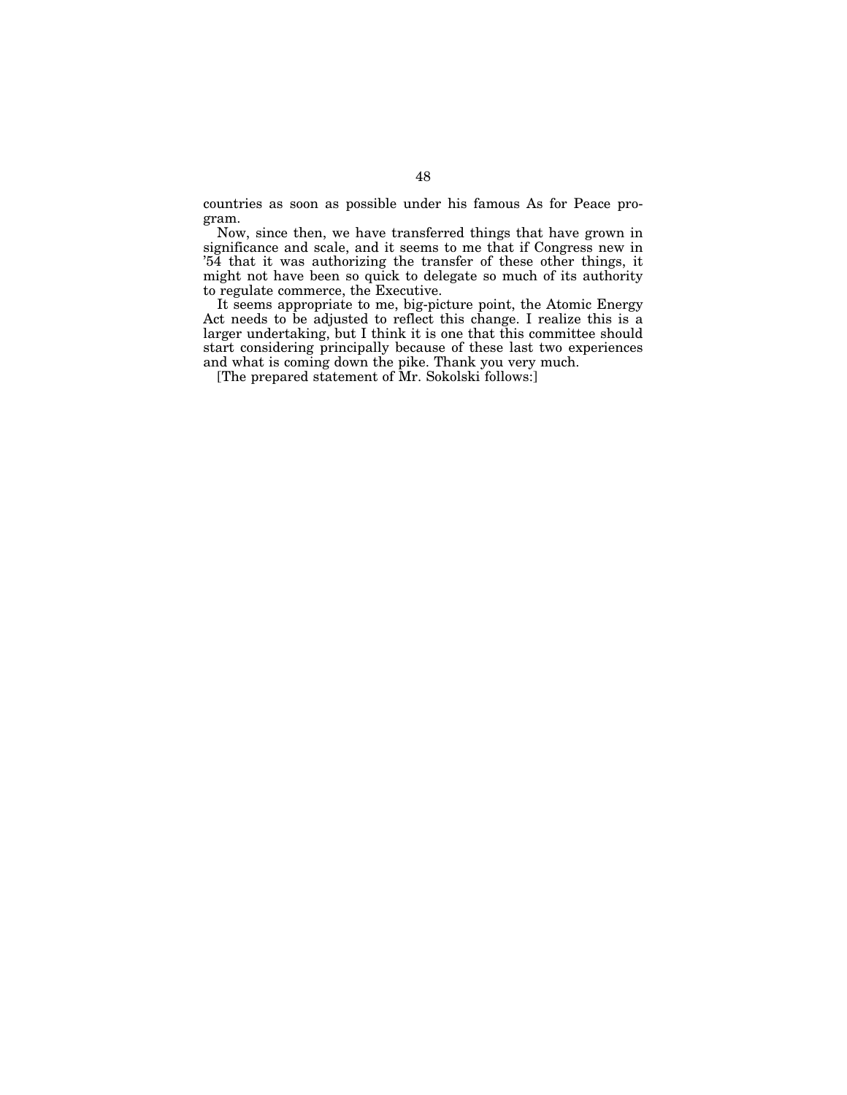countries as soon as possible under his famous As for Peace program.

Now, since then, we have transferred things that have grown in significance and scale, and it seems to me that if Congress new in '54 that it was authorizing the transfer of these other things, it might not have been so quick to delegate so much of its authority to regulate commerce, the Executive.

It seems appropriate to me, big-picture point, the Atomic Energy Act needs to be adjusted to reflect this change. I realize this is a larger undertaking, but I think it is one that this committee should start considering principally because of these last two experiences and what is coming down the pike. Thank you very much.

[The prepared statement of Mr. Sokolski follows:]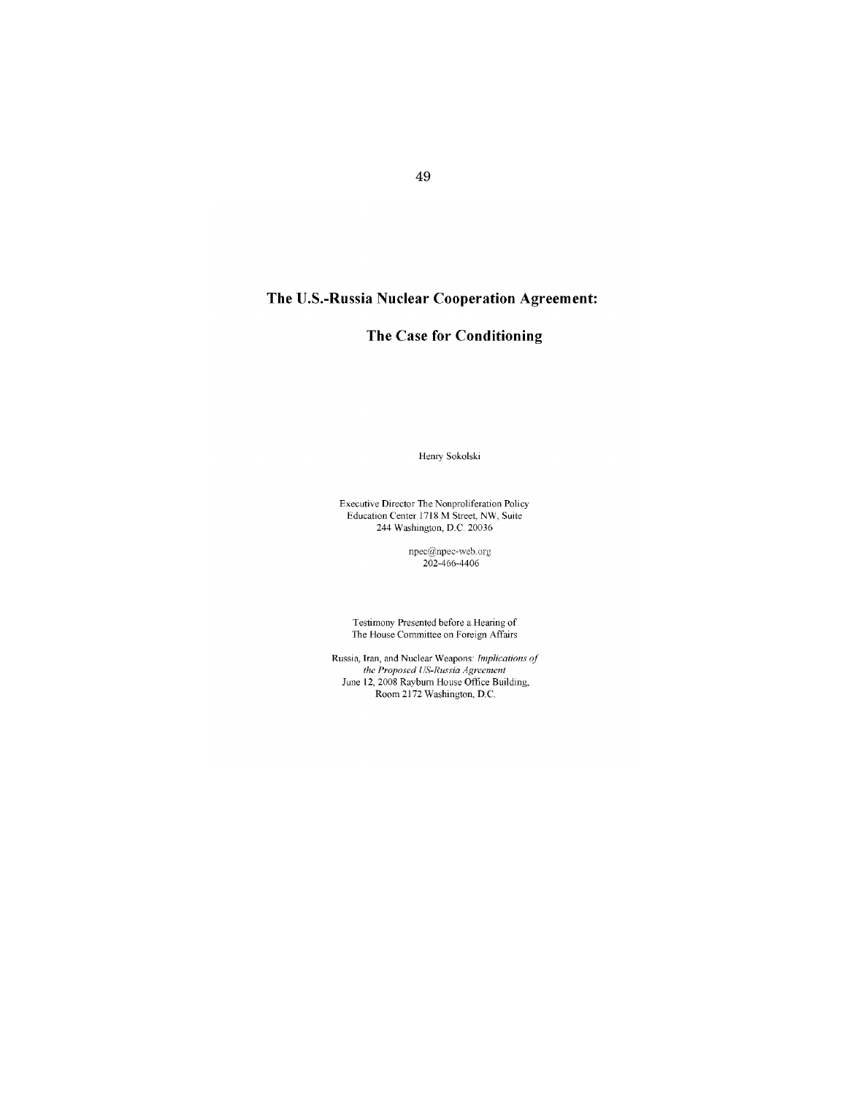# **The U.S.-Russia Nuclear Cooperation Agreement:**

# **The Case for Conditioning**

Henry Sokolski

Executive Director The Nonproliferation Policy Education Center 1718 M Street, NW, Suite 244 Washington, D.C. 20036

> npec@inpec-wcb.org 202-466-4406

Testimony Presented before a Hearing of The House Committee on Foreign Affairs

Russia, **Tran,** and Nuclear Weapons: *Implications of the Proposed US-Russia Agreement*  June 12,2008 Raybum House Office Building, Room 2172 Washington, D.C.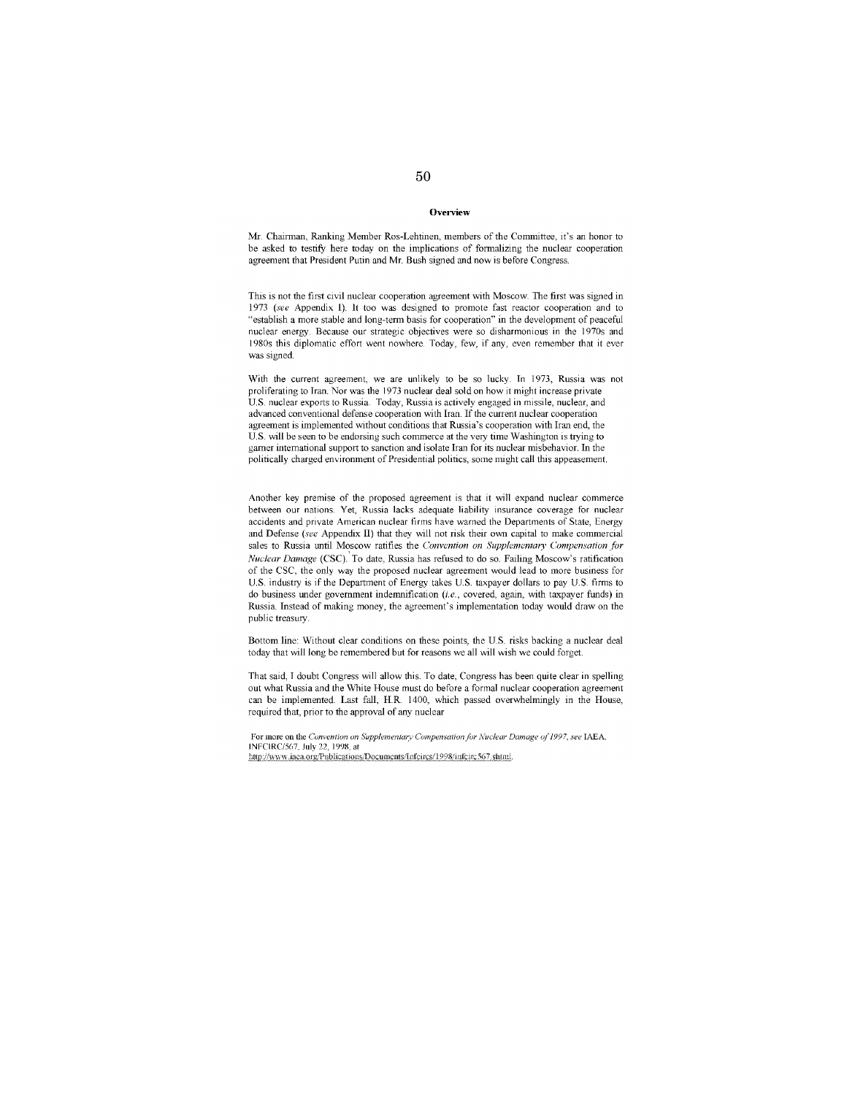#### **Overview**

Mr Chainnan, Ranking Member Ros-Lehtinen, members of the Committee, it's an honor to be asked to testify here today on the implications of formalizing the nuclear cooperation agreement that President Putin and Mr. Bush signed and now is before Congress.

This is not the first civil nuclear cooperation agreement with Moscow. The first was signed in 1973 *(see* Appendix 1). 11 too was designed to promote fast reactor cooperation and to "establish a more stable and long-term basis for cooperation" in the development of peaceful nuclear energy. Because our strategic objectives were so disharmonious in the 1970s and 1980s this diplomatic effort went nowhere Today, few, if any, even remember that it ever was signed.

With the current agreement, we are unlikely to be so lucky. In 1973, Russia was not proliferating to Iran. Nor was the 1973 nuclear deal sold on how it might increase private US nuclear exports to Russia. Today, Russia is actively engaged in missile, nuclear, and advanced conventional defense cooperation with Iran. If the current nuclear cooperation agreement is implemented without conditions that Russia's cooperation with Iran end, the US will be seen to be endorsing such commerce at the very time Washington is trying to garner international support to sanction and isolate Iran for its nuclear misbehavior. In the politically charged environment of Presidential politics, some might call this appeasement.

Another key premise of the proposed agreement is that it will expand nuclear commerce between our nations. Yet, Russia lacks adequate liability insurance coverage for nuclear accidents and private American nuclear firms have warned the Departments of State, Energy and Defense *(sec* Appendix II) that they will not risk their ovm capital to make commercial sales to Russia until Moscow ratifies the *Convention on Supplementary Compensation for Nuclear Damage* (CSC).' To date, Russia has refused to do so. Failing Moscow's ratification of the CSC, the only way the proposed nuclear agreement would lead to more business for U.S. industry is if the Department of Energy takes U.S. taxpayer dollars to pay U.S. firms to do business under government indemnification *(i.e.,* covered, again, with taxpayer funds) in Russia. Instead of making money, the agreement's implementation today would draw on the public treasury.

Bottom line: Without clear conditions on these points, the US. risks backing a nuclear deal today that will long be remembered but for reasons we all will wish we could forget.

That said, I doubt Congress will allow this. To date, Congress has been quite clear in spelling out what Russia and the White House must do before a formal nuclear cooperation agreement can be implemented. Last fall, HR. 1400, which passed overwhelmingly in the House, required that, prior to the approval of any nuclear

**For more on lhe** *Convention an Supplementar:v Compensation lor A'uc/ear Damage 011997, see* lAEA. INFCIRC/567, July 22, 1998, at http://www.iaca.org/Publications/Documents/Infeires/1998/infeire567.shtml.

# 50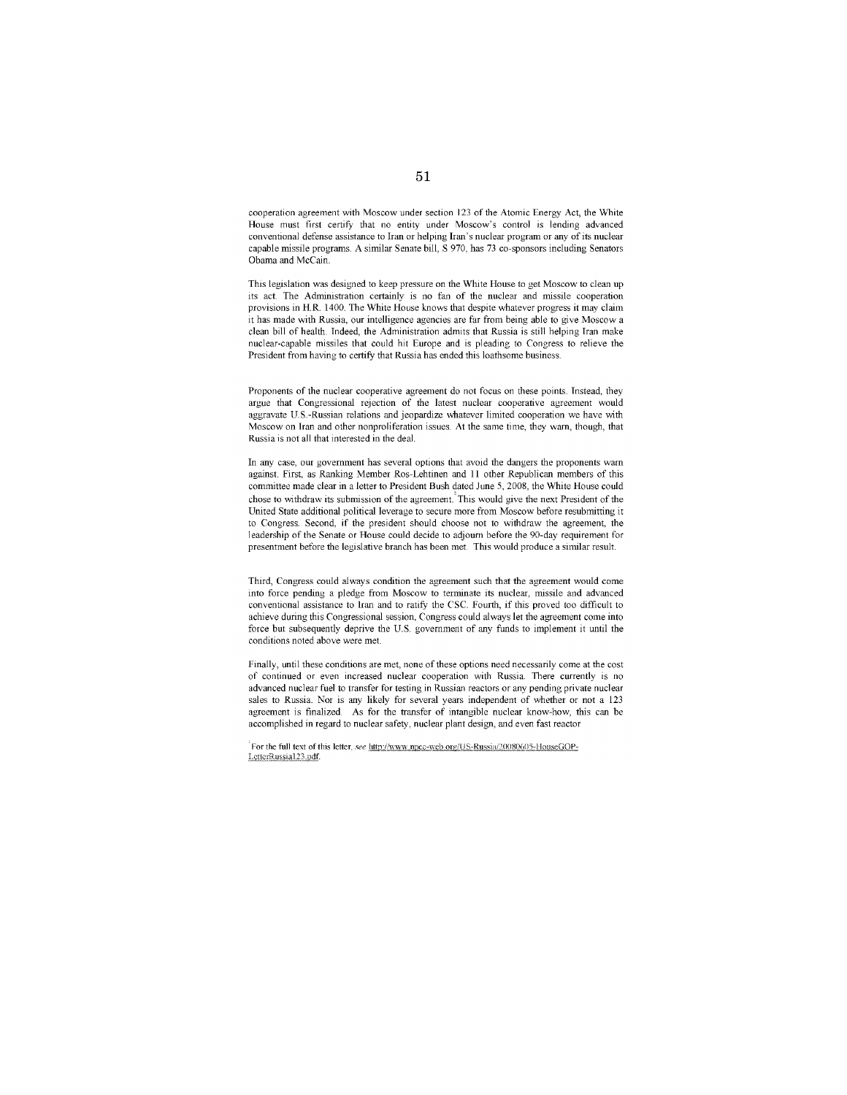cooperation agreement with Moscow under section 123 of the Atomic Energy Act, the White House must first certify that no entity under Moscow's control is lending advanced conventional defense assistance to Iran or helping Iran's nuclear program or any of its nuclear capable missile programs A similar Senate bill, S 970, has 73 co-sponsors including Senators Obama and McCain.

This legislation was designed to keep pressure on the White House to get Moscow to clean up its act. The Administration certainly is no fan of the nuclear and missile cooperation provisions in HR. 1400. The White House knows that despite whatever progress it may claim it has made with Russia, our intelligence agencies are far from being able to give Moscow a clean bill of health. Indeed, the Administration admits that Russia is still helping Iran make nuclear-capable missiles that could hit Europe and is pleading to Congress to relieve the President from having to certify that Russia has ended this loathsome business.

Proponents of the nuclear cooperative agreement do not focus on these points. Instead, they argue that Congressional rejection of the latest nuclear cooperative agreement would aggravate U.S.-Russian relations and jeopardize whatever limited cooperation we have with Moscow on Iran and other nonproliferation issues. At the same time, they warn, though, that Russia is not all that interested in the deal.

In any case, our government has several options that avoid the dangers the proponents warn against. First, as Ranking Member Ros-Lehtinen and 11 other Republican members of this committee made clear in a letter to President Bush dated June 5, 2008, the White House could chose to withdraw its submission of the agreement. This would give the next President of the United State additional political leverage to secure more from Moscow before resubmitting it to Congress. Second, if the president should choose not to withdraw the agreement, the leadership of the Senate or House could decide to adjourn before the 90-day requirement for presentment before the legislative branch has been met. This would produce a similar result.

Third, Congress could always condition the agreement such that the agreement would come into force pending a pledge from Moscow to terminate its nuclear, missile and advanced conventional assistance to Iran and to ratity the CSc. Fourth, if this proved too diffIcult to achieve during this Congressional session, Congress could always let the agreement come into force but subsequently deprive the U.S. government of any funds to implement it until the conditions noted above were met.

Finally, until these conditions are met, none of these options need necessarily come at the cost of continued or even increased nuclear cooperation with Russia. There currently is no advanced nuclear fuel to transfer for testing in Russian reactors or any pending private nuclear sales to Russia. Nor is any likely for several years independent of whether or not a 123 agreement is finalized As for the transfer of intangible nuclear know-how, this can be accomplished in regard to nuclear safety, nuclear plant design, and even fast reactor

<sup>'</sup>For the full text of this letter, *see* http://www.npec-web.org/US-Russia/20080605-HouseGOP-LetterRussia123.pdf.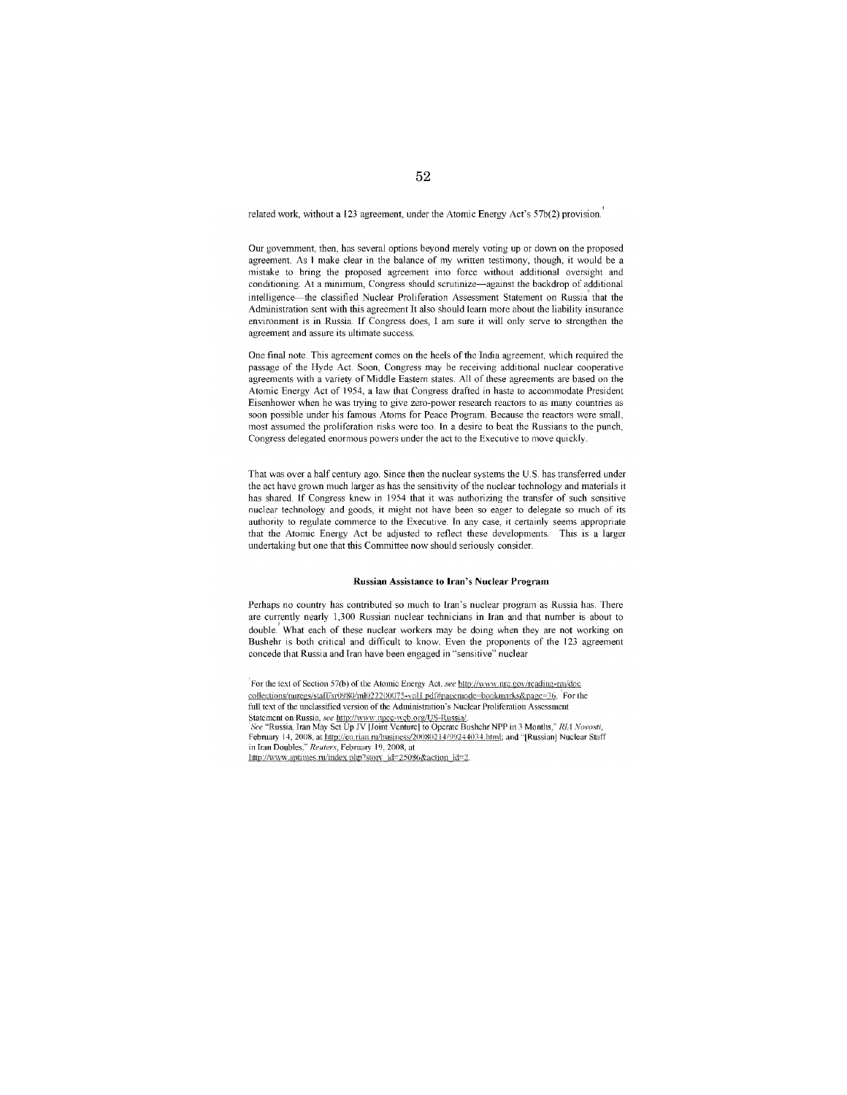related work, without a 123 agreement, under the Atomic Energy Act's  $57b(2)$  provision.

Our government, then, has several options beyond merely voting up or down on the proposed agreement. As I make clear in the balance of my written testimony, though, it would be a mistake to bring the proposed agreement into force without additional oversight and conditioning. At a minimum, Congress should scrutinize-against the backdrop of additional intelligence-the classified Nuclear Proliferation Assessment Statement on Russia' that the Administration sent with this agreement It also should learn more about the liability insurance environment is in Russia. If Congress does, I am sure it will only serve to strengthen the agreement and assure its ultimate success.

One fmal note. This agreement comes on the heels of the India agreement, which required the passage of the Hyde Act. Soon, Congress may be receiving additional nuclear cooperative agreements with a variety of Middle Eastern states. All of these agreements are based on the Atomic Energy Act of 1954, a law that Congress drafted in haste to accommodate President Eisenhower when he was trying to give zero-power research reactors to as many countries as soon possible under his famous Atoms for Peace Program. Because the reactors were small, most assumed the proliferation risks were too. In a desire to beat the Russians to the punch, Congress delegated enormous powers under the act to the Executive to move quickly.

That was over a half century ago. Since then the nuclear systems the U. S. has transferred under the act have grown much larger as has the sensitivity of the nuclear technology and materials it has shared. If Congress knew in 1954 that it was authorizing the transfer of such sensitive nuclear technology and goods, it might not have been so eager to delegate so much of its authority to regulate commerce to the Executive. Tn any case, it certainly seems appropriate that the Atomic Energy Act be adjusted to reflect these developments. This is a larger undertaking but one that this Committee now should seriously consider.

#### Russian Assistance to Iran's Nuclear Program

Perhaps no country has contributed so much to Iran's nuclear program as Russia has. There are currently nearly 1,300 Russian nuclear technicians in Iran and that number is about to double.' What each of these nuclear workers may be doing when they are not working on Bushehr is both critical and difficult to know. Even the proponents of the 123 agreement concede that Russia and Tran have been engaged in "sensitive" nuclear

For the text of Section 57(b) of the Atomic Energy Act, see http://www.nrc.gov/reading-rm/doc collections/nuregs/staff/sr0980/ml022200075-voll pdf#pagemode--bookmarks&page=36. For the full text of the unclassified version of the Administration's Nuclear Proliferation Assessment Statcmcnt on Russia, *see <u>http://www.npcc-web.org/US-Russia</u>/.*<br>'*See "Russia, Iran May Set Up JV [Joint Venture] to Operate Bushehr NPP in 3 Months," <i>RL1 Novosti*, February 14, 2008, at http://en.rian.ru/business/20080214/99244034.html; and "[Russian] Nuclear Staff in Iran Doubles," Reuters, February 19, 2008, at

 $\frac{\text{http://www.sptimes.n/index.php?stor}}{\text{http://www.sptimes.n/index.php?stor}}$  id=25086&action id=2.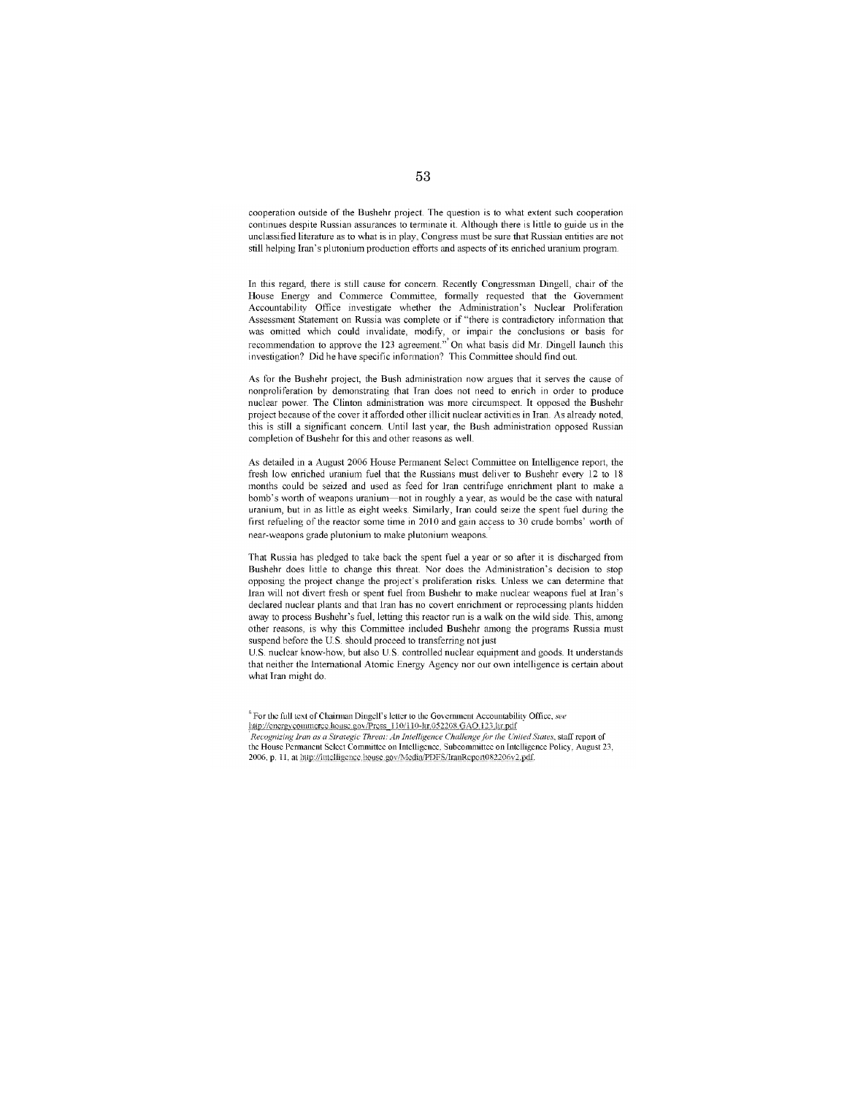cooperation outside of the Bushehr project The question is to what extent such cooperation continues despite Russian assurances to terminate it Although there is little to guide us in the unclassified literature as to what is in play, Congress must be sure that Russian entities are not still helping Iran's plutonium production efforts and aspects of its enriched uranium program

In this regard, there is still cause for concern. Recently Congressman Dingell, chair of the House Energy and Commerce Committee, formally requested that the Government Accountability Office investigate whether the Administration's Nuclear Proliferation Assessment Statement on Russia was complete or if "there is contradictory information that was omitted which could invalidate, modify, or impair the conclusions or basis for recommendation to approve the 123 agreement'" On what basis did Mr. Dingelllaunch this investigation? Did he have specific information? This Committee should find out

As for the Bushehr project, the Bush administration now argues that it serves the cause of nonproliferation by demonstrating that Tran does not need to enrich in order to produce nuclear power. The Clinton administration was more circumspect. It opposed the Bushehr project because of the cover it afforded other illicit nuclear activities in Iran. As already noted, this is still a significant concern. Until last year, the Bush administration opposed Russian completion of Bushehr for this and other reasons as well.

As detailed in a August 2006 House Permanent Select Committee on Intelligence report, the fresh low enriched uranium fuel that the Russians must deliver to Bushehr every 12 to 18 months could be seized and used as feed for Iran centrifuge enrichment plant to make a bomb's worth of weapons uranium-not in roughly a year, as would be the case with natural uranium, but in as little as eight weeks. Similarly, Tran could seize the spent fuel during the first refueling of the reactor some time in 2010 and gain access to 30 crude bombs' worth of near-weapons grade plutonium to make plutonium weapons.

That Russia has pledged to take back the spent fuel a year or so after it is discharged from Bushehr does little to change this threat Nor does the Administration's decision to stop opposing the project change the project's proliferation risks. Unless we can determine that Iran will not divert fresh or spent fuel from Bushehr to make nuclear weapons fuel at Iran's declared nuclear plants and that Iran has no covert enrichment or reprocessing plants hidden away to process Bushehr's fuel, letting this reactor run is a walk on the wild side. This, among other reasons, is why this Committee included Bushehr among the programs Russia must suspend before the US. should proceed to transferring not just

U.S. nuclear know-how, but also U.S. controlled nuclear equipment and goods. It understands that neither the International Atomic Energy Agency nor our own intelligence is certain about what Tran might do

 $^6$  For the full text of Chairman Dingell's letter to the Government Accountability Office,  $see$ http://energy.commcree.house.gov/Press 110/110-ltr.052208.GAO.123.ltr.pdf *Recognizing Iran as a Slralegic Threat: An Inlelligence Challenge for ihe Uniied Slales,* **still report of**  the House Permanent Select Committee on Intelligence, Subcommittee on Intelligence Policy, August 23, 2006. p. 11. at http://intelligence.house.gov/Media/PDFS/IranReport082206v2.pdf.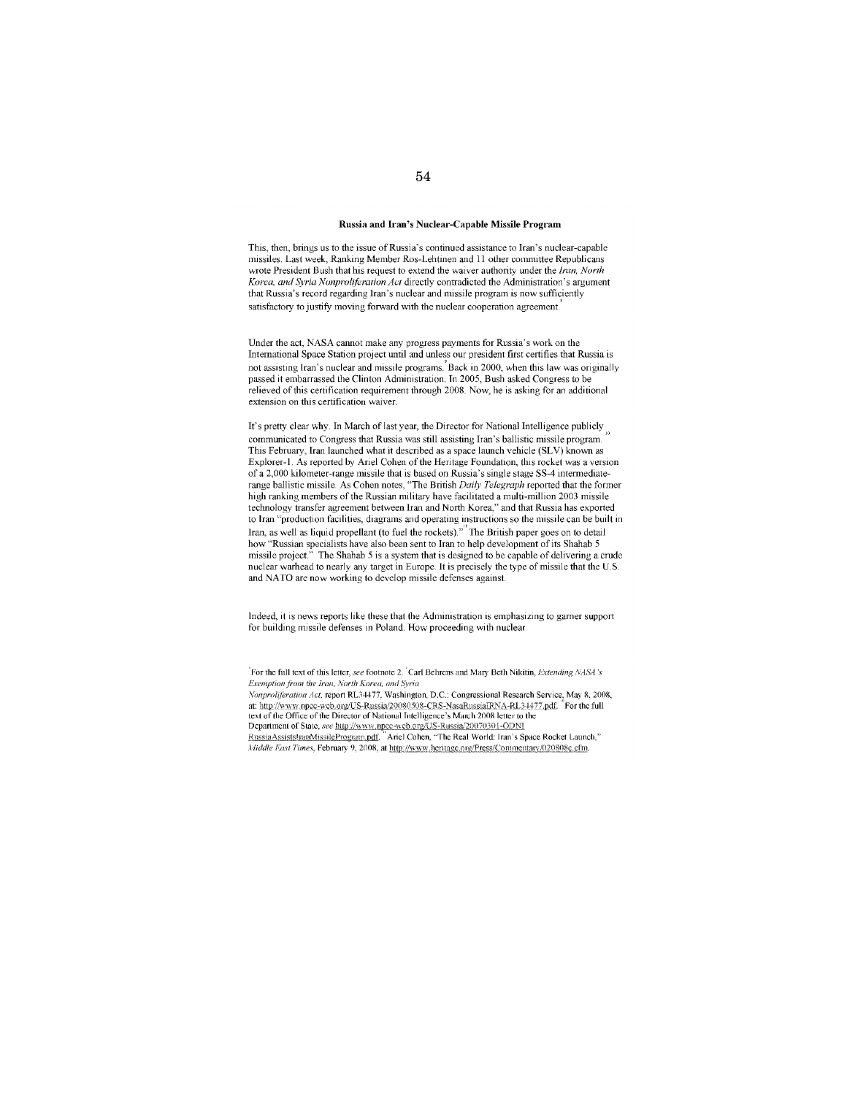#### Russia and Iran's Nuclear-Capable Missile Program

This, then, brings us to the issue of Russia's continued assistance to Iran's nuclear-capable missiles. Last week, Ranking Member Ros-Lehtinen and 11 other committee Republicans wrote President Bush that his request to extend the waiver authority under the *iran, Norlh Korea, and Syria Nonproliferation Act* directly contradicted the Administration's argument that Russia's record regarding Iran's nuclear and missile program is now sufficiently satisfactory to justify moving forward with the nuclear cooperation agreement.

Under the act, NASA cannot make any progress payments for Russia's work on the International Space Station project until and unless our president first certifies that Russia is not assisting Iran's nuclear and missile programs.' Back in 2000, when this law was originally passed it embarrassed the Clinton Administration. Tn 2005, Bush asked Congress to be relieved of this certification requirement through 2008 Now, he is asking for an additional extension on this certification waiver.

It's pretty clear why. In March of last year, the Director for National Intelligence publicly communicated to Congress that Russia was still assisting Iran's ballistic missile program This February, Iran launched what it described as a space launch vehicle (SLV) known as Explorer-I. As reported by Ariel Cohen of the Heritage Foundation, this rocket was a version of a 2,000 kilometer-range missile that is based on Russia's single stage SS-4 intermediaterange ballistic missile. As Cohen notes, "The British *Daily Telegraph* reported that the former high ranking members of the Russian military have facilitated a multi-million 2003 missile technology transfer agreement between Iran and North Korea," and that Russia has exported to Iran "production facilities, diagrams and operating instructions so the missile can be built in Iran, as well as liquid propellant (to fuel the rockets)."" The British paper goes on to detail how "Russian specialists have also been sent to Iran to help development of its Shahab 5 missile project." The Shahab 5 is a system that is designed to be capable of delivering a crude nuclear warhead to nearly any target in Europe. It is precisely the type of missile that the U.S. and NATO are now working to develop missile defenses against.

Indeed, it is news reports like these that the Administration is emphasizing to gamer support for building missile defenses in Poland. How proceeding with nuclear

<sup>'</sup>For the full text of this letter, see footnote 2. <sup>'</sup>Carl Behrens and Mary Beth Nikitin, *Extending NASA's Exemption from the Iran, North Korea, and Syria* Nonproliferation Act, report RL34477, Washington, D.C.: Congressional Research Service, May 8, 2008, at: http://www.npcc-web.org/US-Russia/20080508-CRS-NasaRussiaIRNA-RL34477.pdf. "For the full text of the Office of the Director of National Intelligence's March 2008 letter to the Department of State, see http://www.npcc-web.org/US-Russia/20070301-ODNI RussiaAssiststranMissileProgram.pdf. "Ariel Cohen, "The Real World: Iran's Space Rocket Launch,"  $\dot{M}$ iddle F.ast Times, February 9, 2008, at http://www.heritage.org/Press/Commentary/020808c.cfm.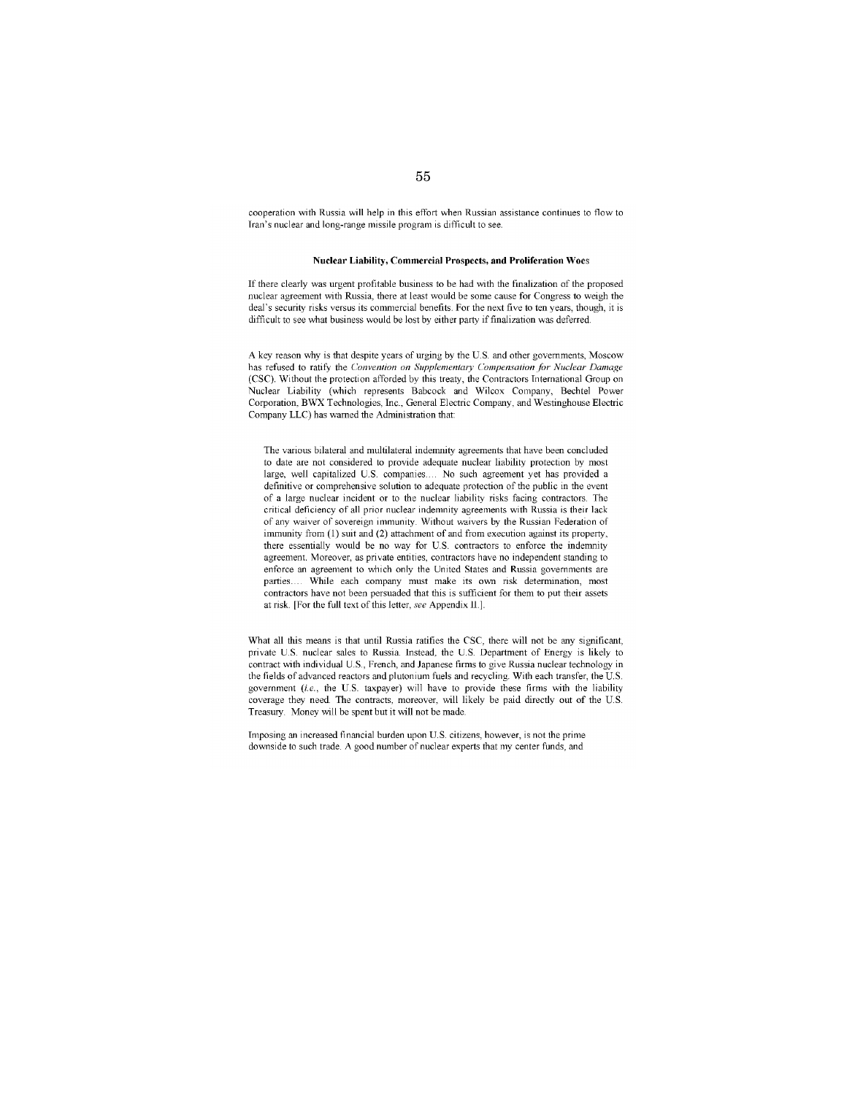cooperation with Russia will help in this effort when Russian assistance continues to flow to Iran's nuclear and long-range missile program is difficult to see.

#### **Nuclear Liability, Commercial Prospects, and Proliferation** Woes

If there clearly was urgent profitable business to be had with the finalization of the proposed nuclear agreement with Russia, there at least would be some cause for Congress to weigh the deal's security risks versus its commercial benefits. For the next five to ten years, though, it is difficult to see what business would be lost by either party if finalization was deferred.

A key reason why is that despite years of urging by the U. S. and other governments, Moscow has refused to ratify the *Convemion on Supplementary Compensalion for Nuclear Damage*  (CSC). Without the protection afforded by this treaty, the Contractors International Group on Nuclear Liability (which represents Babcock and Wilcox Company, Bechtel Power Corporation, BWX Technologies, Inc., General Electric Company, and Westinghouse Electric Company LLC) has warned the Administration that

The various bilateral and multilateral indemnity agreements that have been concluded to date are not considered to provide adequate nuclear liability protection by most large, well capitalized U.S. companies.. No such agreement yet has provided a definitive or comprehensive solution to adequate protection of the public in the event of a large nuclear incident or to the nuclear liability risks facing contractors. The critical deficiency of all prior nuclear indemnity agreements with Russia is their lack of any waiver of sovereign immunity. Without waivers by the Russian Federation of immunity from (1) suit and (2) attachment of and from execution against its property, there essentially would be no way for U.S. contractors to enforce the indemnity agreement. Moreover, as private entities, contractors have no independent standing to enforce an agreement to which only the United States and Russia governments are parties. While each company must make its own risk determination, most contractors have not been persuaded that this is sufficient for them to put their assets at risk. [For the full text of this letter, *see* Appendix Il.].

What all this means is that until Russia ratifies the CSC, there will not be any significant, private U.S. nuclear sales to Russia. Instead, the U.S. Department of Energy is likely to contract with individual U.S., French, and Japanese firms to give Russia nuclear technology in the fields of advanced reactors and plutonium fuels and recycling. With each transfer, the U.S. government *(i.e.,* the U.S. taxpayer) will have to provide these firms with the liability coverage they need. The contracts, moreover, will likely be paid directly out of the U.S. Treasury. Money will be spent but it will not be made

Imposing an increased financial burden upon U.S. citizens, however, is not the prime downside to such trade. A good number of nuclear experts that my center funds, and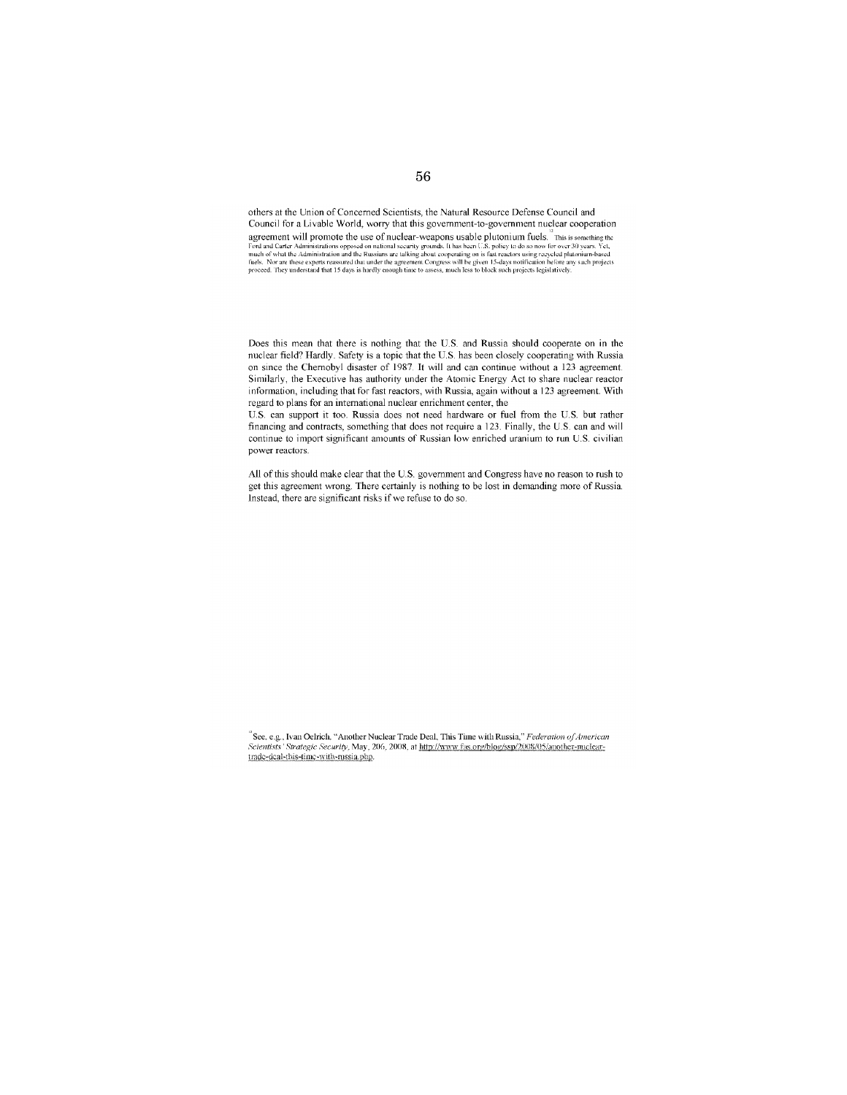others at the Union of Concerned Scientists, the Natural Resource Defense Council and Council for a Livable World, worry that this government-to-government nuclear cooperation agreement will promote the use of nuclear-weapons usable plutonium fuels. This is something the mediator of the use of nuclear-weapons usable plutonium fuels. This is something the ford and Carter Administration and the Ru

Does this mean that there is nothing that the US. and Russia should cooperate on in the nuclear field? Hardly. Safety is a topic that the US. has been closely cooperating with Russia on since the Chernobyl disaster of 1987. It will and can continue without a 123 agreement. Similarly, the Executive has authority under the Atomic Energy Act to share nuclear reactor information, including that for fast reactors, with Russia, again without a 123 agreement. With regard to plans for an international nuclear enrichment center, the

US. can support it too. Russia does not need hardware or fuel from the US. but rather financing and contracts, something that does not require a 123. Finally, the U.S. can and will continue to import significant amounts of Russian low enriched uranium to run U.S civilian power reactors

All of this should make clear that the U. S. government and Congress have no reason to rush to get this agreement wrong. There certainly is nothing to be lost in demanding more of Russia. Instead, there are significant risks if we refuse to do so.

 $^{\text{\tiny{\text{R}}}}$  See. e.g., Ivan Oelrich. "Another Nuclear Trade Deal, This Time with Russia," *Federation of American* Scientists' Strategic Security, May, 206, 2008, at http://www.fas.org/blog/ssp/2008/05/another-nucleartradc-dcal-this-time-with-russia.php.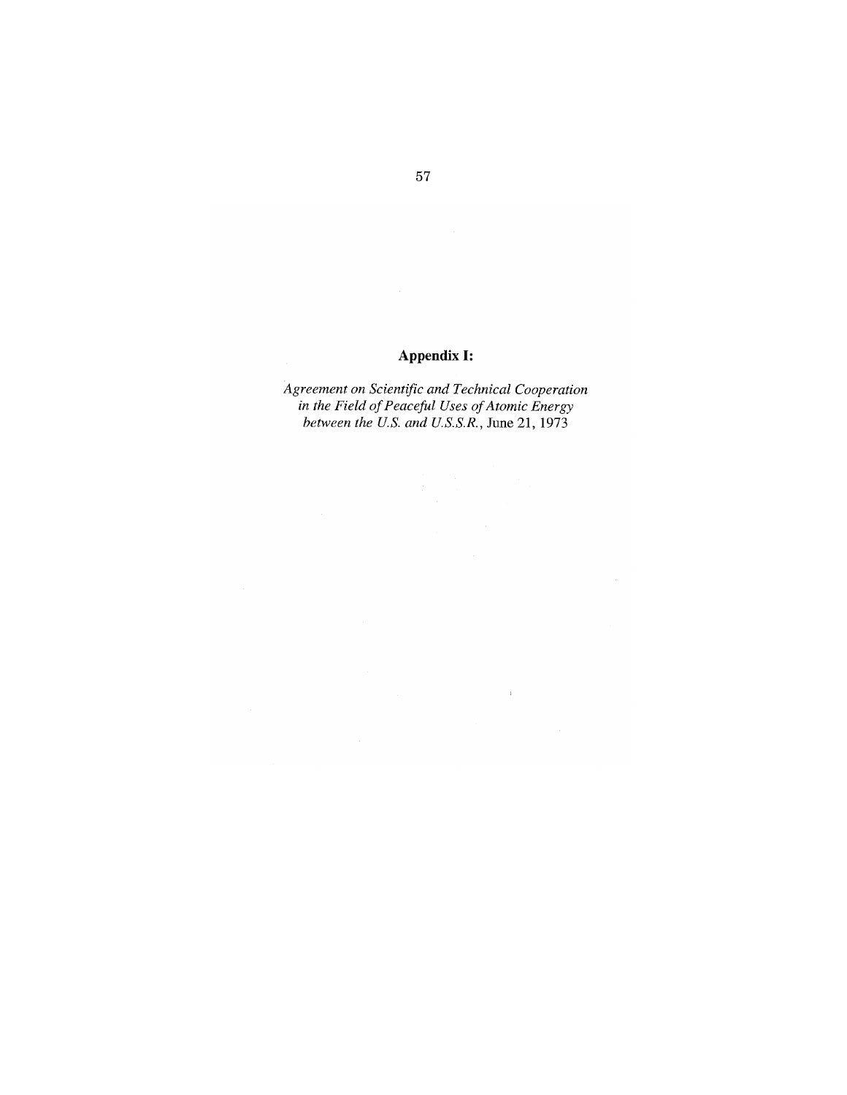# **Appendix I:**

*Agreement on Scientific and Technical Cooperation in the Field of Peaceful Uses of Atomic Energy between the u.s. and U.S.S.R.,* **June** 21, 1973

 $\bar{V}$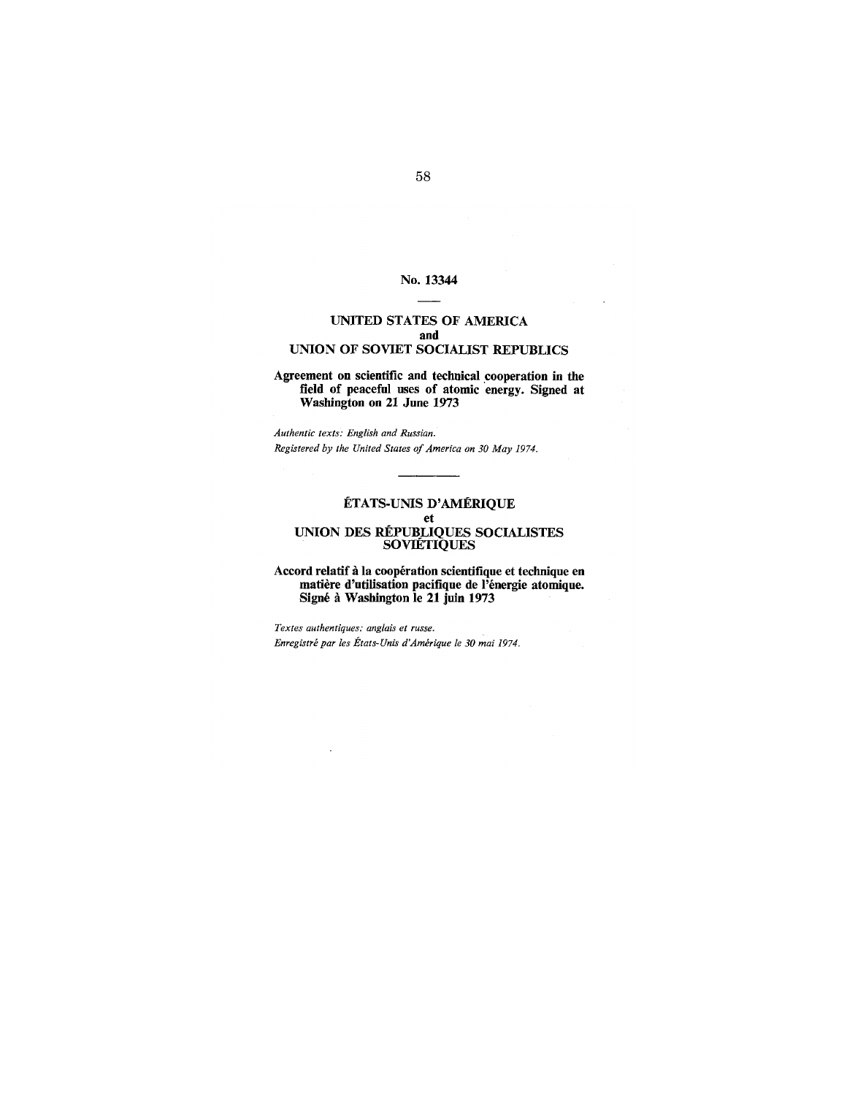# No. 13344

# **UNITED STATES OF AMERICA and UNION OF SOVIET SOCIALIST REPUBLICS**

# **Agreement on scientific and technical .cooperation in the field of peaceful uses of atomic energy. Signed at Washington on 21 June 1973**

*Authentic texts: English and Russian. Registered by the United States of America on 30 May 1974.* 

# **ET ATS-UNIS D' AMERIQUE et UNION DES REPUBLIQUES SOCIALISTES SOVIETIQUES**

## **Accord relatif Ii la cooperation scientifique et technique en matiere d'utilisation pacifique de l'energie atomique. Signe Ii Washington Ie 21 juin 1973**

*Textes authentiques: angiais et russe. Enregistre par les Etats-Unis d'Amerique Ie 30 mai 1974.*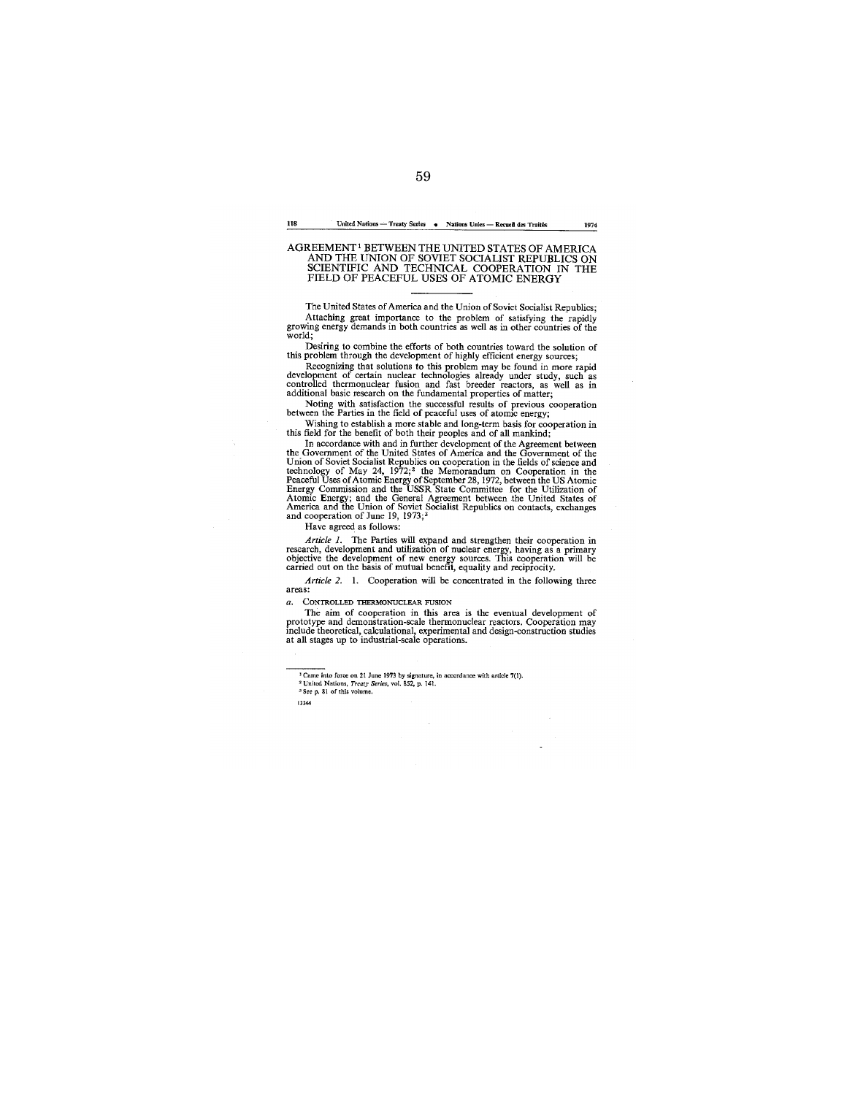#### 118 **United Nations - Treaty Serie5 • Nations Urnes - Recueil des Trait&; 1974**

# AGREEMENT<sup>1</sup> BETWEEN THE UNITED STATES OF AMERICA<br>AND THE UNION OF SOVIET SOCIALIST REPUBLICS ON<br>SCIENTIFIC AND TECHNICAL COOPERATION IN THE FIELD OF PEACEFUL USES OF ATOMIC ENERGY

The United States of America and the Union of Soviet Socialist Republics; Attaching great importance to the problem of satisfying the rapidly growing energy demands in both countries as well as in other countries of the world;

Desiring to combine the efforts of both countries toward the solution of<br>this problem through the development of highly efficient energy sources;<br>Recognizing that solutions to this problem may be found in more rapid<br>develo

Noting with satisfaction the successful results of previous cooperation between the Parties in the field of peaceful uses of atomic energy;

Wishing to establish a more stable and long-term basis for cooperation in<br>this field for the benefit of both their peoples and of all mankind;<br>In accordance with and in further development of the Agreement between<br>the Gove

Have agreed as follows:

*Article 1.* The Parties will expand and strengthen their cooperation in research, development and utilization of nuclear energy, having as a primary objective the development of new energy sources. This cooperation will

*Article* 2. I. Cooperation will be concentrated in the following three **areas:** 

*a.* CONTROLLED THERMONUCLEAR FUSION

The aim of cooperation in this area is the eventual development of<br>prototype and demonstration-scale thermonuclear reactors. Cooperation may<br>include theoretical, calculational, experimental and design-construction studies<br>

**13344** 

<sup>&</sup>lt;sup>3</sup> Came into force on 21 June 1973 by signature, in accordance with article 7(1). <br><sup>2</sup> United Nations, *Treaty Series*, vol. 852, p. 141.<br><sup>5</sup> See p. 81 of this volume.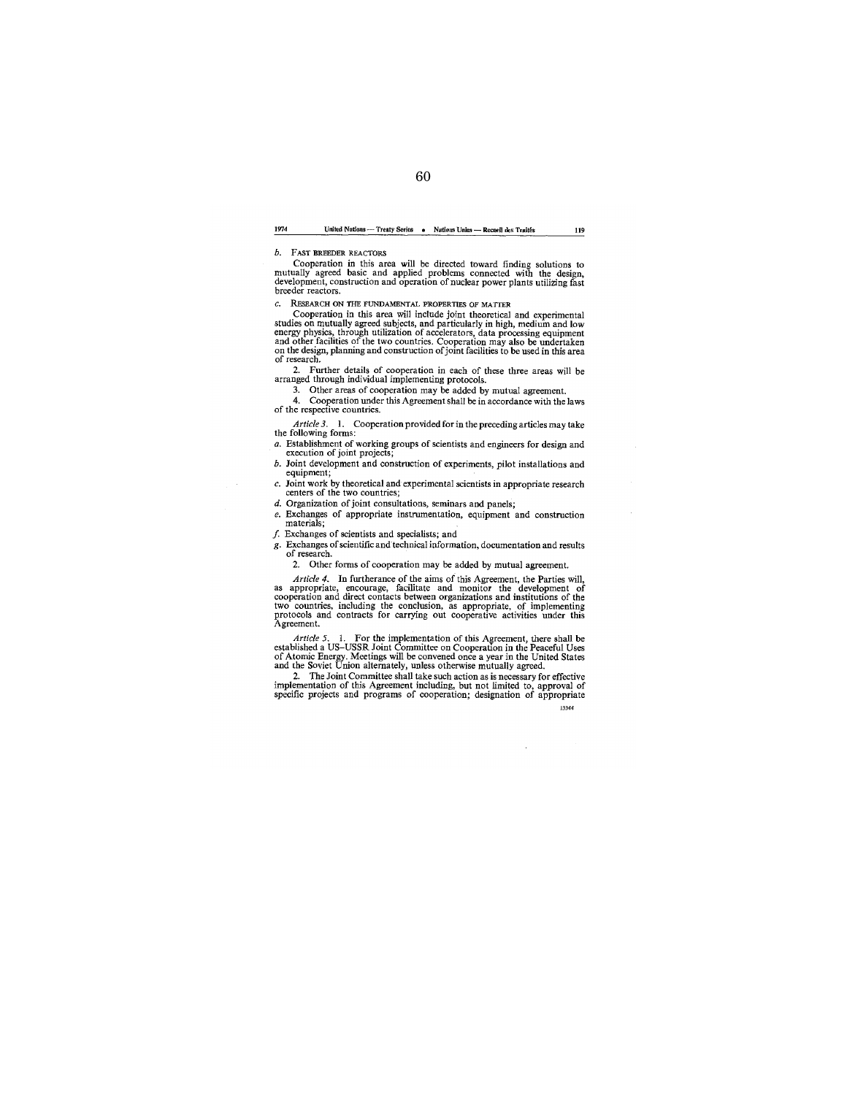#### 1974 **United Nations --- Treaty Series • Nations Unies -- Recnell des Traités 119**

b. FAST BREEDER REACTORS

Cooperation in this area will be directed toward finding solutions to mutually agreed basic and applied problems connected with the design, development, construction and operation of nuclear power plants utilizing fast breeder reactors.

*c.* REsEARCH ON THE FUNDAMENTAL PROPERTIES OF MATTER

Cooperation in this area will include joint theoretical and experimental studies on mutually agreed subjects, and particularly in high, medium and low<br>energy physics, through utilization of accelerators, data processing equipment<br>and other facilities of the two countries. Cooperation may also b

2. Further details of cooperation in each of these three areas will be arranged through individual implementing protocols.

3. Other areas of cooperation may be added by mutual agreement.

4. Cooperation under this Agreement shall be in accordance with the laws of the respective countries.

*Article* 3. I. Cooperation provided for in the preceding articles may take the following forms:

*a.* Establishment of working groups of scientists and engineers for design and execution of joint projects;

*b.* Joint development and construction of experiments, pilot installations and equipment;

*c.* Joint work by theoretical and experimental scientists in appropriate research centers of the two countries;

d. Organization of joint consultations, seminars and panels;

*e.* Exchanges of appropriate instrumentation, equipment and construction materials;

 $f$ . Exchanges of scientists and specialists; and

g. Exchanges of scientific and technical information, documentation and results

of research.<br>2. Other forms of cooperation may be added by mutual agreement. 2. Other forms of cooperation may be added by mutual agreement.

*Article* 4. In furtherance of the aims of this Agreement, the Parties will, as appropriate, encourage, facilitate and monitor the development of cooperation and direct contacts between organizations and institutions of the two countries, including the conclusion, as appropriate, of implementing protocols and contracts for carrying out cooperative activities under t

*Article 5.* 1. For the implementation of this Agreement, there shall be established a US-USSR Joint Committee on Cooperation in the Peaceful Uses of Atomic Energy. Meetings will be convened once a year in the United Stat

implementation of this Agreement including, but not limited to, approval of specific projects and programs of cooperation; designation of appropriate **13344** 

60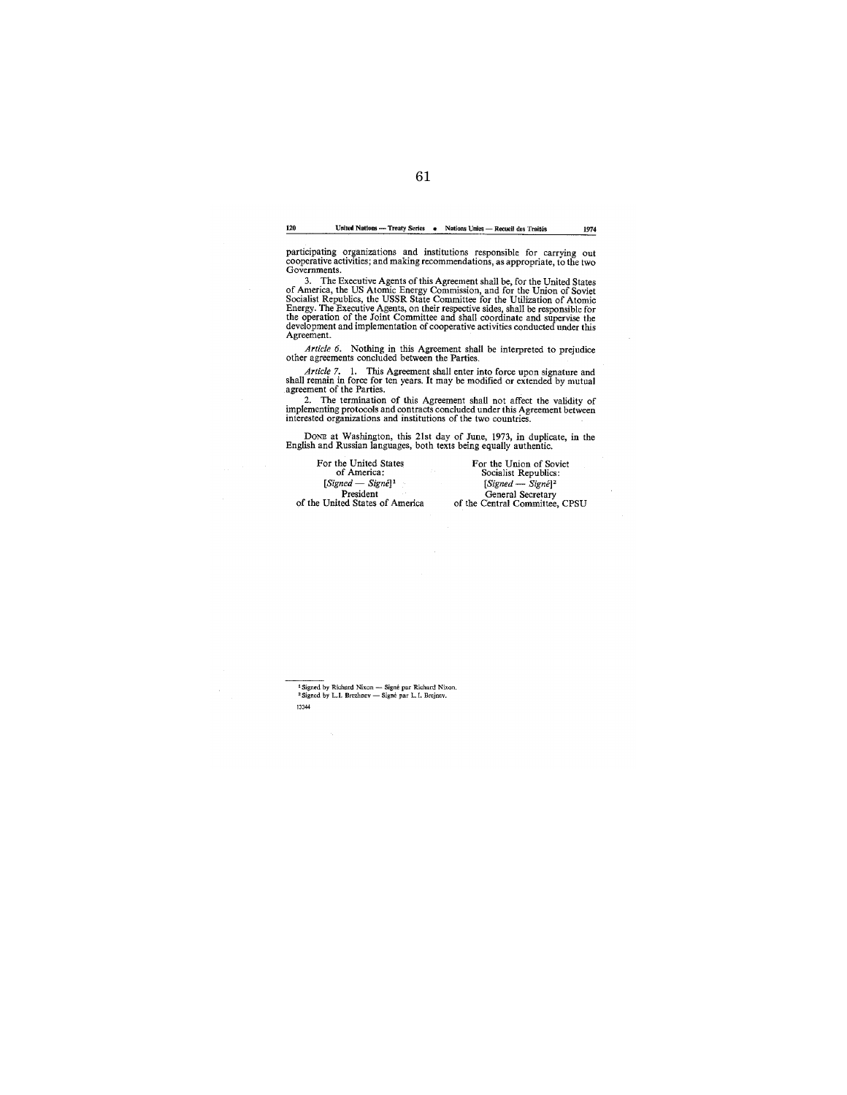61

120 **United Nations --- Treaty Series •** Nations Unies -- Recueil des Traités 1974

participating organizations and institutions responsible for carrying out cooperative activities; and making recommendations, as appropriate, to the two Governments.

3. The Executive Agents of this Agreement shall be, for the United States<br>of America, the US Atomic Energy Commission, and for the Union of Soviet<br>Socialist Republics, the USSR State Committee for the Utilization of Atomic Agreement.

*Article* 6. Nothing in this Agreement shall be interpreted to prejudice other agreements concluded between the Parties.

*Article 7.* 1. This Agreement shall enter into force upon signature and shall remain in force for ten years. It may be modified or extended by mutual agreement of the Parties.<br>2. The termination of this Agreement shall n

DONE at Washington, this 21st day of June, 1973, in duplicate, in the English and Russian languages, both texts being equally authentic.

For the United States<br>
of America:<br>
[*Signed — Signé*]<sup>1</sup> President<br>of the United States of America

For the Union of Soviet of America: <br> *[Signed – Signe]*<sup>2</sup><br> *President General Secretary*<br> *General Secretary*<br> *General Committee, CPSU*<br> *Central Committee, CPSU* 

**<sup>1</sup>Signed by Richard Nixon - Signe par Richard Nixon.**  2 Signed **by** *1.1.* **Brezhnev - Signe par L.I. Brejnev. 13344**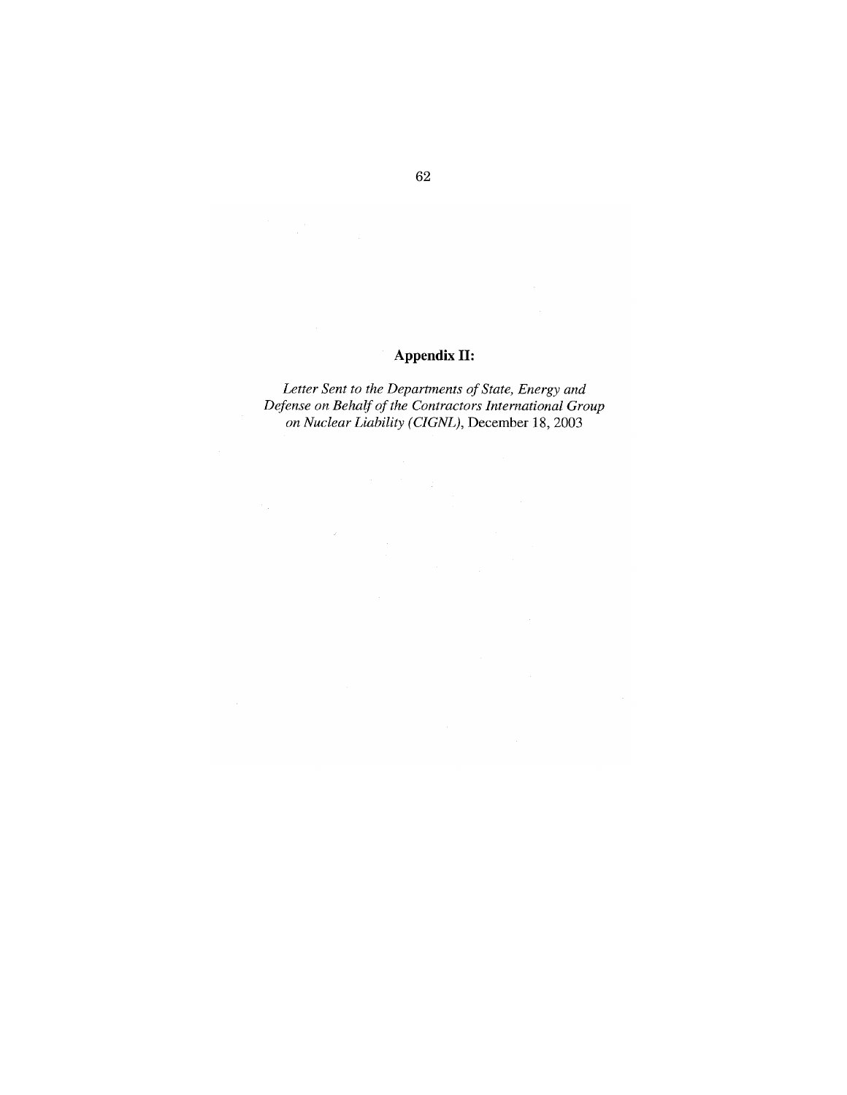# **Appendix II:**

*Letter Sent to the Departments of State, Energy and Defense on Behalf of the Contractors International Group on Nuclear Liability (CIGNL),* December **18,** 2003

 $\hat{\mathcal{A}}$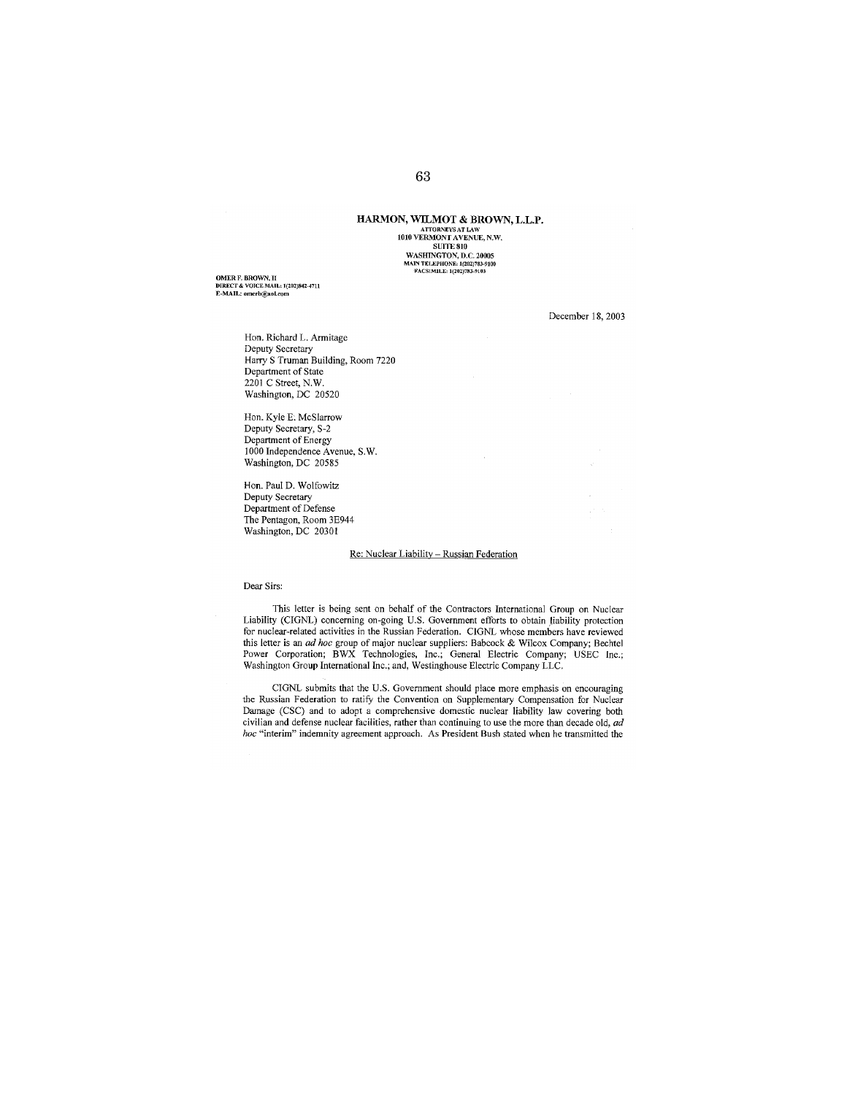# HARMON, **W1LMOT** & BROWN, L.L.P. ATTORNEYS AT LAW<br>
1010 VERMONT AVENUE, N.W.<br>
810 MASHINGTON, D.C. 20005<br> **MAINTELAPHONE: 1(202)783-9100**<br> **FACSIMILE: 1(202)783-9103**

**OMER F. BROWN, II DIRECT &** VOICE MAIL: **1(202)842-4711 E-MAIL: omerb@aol.com** 

December 18, 2003

Hon. Richard L. Armitage Deputy Secretary Harry S Truman Building, Room 7220 Department of State 2201 C Street, N.W. Washington, DC 20520

Hon. Kyle E. McSlarrow Deputy Secretary, S-2 Department of Energy 1000 Independence Avenue, S.W. Washington, DC 20585

Hon. Paul D. Wolfowitz Deputy Secretary Department of Defense The Pentagon, Room 3E944 Washington, DC 20301

#### Re: Nuclear Liability - Russian Federation

### Dear Sirs:

This letter is being sent on behalf of the Contractors International Group on Nuclear Liability (CIGNL) concerning on-going U.S. Government efforts to obtain liability protection for nuclear-related activities in the Russian Federation. CIGNL whose members have reviewed this letter is an *ad hoc* group of major nuclear suppliers: Babcock & Wilcox Company; Bechtel Power Corporation; BWX Technologies, Inc.; General Electric Company; USEC Inc.; Washington Group International Inc.; and, Westinghouse Electric Company LLC.

CIGNL submits that the U.S. Government should place more emphasis on encouraging the Russian Federation to ratiry the Convention on Supplementary Compensation for Nuclear Damage (CSC) and to adopt a comprehensive domestic nuclear liability law covering both civilian and defense nuclear facilities, rather than continuing to use the more than decade old, *ad hoc* "interim" indemnity agreement approach. As President Bush stated when he transmitted the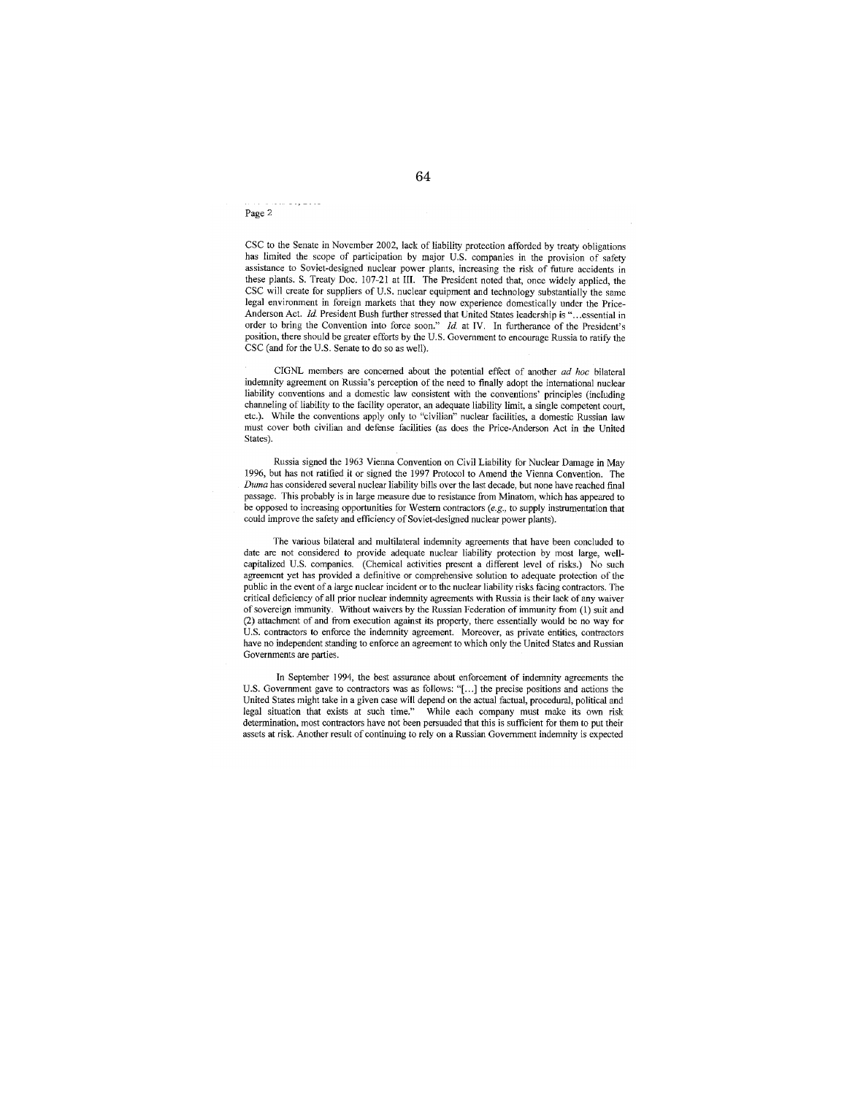Page 2

diama dia

CSC to the Senate in November 2002, lack of liability protection afforded by treaty obligations has limited the scope of participation by major U.S. companies in the provision of safety assistance to Soviet-designed nuclear power plants, increasing the risk of future accidents in these plants. S. Treaty Doc. 107-21 at III. The President noted that, once widely applied, the CSC will create for suppliers of U.S. nuclear equipment and technology substantially the same legal environment in foreign markets that they now experience domestically under the Price-Anderson Act. *Id.* President Bush further stressed that United States leadership is "... essential in order to bring the Convention into force soon." *ld.* at IV. In furtherance of the President's position, there should be greater efforts by the U.S. Government to encourage Russia to ratiry the CSC (and for the U.S. Senate to do so as well).

CIGNL members are concerned about the potential effect of another *ad hoc* bilateral indemnity agreement on Russia's perception of the need to finally adopt the international nuclear liability conventions and a domestic law consistent with the conventions' principles (including channeling of liability to the facility operator, an adequate liability limit, a single competent court, etc.). While the conventions apply only to "civilian" nuclear facilities, a domestic Russian law must cover both civilian and defense facilities (as does the Price-Anderson Act in the United States).

Russia signed the 1963 Vienna Convention on Civil Liability for Nuclear Damage in May 1996, but has not ratified it or signed the 1997 Protocol to Amend the Vienna Convention. The *Duma* has considered several nuclear liability bills over the last decade, but none have reached final passage. This probably is in large measure due to resistance from Minatom, which has appeared to be opposed to increasing opportunities for Western contractors *(e.g.,* to supply instrumentation that could improve the safety and efficiency of Soviet-designed nuclear power plants).

The various bilateral and multilateral indemnity agreements that have been concluded to date are not considered to provide adequate nuclear liability protection by most large, wellcapitalized U.S. companies. (Chemical activities present a different level of risks.) No such agreement yet has provided a definitive or comprehensive solution to adequate protection of the public in the event of a large nuclear incident or to the nuclear liability risks facing contractors. The critical deficiency of all prior nuclear indemnity agreements with Russia is their lack of any waiver of sovereign immunity. Without waivers by the Russian Federation of immunity from (I) suit and (2) attachment of and from execution against its property, there essentially would be no way for U.S. contractors to enforce the indemnity agreement. Moreover, as private entities, contractors have no independent standing to enforce an agreement to which only the United States and Russian Governments are parties.

In September 1994, the best assurance about enforcement of indemnity agreements the U.S. Government gave to contractors was as follows: "[ ... J the precise positions and actions the United States might take in a given case will depend on the actual factual, procedural, political and legal situation that exists at such time." While each company must make its own risk determination, most contractors have not been persuaded that this is sufficient for them to put their assets at risk. Another result of continuing to rely on a Russian Government indemnity is expected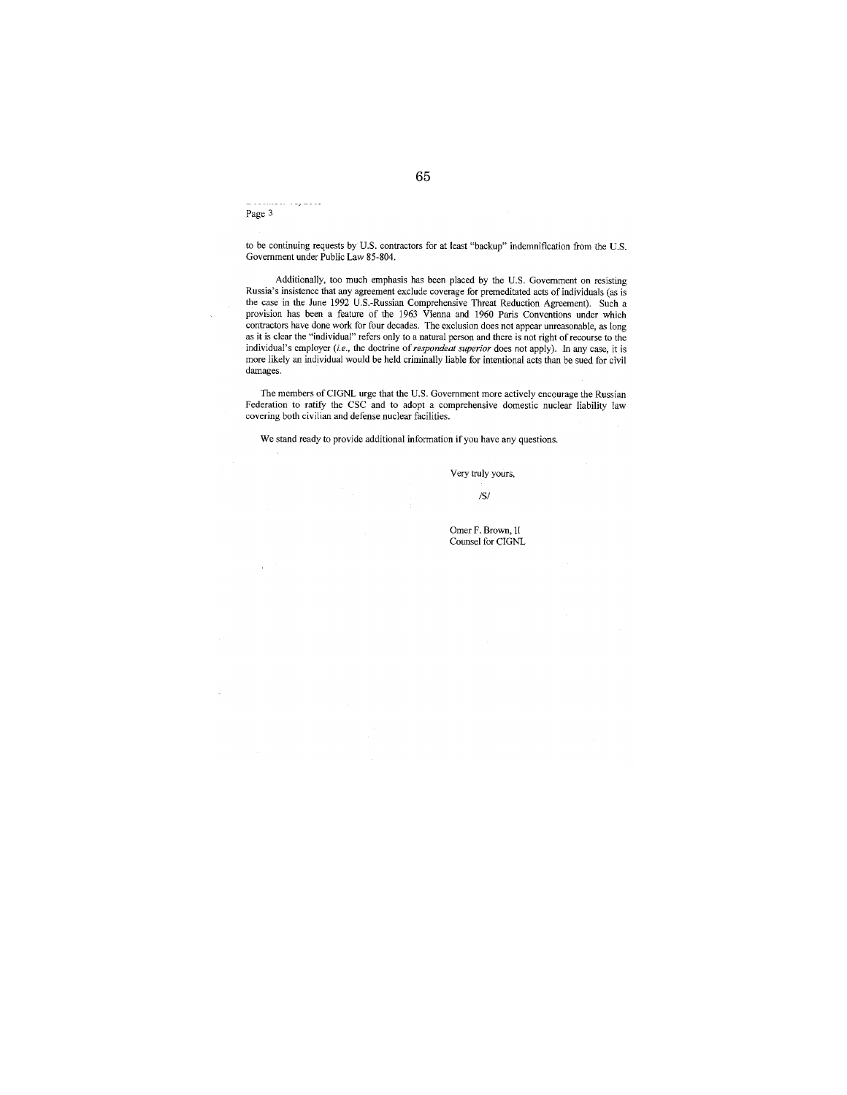Page 3

to be continuing requests by U.S. contractors for at least "backup" indemnification from the U.S. Government under Public Law 85-804.

Additionally, too much emphasis has been placed by the U.S. Government on resisting Russia's insistence tbat any agreement exclude coverage for premeditated acts of individuals (as is tbe case in the June 1992 U.S.-Russian Comprehensive Threat Reduction Agreement). Such a provision has been a feature of the 1963 Vienna and 1960 Paris Conventions under which contractors have done work for four decades. The exclusion does not appear unreasonable, as long as it is clear the "individual" refers only to a natural person and there is not right of recourse to the individual's employer *(i.e., the doctrine of <i>respondeat superior* does not apply). In any case, it is more likely an individual would be held criminally liable for intentional acts than be sued for civil damages.

The members of CIGNL urge that the U.S. Government more actively encourage the Russian Federation to ratify the CSC and to adopt a comprehensive domestic nuclear liability law covering both civilian and defense nuclear facilities.

We stand ready to provide additional information if you have any questions.

Very truly yours,

*lSI* 

Omer F. Brown, 1I Counsel for CIGNL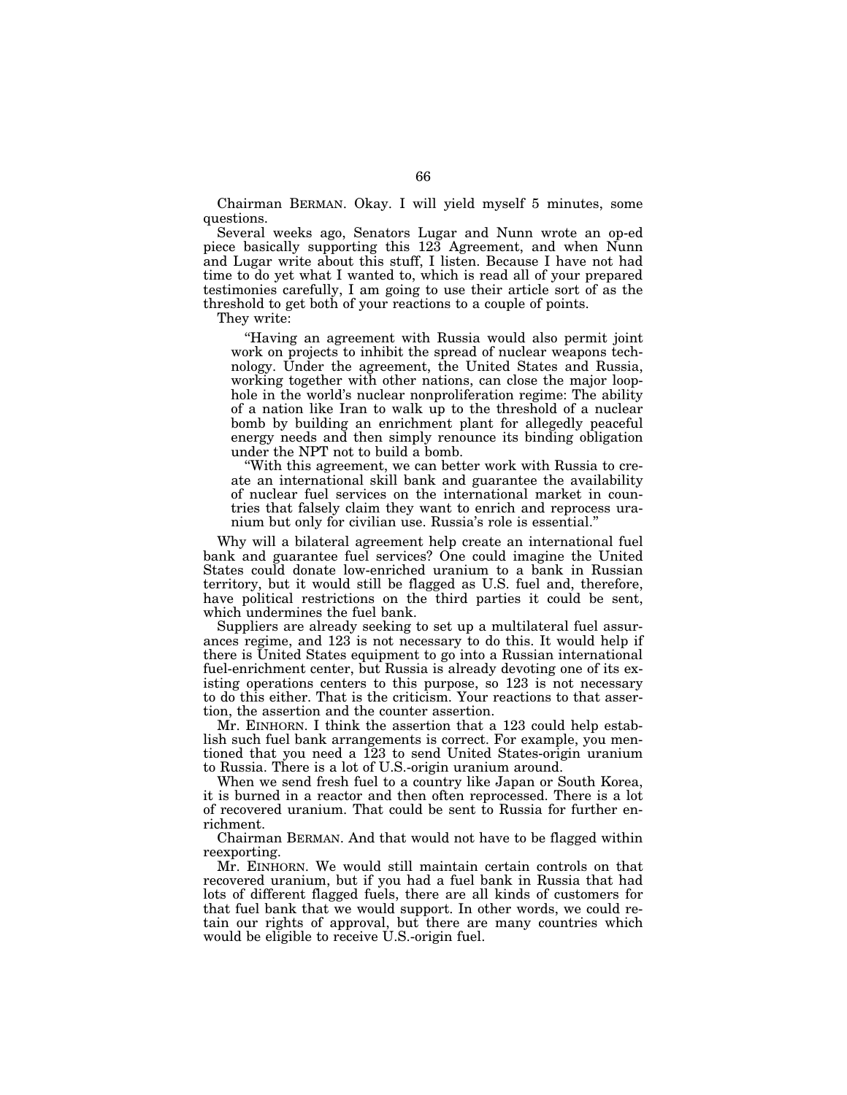Chairman BERMAN. Okay. I will yield myself 5 minutes, some questions.

Several weeks ago, Senators Lugar and Nunn wrote an op-ed piece basically supporting this 123 Agreement, and when Nunn and Lugar write about this stuff, I listen. Because I have not had time to do yet what I wanted to, which is read all of your prepared testimonies carefully, I am going to use their article sort of as the threshold to get both of your reactions to a couple of points.

They write:

''Having an agreement with Russia would also permit joint work on projects to inhibit the spread of nuclear weapons technology. Under the agreement, the United States and Russia, working together with other nations, can close the major loophole in the world's nuclear nonproliferation regime: The ability of a nation like Iran to walk up to the threshold of a nuclear bomb by building an enrichment plant for allegedly peaceful energy needs and then simply renounce its binding obligation under the NPT not to build a bomb.

''With this agreement, we can better work with Russia to create an international skill bank and guarantee the availability of nuclear fuel services on the international market in countries that falsely claim they want to enrich and reprocess uranium but only for civilian use. Russia's role is essential.''

Why will a bilateral agreement help create an international fuel bank and guarantee fuel services? One could imagine the United States could donate low-enriched uranium to a bank in Russian territory, but it would still be flagged as U.S. fuel and, therefore, have political restrictions on the third parties it could be sent, which undermines the fuel bank.

Suppliers are already seeking to set up a multilateral fuel assurances regime, and 123 is not necessary to do this. It would help if there is United States equipment to go into a Russian international fuel-enrichment center, but Russia is already devoting one of its existing operations centers to this purpose, so 123 is not necessary to do this either. That is the criticism. Your reactions to that assertion, the assertion and the counter assertion.

Mr. EINHORN. I think the assertion that a 123 could help establish such fuel bank arrangements is correct. For example, you mentioned that you need a 123 to send United States-origin uranium to Russia. There is a lot of U.S.-origin uranium around.

When we send fresh fuel to a country like Japan or South Korea, it is burned in a reactor and then often reprocessed. There is a lot of recovered uranium. That could be sent to Russia for further enrichment.

Chairman BERMAN. And that would not have to be flagged within reexporting.

Mr. EINHORN. We would still maintain certain controls on that recovered uranium, but if you had a fuel bank in Russia that had lots of different flagged fuels, there are all kinds of customers for that fuel bank that we would support. In other words, we could retain our rights of approval, but there are many countries which would be eligible to receive U.S.-origin fuel.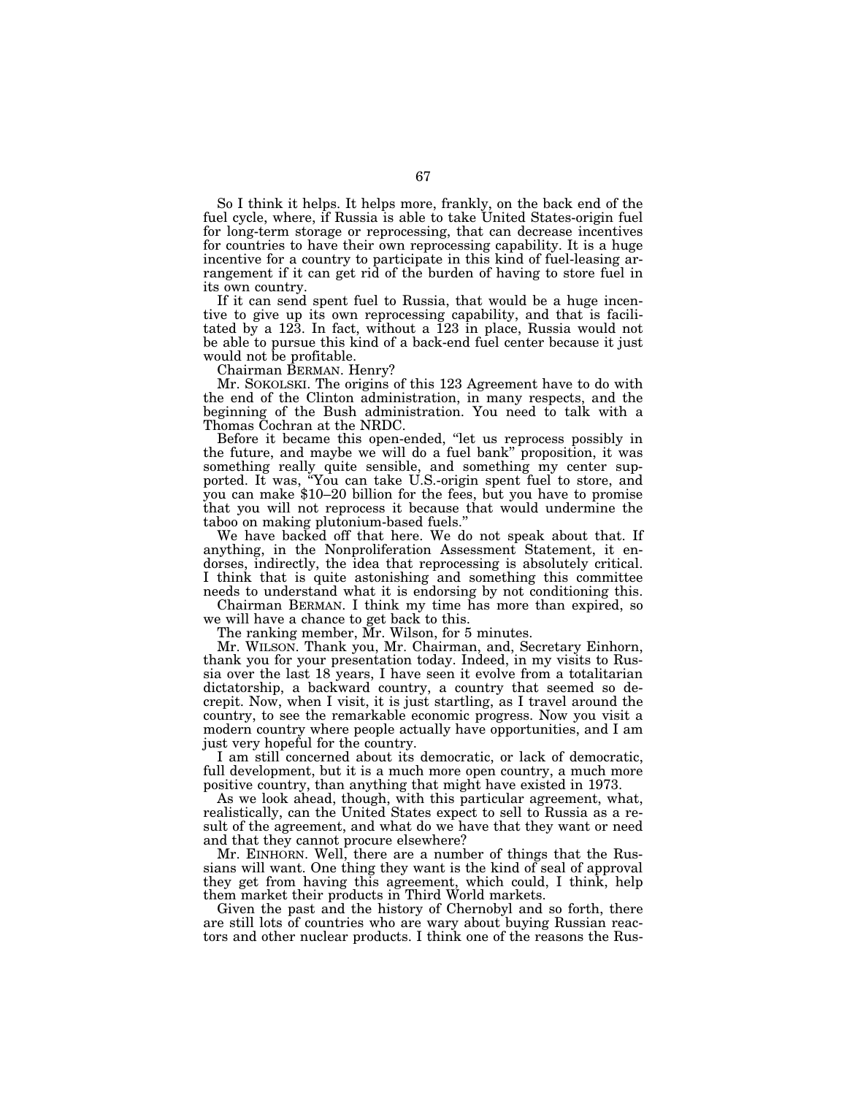So I think it helps. It helps more, frankly, on the back end of the fuel cycle, where, if Russia is able to take United States-origin fuel for long-term storage or reprocessing, that can decrease incentives for countries to have their own reprocessing capability. It is a huge incentive for a country to participate in this kind of fuel-leasing arrangement if it can get rid of the burden of having to store fuel in its own country.

If it can send spent fuel to Russia, that would be a huge incentive to give up its own reprocessing capability, and that is facilitated by a 123. In fact, without a 123 in place, Russia would not be able to pursue this kind of a back-end fuel center because it just would not be profitable.

Chairman BERMAN. Henry?

Mr. SOKOLSKI. The origins of this 123 Agreement have to do with the end of the Clinton administration, in many respects, and the beginning of the Bush administration. You need to talk with a Thomas Cochran at the NRDC.

Before it became this open-ended, ''let us reprocess possibly in the future, and maybe we will do a fuel bank'' proposition, it was something really quite sensible, and something my center supported. It was, ''You can take U.S.-origin spent fuel to store, and you can make \$10–20 billion for the fees, but you have to promise that you will not reprocess it because that would undermine the taboo on making plutonium-based fuels.''

We have backed off that here. We do not speak about that. If anything, in the Nonproliferation Assessment Statement, it endorses, indirectly, the idea that reprocessing is absolutely critical. I think that is quite astonishing and something this committee needs to understand what it is endorsing by not conditioning this.

Chairman BERMAN. I think my time has more than expired, so we will have a chance to get back to this.

The ranking member, Mr. Wilson, for 5 minutes.

Mr. WILSON. Thank you, Mr. Chairman, and, Secretary Einhorn, thank you for your presentation today. Indeed, in my visits to Russia over the last 18 years, I have seen it evolve from a totalitarian dictatorship, a backward country, a country that seemed so decrepit. Now, when I visit, it is just startling, as I travel around the country, to see the remarkable economic progress. Now you visit a modern country where people actually have opportunities, and I am just very hopeful for the country.

I am still concerned about its democratic, or lack of democratic, full development, but it is a much more open country, a much more positive country, than anything that might have existed in 1973.

As we look ahead, though, with this particular agreement, what, realistically, can the United States expect to sell to Russia as a result of the agreement, and what do we have that they want or need and that they cannot procure elsewhere?

Mr. EINHORN. Well, there are a number of things that the Russians will want. One thing they want is the kind of seal of approval they get from having this agreement, which could, I think, help them market their products in Third World markets.

Given the past and the history of Chernobyl and so forth, there are still lots of countries who are wary about buying Russian reactors and other nuclear products. I think one of the reasons the Rus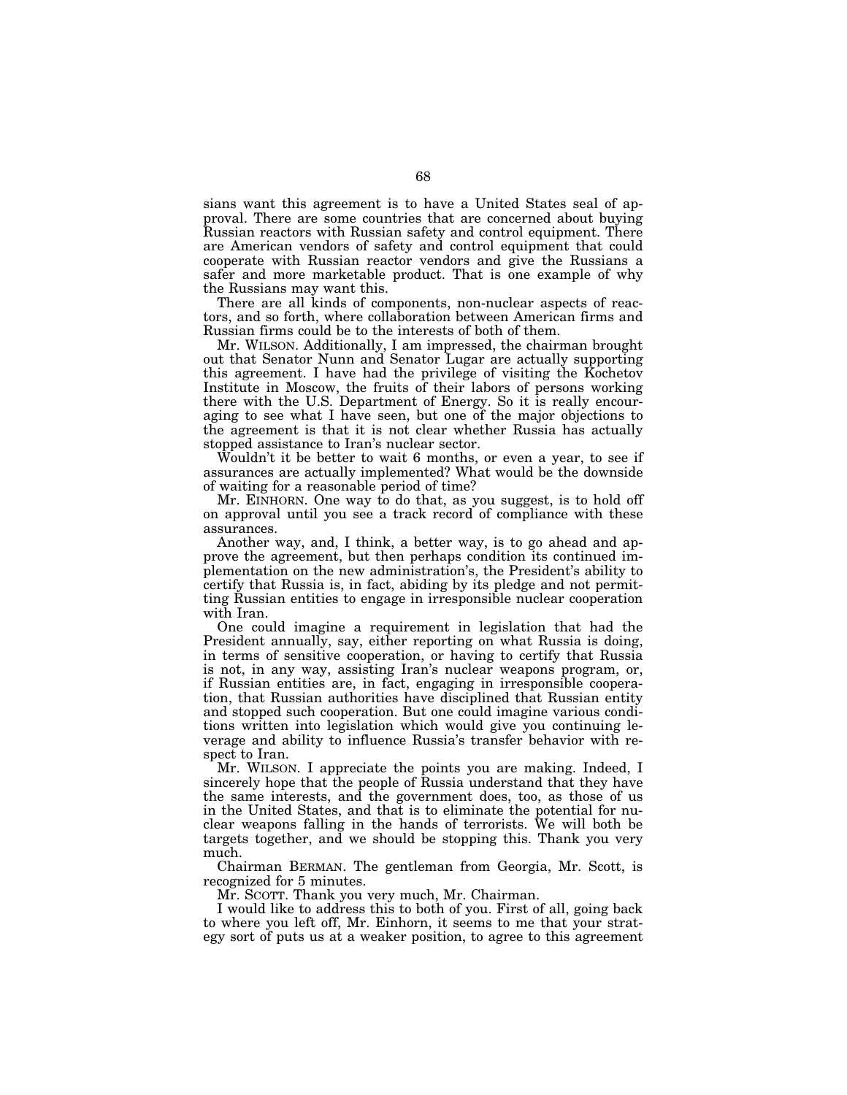sians want this agreement is to have a United States seal of approval. There are some countries that are concerned about buying Russian reactors with Russian safety and control equipment. There are American vendors of safety and control equipment that could cooperate with Russian reactor vendors and give the Russians a safer and more marketable product. That is one example of why the Russians may want this.

There are all kinds of components, non-nuclear aspects of reactors, and so forth, where collaboration between American firms and Russian firms could be to the interests of both of them.

Mr. WILSON. Additionally, I am impressed, the chairman brought out that Senator Nunn and Senator Lugar are actually supporting this agreement. I have had the privilege of visiting the Kochetov Institute in Moscow, the fruits of their labors of persons working there with the U.S. Department of Energy. So it is really encouraging to see what I have seen, but one of the major objections to the agreement is that it is not clear whether Russia has actually stopped assistance to Iran's nuclear sector.

Wouldn't it be better to wait 6 months, or even a year, to see if assurances are actually implemented? What would be the downside of waiting for a reasonable period of time?

Mr. EINHORN. One way to do that, as you suggest, is to hold off on approval until you see a track record of compliance with these assurances.

Another way, and, I think, a better way, is to go ahead and approve the agreement, but then perhaps condition its continued implementation on the new administration's, the President's ability to certify that Russia is, in fact, abiding by its pledge and not permitting Russian entities to engage in irresponsible nuclear cooperation with Iran.

One could imagine a requirement in legislation that had the President annually, say, either reporting on what Russia is doing, in terms of sensitive cooperation, or having to certify that Russia is not, in any way, assisting Iran's nuclear weapons program, or, if Russian entities are, in fact, engaging in irresponsible cooperation, that Russian authorities have disciplined that Russian entity and stopped such cooperation. But one could imagine various conditions written into legislation which would give you continuing leverage and ability to influence Russia's transfer behavior with respect to Iran.

Mr. WILSON. I appreciate the points you are making. Indeed, I sincerely hope that the people of Russia understand that they have the same interests, and the government does, too, as those of us in the United States, and that is to eliminate the potential for nuclear weapons falling in the hands of terrorists. We will both be targets together, and we should be stopping this. Thank you very much.

Chairman BERMAN. The gentleman from Georgia, Mr. Scott, is recognized for 5 minutes.

Mr. SCOTT. Thank you very much, Mr. Chairman.

I would like to address this to both of you. First of all, going back to where you left off, Mr. Einhorn, it seems to me that your strategy sort of puts us at a weaker position, to agree to this agreement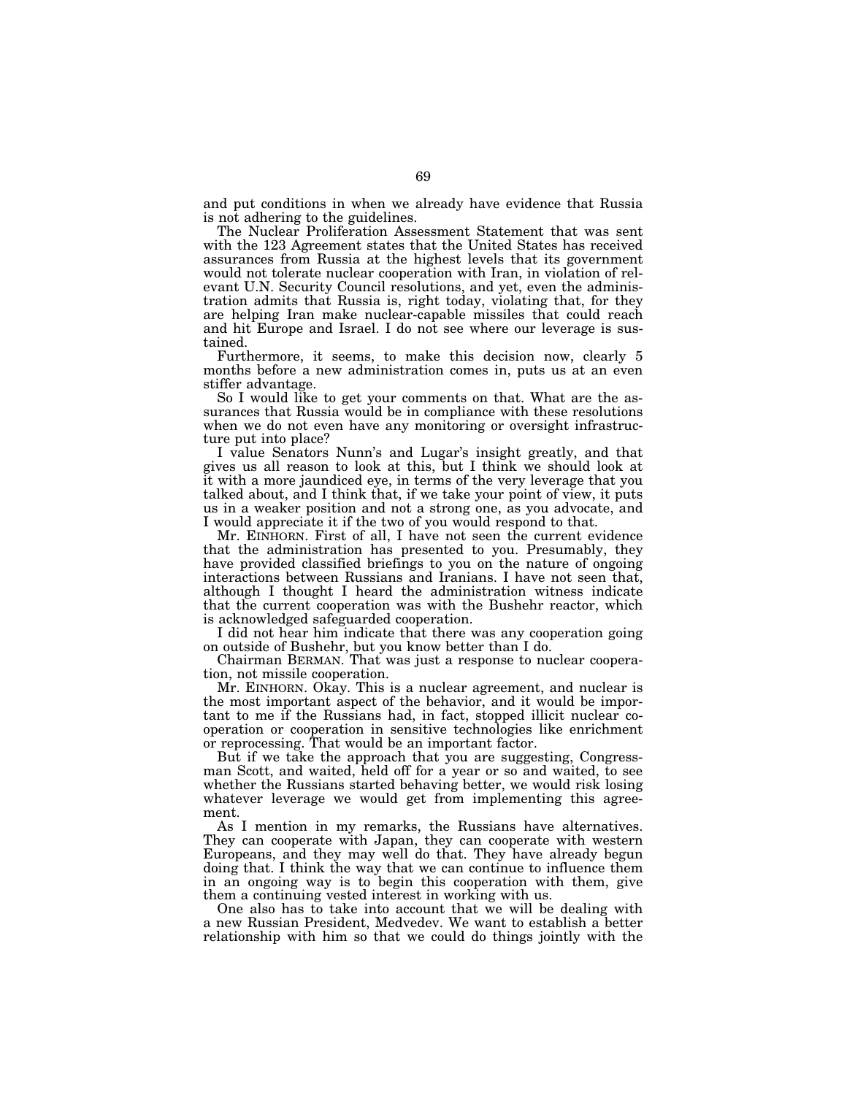and put conditions in when we already have evidence that Russia is not adhering to the guidelines.

The Nuclear Proliferation Assessment Statement that was sent with the 123 Agreement states that the United States has received assurances from Russia at the highest levels that its government would not tolerate nuclear cooperation with Iran, in violation of relevant U.N. Security Council resolutions, and yet, even the administration admits that Russia is, right today, violating that, for they are helping Iran make nuclear-capable missiles that could reach and hit Europe and Israel. I do not see where our leverage is sustained.

Furthermore, it seems, to make this decision now, clearly 5 months before a new administration comes in, puts us at an even stiffer advantage.

So I would like to get your comments on that. What are the assurances that Russia would be in compliance with these resolutions when we do not even have any monitoring or oversight infrastructure put into place?

I value Senators Nunn's and Lugar's insight greatly, and that gives us all reason to look at this, but I think we should look at it with a more jaundiced eye, in terms of the very leverage that you talked about, and I think that, if we take your point of view, it puts us in a weaker position and not a strong one, as you advocate, and I would appreciate it if the two of you would respond to that.

Mr. EINHORN. First of all, I have not seen the current evidence that the administration has presented to you. Presumably, they have provided classified briefings to you on the nature of ongoing interactions between Russians and Iranians. I have not seen that, although I thought I heard the administration witness indicate that the current cooperation was with the Bushehr reactor, which is acknowledged safeguarded cooperation.

I did not hear him indicate that there was any cooperation going on outside of Bushehr, but you know better than I do.

Chairman BERMAN. That was just a response to nuclear cooperation, not missile cooperation.

Mr. EINHORN. Okay. This is a nuclear agreement, and nuclear is the most important aspect of the behavior, and it would be important to me if the Russians had, in fact, stopped illicit nuclear cooperation or cooperation in sensitive technologies like enrichment or reprocessing. That would be an important factor.

But if we take the approach that you are suggesting, Congressman Scott, and waited, held off for a year or so and waited, to see whether the Russians started behaving better, we would risk losing whatever leverage we would get from implementing this agreement.

As I mention in my remarks, the Russians have alternatives. They can cooperate with Japan, they can cooperate with western Europeans, and they may well do that. They have already begun doing that. I think the way that we can continue to influence them in an ongoing way is to begin this cooperation with them, give them a continuing vested interest in working with us.

One also has to take into account that we will be dealing with a new Russian President, Medvedev. We want to establish a better relationship with him so that we could do things jointly with the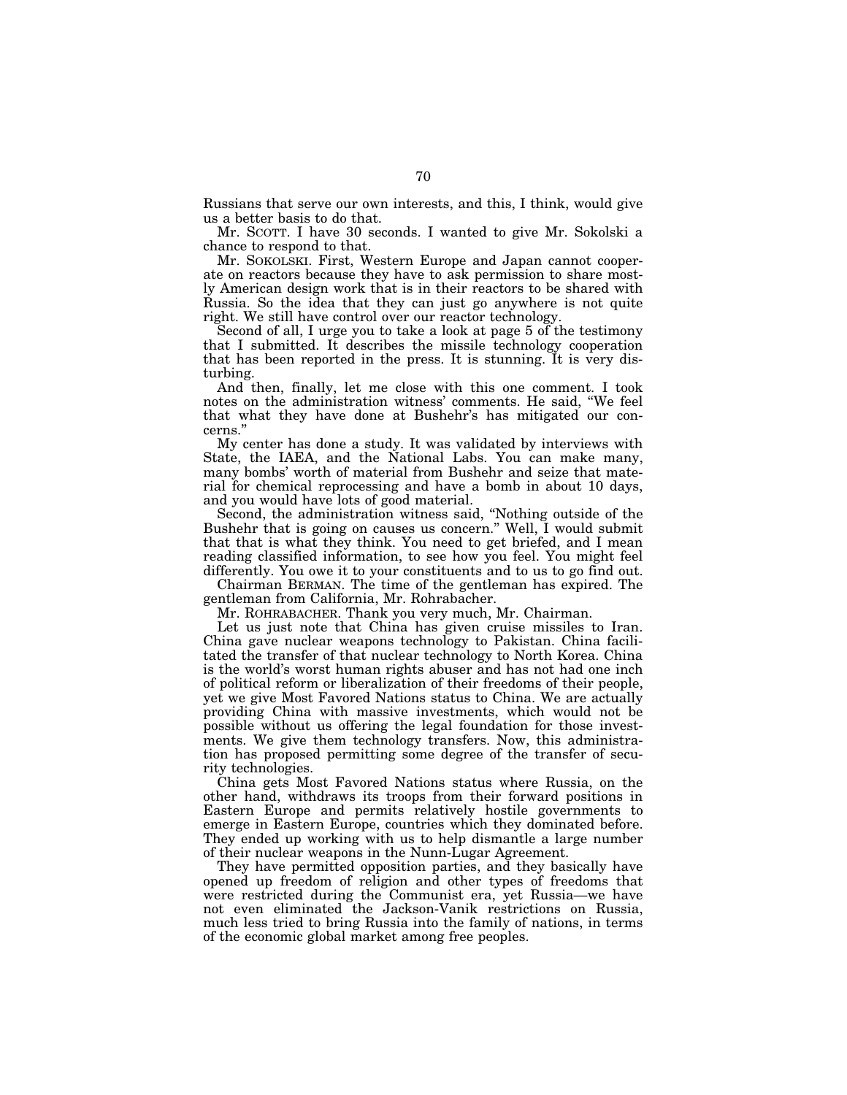Russians that serve our own interests, and this, I think, would give us a better basis to do that.

Mr. SCOTT. I have 30 seconds. I wanted to give Mr. Sokolski a chance to respond to that.

Mr. SOKOLSKI. First, Western Europe and Japan cannot cooperate on reactors because they have to ask permission to share mostly American design work that is in their reactors to be shared with Russia. So the idea that they can just go anywhere is not quite right. We still have control over our reactor technology.

Second of all, I urge you to take a look at page 5 of the testimony that I submitted. It describes the missile technology cooperation that has been reported in the press. It is stunning. It is very disturbing.

And then, finally, let me close with this one comment. I took notes on the administration witness' comments. He said, ''We feel that what they have done at Bushehr's has mitigated our concerns.''

My center has done a study. It was validated by interviews with State, the IAEA, and the National Labs. You can make many, many bombs' worth of material from Bushehr and seize that material for chemical reprocessing and have a bomb in about 10 days, and you would have lots of good material.

Second, the administration witness said, ''Nothing outside of the Bushehr that is going on causes us concern.'' Well, I would submit that that is what they think. You need to get briefed, and I mean reading classified information, to see how you feel. You might feel differently. You owe it to your constituents and to us to go find out.

Chairman BERMAN. The time of the gentleman has expired. The gentleman from California, Mr. Rohrabacher.

Mr. ROHRABACHER. Thank you very much, Mr. Chairman.

Let us just note that China has given cruise missiles to Iran. China gave nuclear weapons technology to Pakistan. China facilitated the transfer of that nuclear technology to North Korea. China is the world's worst human rights abuser and has not had one inch of political reform or liberalization of their freedoms of their people, yet we give Most Favored Nations status to China. We are actually providing China with massive investments, which would not be possible without us offering the legal foundation for those investments. We give them technology transfers. Now, this administration has proposed permitting some degree of the transfer of security technologies.

China gets Most Favored Nations status where Russia, on the other hand, withdraws its troops from their forward positions in Eastern Europe and permits relatively hostile governments to emerge in Eastern Europe, countries which they dominated before. They ended up working with us to help dismantle a large number of their nuclear weapons in the Nunn-Lugar Agreement.

They have permitted opposition parties, and they basically have opened up freedom of religion and other types of freedoms that were restricted during the Communist era, yet Russia—we have not even eliminated the Jackson-Vanik restrictions on Russia, much less tried to bring Russia into the family of nations, in terms of the economic global market among free peoples.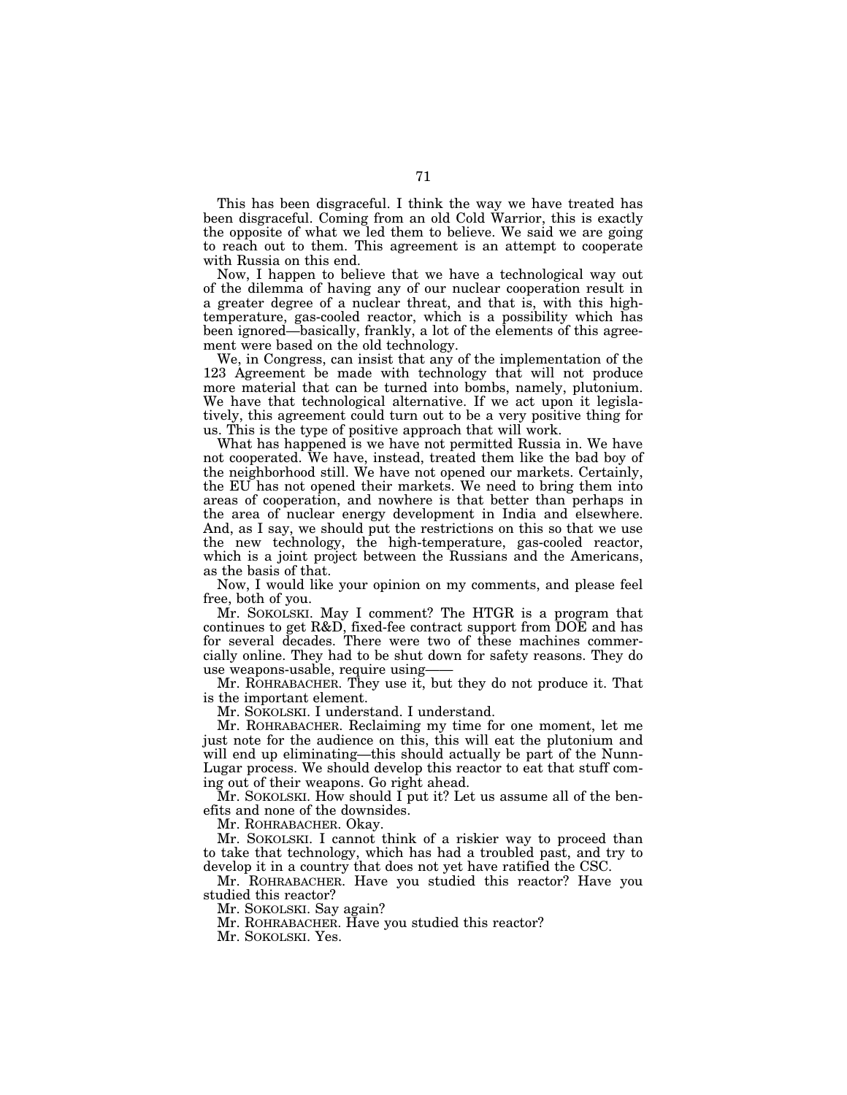This has been disgraceful. I think the way we have treated has been disgraceful. Coming from an old Cold Warrior, this is exactly the opposite of what we led them to believe. We said we are going to reach out to them. This agreement is an attempt to cooperate with Russia on this end.

Now, I happen to believe that we have a technological way out of the dilemma of having any of our nuclear cooperation result in a greater degree of a nuclear threat, and that is, with this hightemperature, gas-cooled reactor, which is a possibility which has been ignored—basically, frankly, a lot of the elements of this agreement were based on the old technology.

We, in Congress, can insist that any of the implementation of the 123 Agreement be made with technology that will not produce more material that can be turned into bombs, namely, plutonium. We have that technological alternative. If we act upon it legislatively, this agreement could turn out to be a very positive thing for us. This is the type of positive approach that will work.

What has happened is we have not permitted Russia in. We have not cooperated. We have, instead, treated them like the bad boy of the neighborhood still. We have not opened our markets. Certainly, the EU has not opened their markets. We need to bring them into areas of cooperation, and nowhere is that better than perhaps in the area of nuclear energy development in India and elsewhere. And, as I say, we should put the restrictions on this so that we use the new technology, the high-temperature, gas-cooled reactor, which is a joint project between the Russians and the Americans, as the basis of that.

Now, I would like your opinion on my comments, and please feel free, both of you.

Mr. SOKOLSKI. May I comment? The HTGR is a program that continues to get R&D, fixed-fee contract support from DOE and has for several decades. There were two of these machines commercially online. They had to be shut down for safety reasons. They do use weapons-usable, require using——

Mr. ROHRABACHER. They use it, but they do not produce it. That is the important element.

Mr. SOKOLSKI. I understand. I understand.

Mr. ROHRABACHER. Reclaiming my time for one moment, let me just note for the audience on this, this will eat the plutonium and will end up eliminating—this should actually be part of the Nunn-Lugar process. We should develop this reactor to eat that stuff coming out of their weapons. Go right ahead.

Mr. SOKOLSKI. How should I put it? Let us assume all of the benefits and none of the downsides.

Mr. ROHRABACHER. Okay.

Mr. SOKOLSKI. I cannot think of a riskier way to proceed than to take that technology, which has had a troubled past, and try to develop it in a country that does not yet have ratified the CSC.

Mr. ROHRABACHER. Have you studied this reactor? Have you studied this reactor?

Mr. SOKOLSKI. Say again?

Mr. ROHRABACHER. Have you studied this reactor?

Mr. SOKOLSKI. Yes.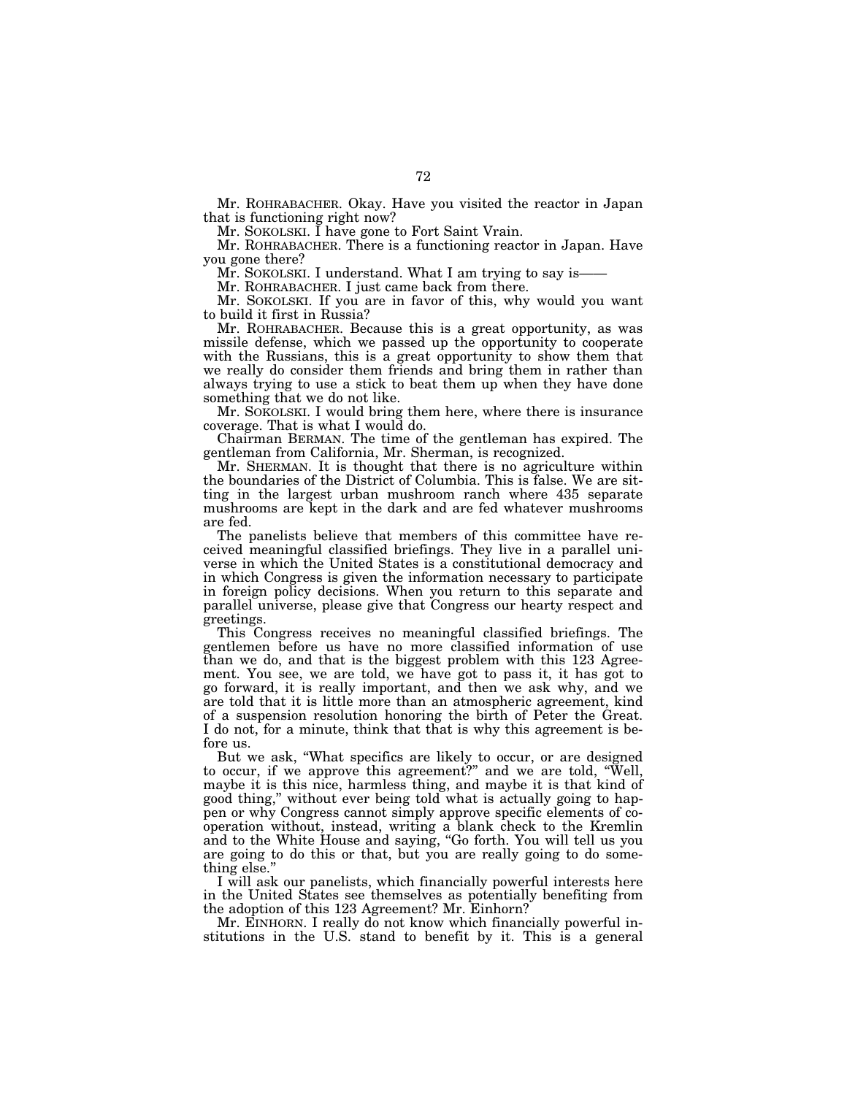Mr. ROHRABACHER. Okay. Have you visited the reactor in Japan that is functioning right now?

Mr. SOKOLSKI. I have gone to Fort Saint Vrain.

Mr. ROHRABACHER. There is a functioning reactor in Japan. Have you gone there?

Mr. SOKOLSKI. I understand. What I am trying to say is——

Mr. ROHRABACHER. I just came back from there.

Mr. SOKOLSKI. If you are in favor of this, why would you want to build it first in Russia?

Mr. ROHRABACHER. Because this is a great opportunity, as was missile defense, which we passed up the opportunity to cooperate with the Russians, this is a great opportunity to show them that we really do consider them friends and bring them in rather than always trying to use a stick to beat them up when they have done something that we do not like.

Mr. SOKOLSKI. I would bring them here, where there is insurance coverage. That is what I would do.

Chairman BERMAN. The time of the gentleman has expired. The gentleman from California, Mr. Sherman, is recognized.

Mr. SHERMAN. It is thought that there is no agriculture within the boundaries of the District of Columbia. This is false. We are sitting in the largest urban mushroom ranch where 435 separate mushrooms are kept in the dark and are fed whatever mushrooms are fed.

The panelists believe that members of this committee have received meaningful classified briefings. They live in a parallel universe in which the United States is a constitutional democracy and in which Congress is given the information necessary to participate in foreign policy decisions. When you return to this separate and parallel universe, please give that Congress our hearty respect and greetings.

This Congress receives no meaningful classified briefings. The gentlemen before us have no more classified information of use than we do, and that is the biggest problem with this 123 Agreement. You see, we are told, we have got to pass it, it has got to go forward, it is really important, and then we ask why, and we are told that it is little more than an atmospheric agreement, kind of a suspension resolution honoring the birth of Peter the Great. I do not, for a minute, think that that is why this agreement is before us.

But we ask, ''What specifics are likely to occur, or are designed to occur, if we approve this agreement?'' and we are told, ''Well, maybe it is this nice, harmless thing, and maybe it is that kind of good thing,'' without ever being told what is actually going to happen or why Congress cannot simply approve specific elements of cooperation without, instead, writing a blank check to the Kremlin and to the White House and saying, ''Go forth. You will tell us you are going to do this or that, but you are really going to do something else.''

I will ask our panelists, which financially powerful interests here in the United States see themselves as potentially benefiting from the adoption of this 123 Agreement? Mr. Einhorn?

Mr. EINHORN. I really do not know which financially powerful institutions in the U.S. stand to benefit by it. This is a general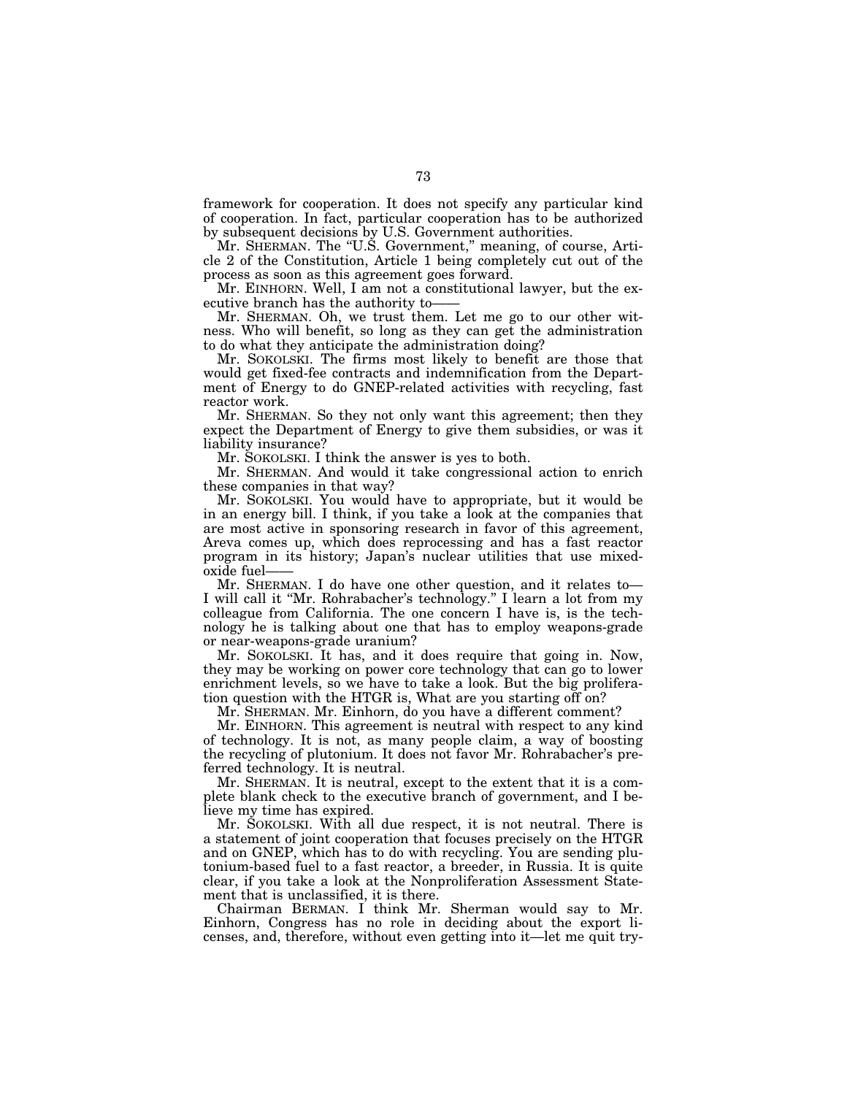framework for cooperation. It does not specify any particular kind of cooperation. In fact, particular cooperation has to be authorized by subsequent decisions by U.S. Government authorities.

Mr. SHERMAN. The "U.S. Government," meaning, of course, Article 2 of the Constitution, Article 1 being completely cut out of the process as soon as this agreement goes forward.

Mr. EINHORN. Well, I am not a constitutional lawyer, but the executive branch has the authority to——

Mr. SHERMAN. Oh, we trust them. Let me go to our other witness. Who will benefit, so long as they can get the administration to do what they anticipate the administration doing?

Mr. SOKOLSKI. The firms most likely to benefit are those that would get fixed-fee contracts and indemnification from the Department of Energy to do GNEP-related activities with recycling, fast reactor work.

Mr. SHERMAN. So they not only want this agreement; then they expect the Department of Energy to give them subsidies, or was it liability insurance?

Mr. SOKOLSKI. I think the answer is yes to both.

Mr. SHERMAN. And would it take congressional action to enrich these companies in that way?

Mr. SOKOLSKI. You would have to appropriate, but it would be in an energy bill. I think, if you take a look at the companies that are most active in sponsoring research in favor of this agreement, Areva comes up, which does reprocessing and has a fast reactor program in its history; Japan's nuclear utilities that use mixedoxide fuel——

Mr. SHERMAN. I do have one other question, and it relates to— I will call it ''Mr. Rohrabacher's technology.'' I learn a lot from my colleague from California. The one concern I have is, is the technology he is talking about one that has to employ weapons-grade or near-weapons-grade uranium?

Mr. SOKOLSKI. It has, and it does require that going in. Now, they may be working on power core technology that can go to lower enrichment levels, so we have to take a look. But the big proliferation question with the HTGR is, What are you starting off on?

Mr. SHERMAN. Mr. Einhorn, do you have a different comment?

Mr. EINHORN. This agreement is neutral with respect to any kind of technology. It is not, as many people claim, a way of boosting the recycling of plutonium. It does not favor Mr. Rohrabacher's preferred technology. It is neutral.

Mr. SHERMAN. It is neutral, except to the extent that it is a complete blank check to the executive branch of government, and I believe my time has expired.

Mr. SOKOLSKI. With all due respect, it is not neutral. There is a statement of joint cooperation that focuses precisely on the HTGR and on GNEP, which has to do with recycling. You are sending plutonium-based fuel to a fast reactor, a breeder, in Russia. It is quite clear, if you take a look at the Nonproliferation Assessment Statement that is unclassified, it is there.

Chairman BERMAN. I think Mr. Sherman would say to Mr. Einhorn, Congress has no role in deciding about the export licenses, and, therefore, without even getting into it—let me quit try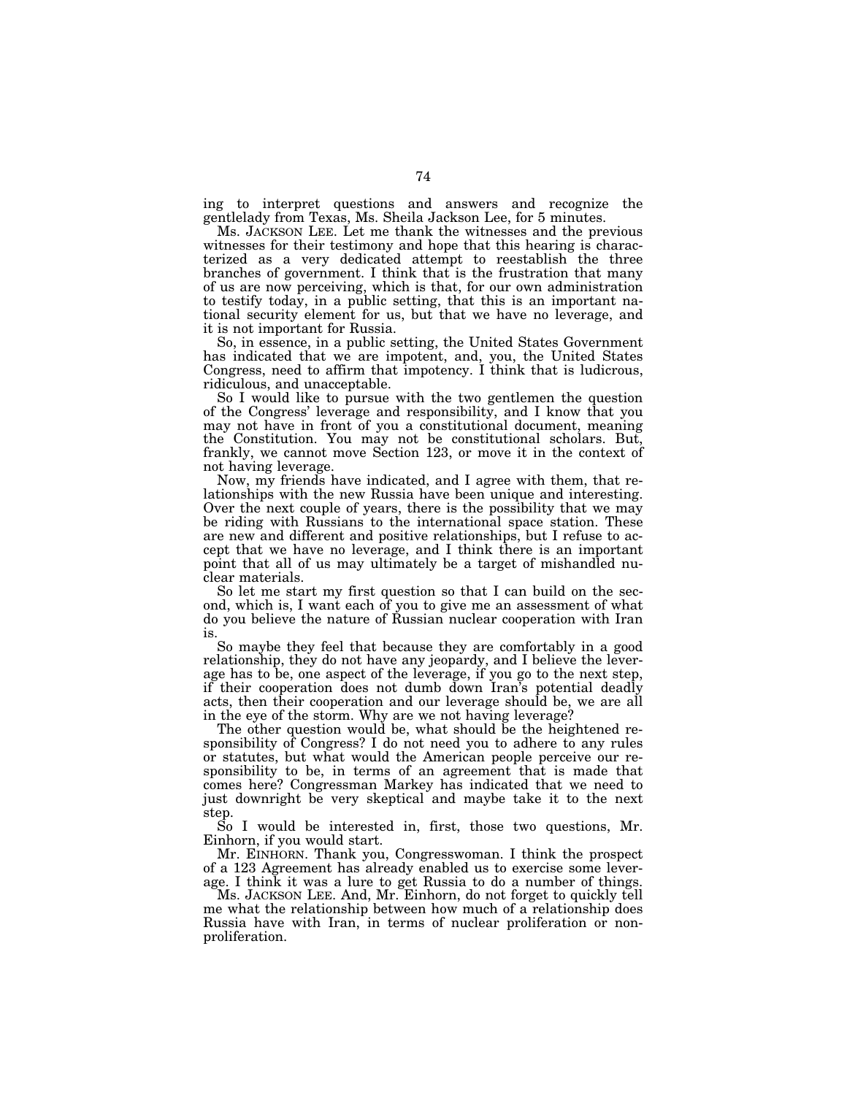ing to interpret questions and answers and recognize the gentlelady from Texas, Ms. Sheila Jackson Lee, for 5 minutes.

Ms. JACKSON LEE. Let me thank the witnesses and the previous witnesses for their testimony and hope that this hearing is characterized as a very dedicated attempt to reestablish the three branches of government. I think that is the frustration that many of us are now perceiving, which is that, for our own administration to testify today, in a public setting, that this is an important national security element for us, but that we have no leverage, and it is not important for Russia.

So, in essence, in a public setting, the United States Government has indicated that we are impotent, and, you, the United States Congress, need to affirm that impotency. I think that is ludicrous, ridiculous, and unacceptable.

So I would like to pursue with the two gentlemen the question of the Congress' leverage and responsibility, and I know that you may not have in front of you a constitutional document, meaning the Constitution. You may not be constitutional scholars. But, frankly, we cannot move Section 123, or move it in the context of not having leverage.

Now, my friends have indicated, and I agree with them, that relationships with the new Russia have been unique and interesting. Over the next couple of years, there is the possibility that we may be riding with Russians to the international space station. These are new and different and positive relationships, but I refuse to accept that we have no leverage, and I think there is an important point that all of us may ultimately be a target of mishandled nuclear materials.

So let me start my first question so that I can build on the second, which is, I want each of you to give me an assessment of what do you believe the nature of Russian nuclear cooperation with Iran is.

So maybe they feel that because they are comfortably in a good relationship, they do not have any jeopardy, and I believe the leverage has to be, one aspect of the leverage, if you go to the next step, if their cooperation does not dumb down Iran's potential deadly acts, then their cooperation and our leverage should be, we are all in the eye of the storm. Why are we not having leverage?

The other question would be, what should be the heightened responsibility of Congress? I do not need you to adhere to any rules or statutes, but what would the American people perceive our responsibility to be, in terms of an agreement that is made that comes here? Congressman Markey has indicated that we need to just downright be very skeptical and maybe take it to the next step.

So I would be interested in, first, those two questions, Mr. Einhorn, if you would start.

Mr. EINHORN. Thank you, Congresswoman. I think the prospect of a 123 Agreement has already enabled us to exercise some leverage. I think it was a lure to get Russia to do a number of things.

Ms. JACKSON LEE. And, Mr. Einhorn, do not forget to quickly tell me what the relationship between how much of a relationship does Russia have with Iran, in terms of nuclear proliferation or nonproliferation.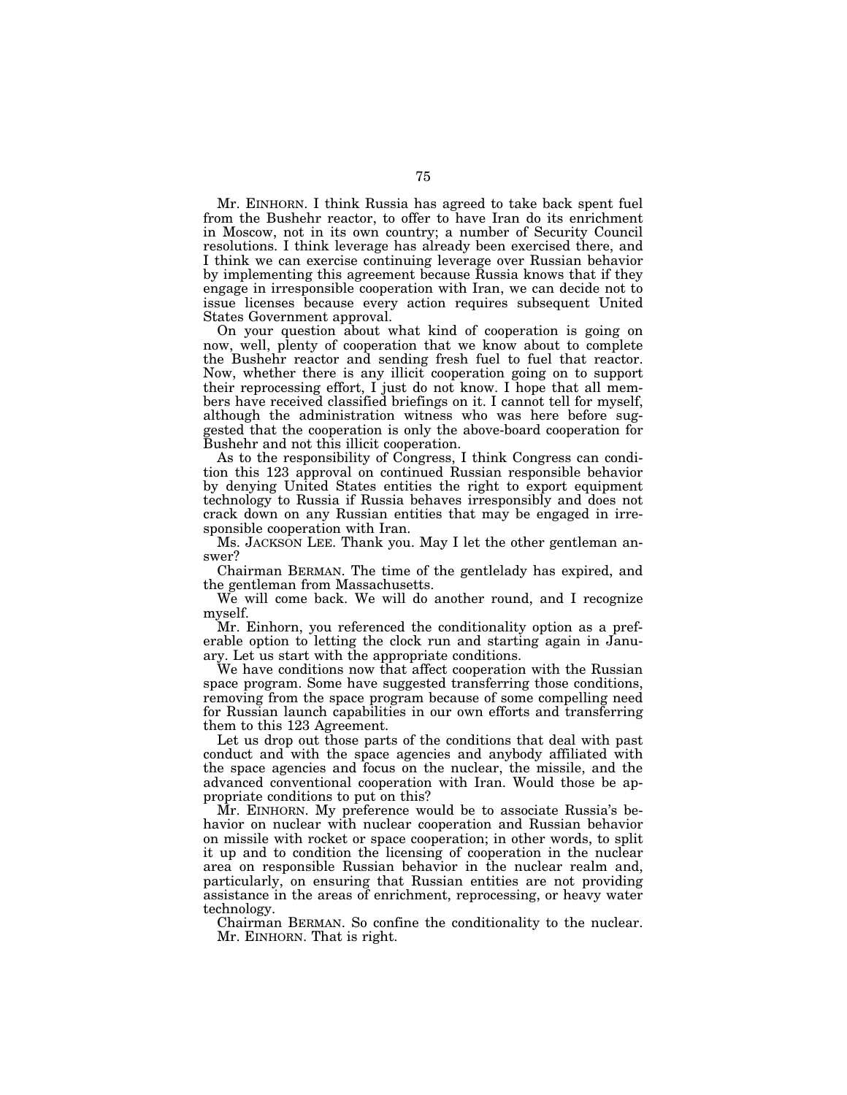Mr. EINHORN. I think Russia has agreed to take back spent fuel from the Bushehr reactor, to offer to have Iran do its enrichment in Moscow, not in its own country; a number of Security Council resolutions. I think leverage has already been exercised there, and I think we can exercise continuing leverage over Russian behavior by implementing this agreement because Russia knows that if they engage in irresponsible cooperation with Iran, we can decide not to issue licenses because every action requires subsequent United States Government approval.

On your question about what kind of cooperation is going on now, well, plenty of cooperation that we know about to complete the Bushehr reactor and sending fresh fuel to fuel that reactor. Now, whether there is any illicit cooperation going on to support their reprocessing effort, I just do not know. I hope that all members have received classified briefings on it. I cannot tell for myself, although the administration witness who was here before suggested that the cooperation is only the above-board cooperation for Bushehr and not this illicit cooperation.

As to the responsibility of Congress, I think Congress can condition this 123 approval on continued Russian responsible behavior by denying United States entities the right to export equipment technology to Russia if Russia behaves irresponsibly and does not crack down on any Russian entities that may be engaged in irresponsible cooperation with Iran.

Ms. JACKSON LEE. Thank you. May I let the other gentleman answer?

Chairman BERMAN. The time of the gentlelady has expired, and the gentleman from Massachusetts.

We will come back. We will do another round, and I recognize myself.

Mr. Einhorn, you referenced the conditionality option as a preferable option to letting the clock run and starting again in January. Let us start with the appropriate conditions.

We have conditions now that affect cooperation with the Russian space program. Some have suggested transferring those conditions, removing from the space program because of some compelling need for Russian launch capabilities in our own efforts and transferring them to this 123 Agreement.

Let us drop out those parts of the conditions that deal with past conduct and with the space agencies and anybody affiliated with the space agencies and focus on the nuclear, the missile, and the advanced conventional cooperation with Iran. Would those be appropriate conditions to put on this?

Mr. EINHORN. My preference would be to associate Russia's behavior on nuclear with nuclear cooperation and Russian behavior on missile with rocket or space cooperation; in other words, to split it up and to condition the licensing of cooperation in the nuclear area on responsible Russian behavior in the nuclear realm and, particularly, on ensuring that Russian entities are not providing assistance in the areas of enrichment, reprocessing, or heavy water technology.

Chairman BERMAN. So confine the conditionality to the nuclear. Mr. EINHORN. That is right.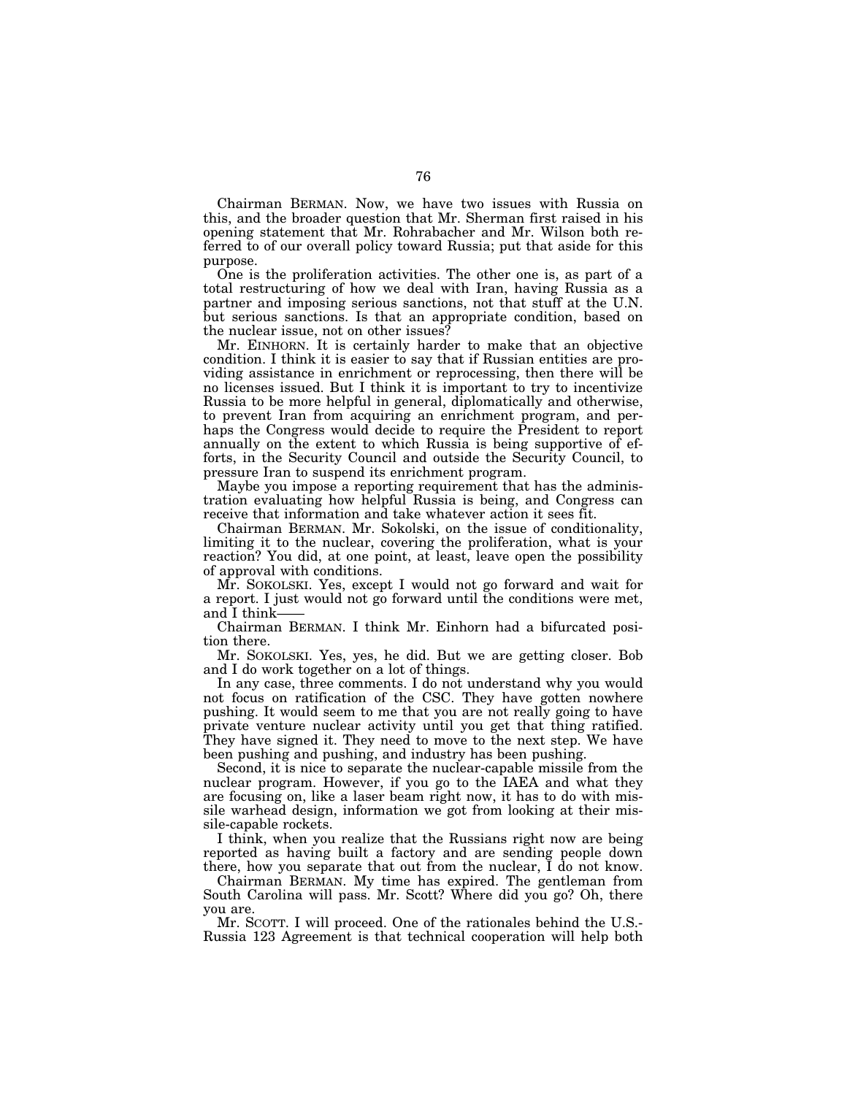Chairman BERMAN. Now, we have two issues with Russia on this, and the broader question that Mr. Sherman first raised in his opening statement that Mr. Rohrabacher and Mr. Wilson both referred to of our overall policy toward Russia; put that aside for this purpose.

One is the proliferation activities. The other one is, as part of a total restructuring of how we deal with Iran, having Russia as a partner and imposing serious sanctions, not that stuff at the U.N. but serious sanctions. Is that an appropriate condition, based on the nuclear issue, not on other issues?

Mr. EINHORN. It is certainly harder to make that an objective condition. I think it is easier to say that if Russian entities are providing assistance in enrichment or reprocessing, then there will be no licenses issued. But I think it is important to try to incentivize Russia to be more helpful in general, diplomatically and otherwise, to prevent Iran from acquiring an enrichment program, and perhaps the Congress would decide to require the President to report annually on the extent to which Russia is being supportive of efforts, in the Security Council and outside the Security Council, to pressure Iran to suspend its enrichment program.

Maybe you impose a reporting requirement that has the administration evaluating how helpful Russia is being, and Congress can receive that information and take whatever action it sees fit.

Chairman BERMAN. Mr. Sokolski, on the issue of conditionality, limiting it to the nuclear, covering the proliferation, what is your reaction? You did, at one point, at least, leave open the possibility of approval with conditions.

Mr. SOKOLSKI. Yes, except I would not go forward and wait for a report. I just would not go forward until the conditions were met, and I think-

Chairman BERMAN. I think Mr. Einhorn had a bifurcated position there.

Mr. SOKOLSKI. Yes, yes, he did. But we are getting closer. Bob and I do work together on a lot of things.

In any case, three comments. I do not understand why you would not focus on ratification of the CSC. They have gotten nowhere pushing. It would seem to me that you are not really going to have private venture nuclear activity until you get that thing ratified. They have signed it. They need to move to the next step. We have been pushing and pushing, and industry has been pushing.

Second, it is nice to separate the nuclear-capable missile from the nuclear program. However, if you go to the IAEA and what they are focusing on, like a laser beam right now, it has to do with missile warhead design, information we got from looking at their missile-capable rockets.

I think, when you realize that the Russians right now are being reported as having built a factory and are sending people down there, how you separate that out from the nuclear, I do not know.

Chairman BERMAN. My time has expired. The gentleman from South Carolina will pass. Mr. Scott? Where did you go? Oh, there you are.

Mr. SCOTT. I will proceed. One of the rationales behind the U.S.- Russia 123 Agreement is that technical cooperation will help both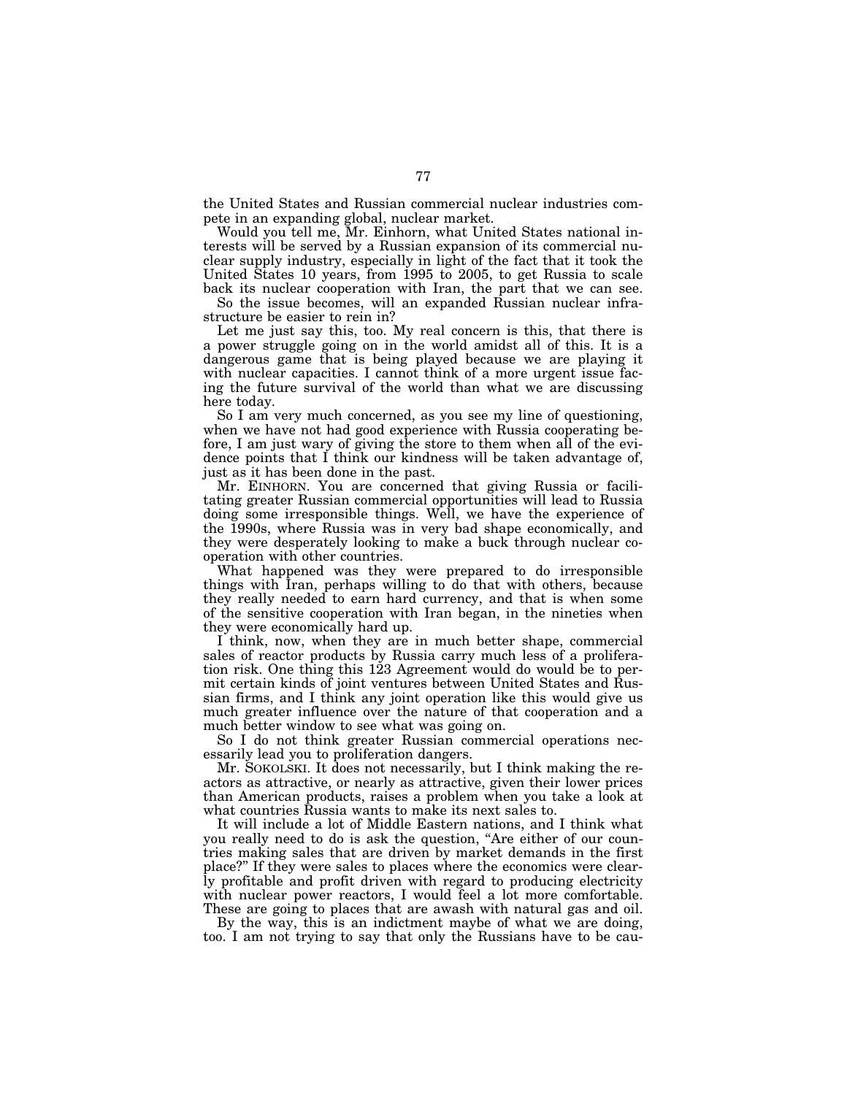the United States and Russian commercial nuclear industries compete in an expanding global, nuclear market.

Would you tell me, Mr. Einhorn, what United States national interests will be served by a Russian expansion of its commercial nuclear supply industry, especially in light of the fact that it took the United States 10 years, from 1995 to 2005, to get Russia to scale back its nuclear cooperation with Iran, the part that we can see.

So the issue becomes, will an expanded Russian nuclear infrastructure be easier to rein in?

Let me just say this, too. My real concern is this, that there is a power struggle going on in the world amidst all of this. It is a dangerous game that is being played because we are playing it with nuclear capacities. I cannot think of a more urgent issue facing the future survival of the world than what we are discussing here today.

So I am very much concerned, as you see my line of questioning, when we have not had good experience with Russia cooperating before, I am just wary of giving the store to them when all of the evidence points that I think our kindness will be taken advantage of, just as it has been done in the past.

Mr. EINHORN. You are concerned that giving Russia or facilitating greater Russian commercial opportunities will lead to Russia doing some irresponsible things. Well, we have the experience of the 1990s, where Russia was in very bad shape economically, and they were desperately looking to make a buck through nuclear cooperation with other countries.

What happened was they were prepared to do irresponsible things with Iran, perhaps willing to do that with others, because they really needed to earn hard currency, and that is when some of the sensitive cooperation with Iran began, in the nineties when they were economically hard up.

I think, now, when they are in much better shape, commercial sales of reactor products by Russia carry much less of a proliferation risk. One thing this 123 Agreement would do would be to permit certain kinds of joint ventures between United States and Russian firms, and I think any joint operation like this would give us much greater influence over the nature of that cooperation and a much better window to see what was going on.

So I do not think greater Russian commercial operations necessarily lead you to proliferation dangers.

Mr. SOKOLSKI. It does not necessarily, but I think making the reactors as attractive, or nearly as attractive, given their lower prices than American products, raises a problem when you take a look at what countries Russia wants to make its next sales to.

It will include a lot of Middle Eastern nations, and I think what you really need to do is ask the question, "Are either of our countries making sales that are driven by market demands in the first place?'' If they were sales to places where the economics were clearly profitable and profit driven with regard to producing electricity with nuclear power reactors, I would feel a lot more comfortable. These are going to places that are awash with natural gas and oil.

By the way, this is an indictment maybe of what we are doing, too. I am not trying to say that only the Russians have to be cau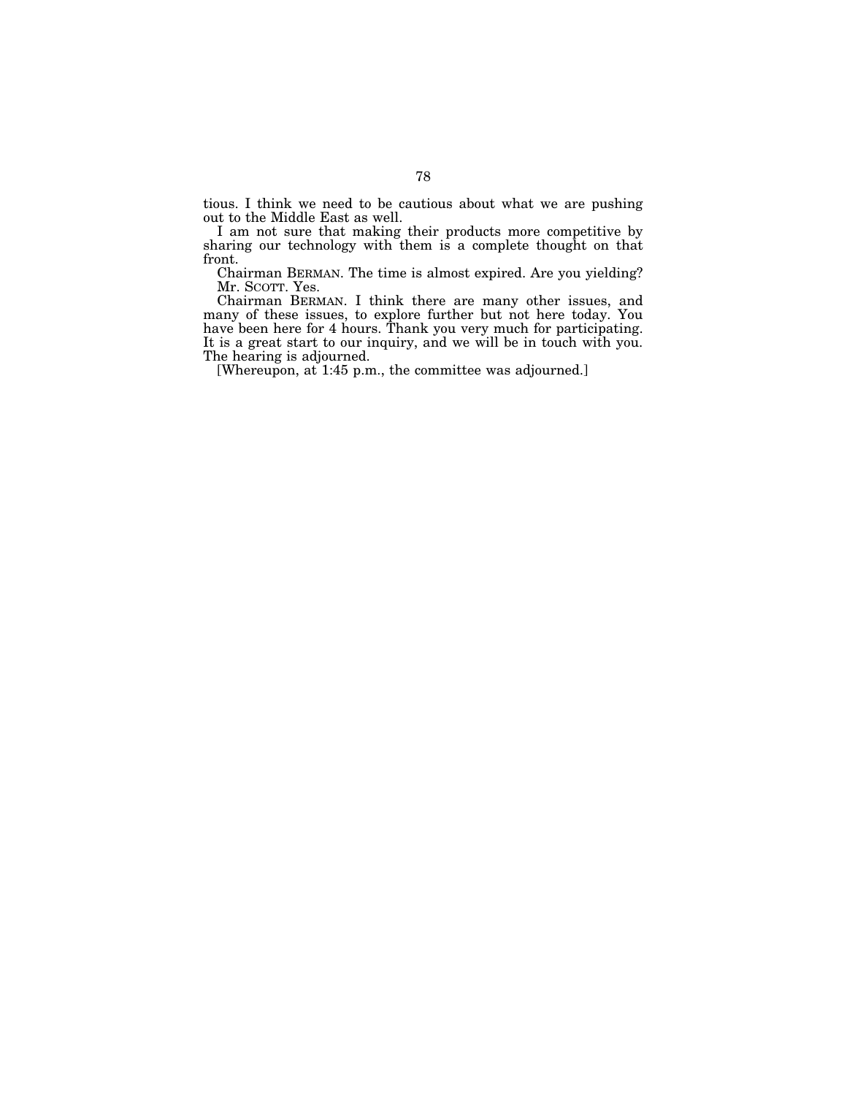tious. I think we need to be cautious about what we are pushing out to the Middle East as well.

I am not sure that making their products more competitive by sharing our technology with them is a complete thought on that front.

Chairman BERMAN. The time is almost expired. Are you yielding? Mr. SCOTT. Yes.

Chairman BERMAN. I think there are many other issues, and many of these issues, to explore further but not here today. You have been here for 4 hours. Thank you very much for participating. It is a great start to our inquiry, and we will be in touch with you. The hearing is adjourned.

[Whereupon, at 1:45 p.m., the committee was adjourned.]